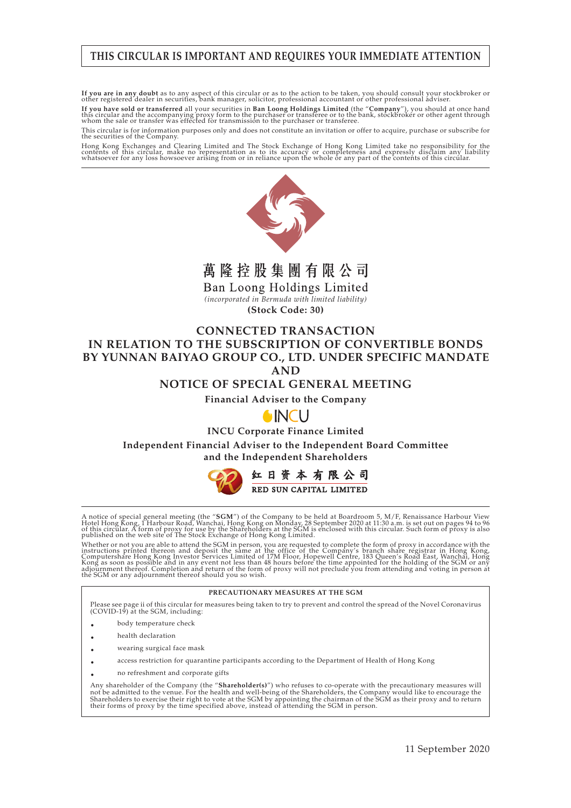## **THIS CIRCULAR IS IMPORTANT AND REQUIRES YOUR IMMEDIATE ATTENTION**

If you are in any doubt as to any aspect of this circular or as to the action to be taken, you should consult your stockbroker or other registered dealer in securities, bank manager, solicitor, professional accountant or o

**If you have sold or transferred** all your securities in **Ban Loong Holdings Limited** (the "**Company**"), you should at once hand<br>this circular and the accompanying proxy form to the purchaser or transferee or to the bank,

This circular is for information purposes only and does not constitute an invitation or offer to acquire, purchase or subscribe for the securities of the Company.

Hong Kong Exchanges and Clearing Limited and The Stock Exchange of Hong Kong Limited take no responsibility for the<br>contents of this circular, make no representation as to its accuracy or completeness and expressly disclai



萬隆控股集團有限公司

Ban Loong Holdings Limited

*(incorporated in Bermuda with limited liability)* **(Stock Code: 30)**

## **CONNECTED TRANSACTION IN RELATION TO THE SUBSCRIPTION OF CONVERTIBLE BONDS BY YUNNAN BAIYAO GROUP CO., LTD. UNDER SPECIFIC MANDATE AND**

## **NOTICE OF SPECIAL GENERAL MEETING**

**Financial Adviser to the Company**

# **AINCU**

**INCU Corporate Finance Limited**

**Independent Financial Adviser to the Independent Board Committee and the Independent Shareholders**



A notice of special general meeting (the "**SGM**") of the Company to be held at Boardroom 5, M/F, Renaissance Harbour View<br>Hotel Hong Kong, I Harbour Road, Wanchai, Hong Kong on Monday, 28 September 2020 at 11:30 a.m. is se

Whether or not you are able to attend the SGM in person, you are requested to complete the form of proxy in accordance with the instructions printed of the same at the office of the Company's branch share registrar in Hong

#### **PRECAUTIONARY MEASURES AT THE SGM**

Please see page ii of this circular for measures being taken to try to prevent and control the spread of the Novel Coronavirus (COVID-19) at the SGM, including:

- body temperature check
- health declaration
- wearing surgical face mask
- access restriction for quarantine participants according to the Department of Health of Hong Kong
- no refreshment and corporate gifts

Any shareholder of the Company (the "**Shareholder(s)**") who refuses to co-operate with the precautionary measures will<br>not be admitted to the venue. For the health and well-being of the Shareholders, the Company would like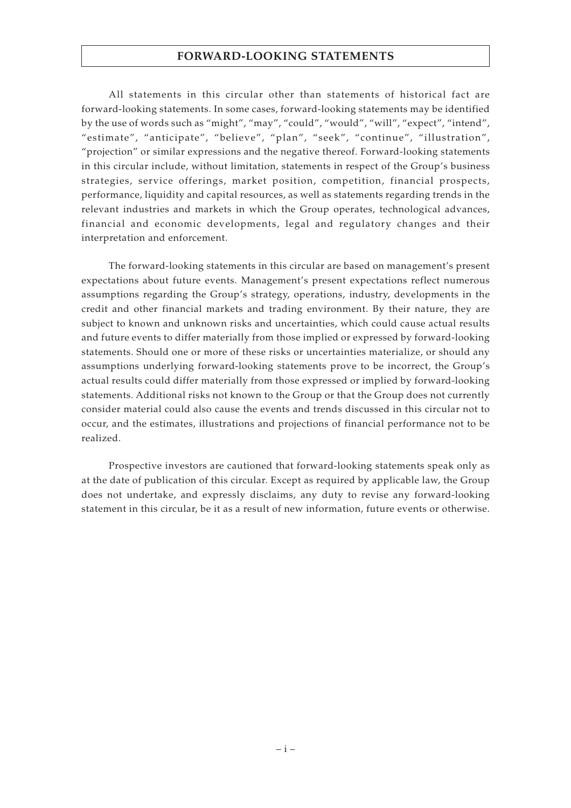#### **FORWARD-LOOKING STATEMENTS**

All statements in this circular other than statements of historical fact are forward-looking statements. In some cases, forward-looking statements may be identified by the use of words such as "might", "may", "could", "would", "will", "expect", "intend", "estimate", "anticipate", "believe", "plan", "seek", "continue", "illustration", "projection" or similar expressions and the negative thereof. Forward-looking statements in this circular include, without limitation, statements in respect of the Group's business strategies, service offerings, market position, competition, financial prospects, performance, liquidity and capital resources, as well as statements regarding trends in the relevant industries and markets in which the Group operates, technological advances, financial and economic developments, legal and regulatory changes and their interpretation and enforcement.

The forward-looking statements in this circular are based on management's present expectations about future events. Management's present expectations reflect numerous assumptions regarding the Group's strategy, operations, industry, developments in the credit and other financial markets and trading environment. By their nature, they are subject to known and unknown risks and uncertainties, which could cause actual results and future events to differ materially from those implied or expressed by forward-looking statements. Should one or more of these risks or uncertainties materialize, or should any assumptions underlying forward-looking statements prove to be incorrect, the Group's actual results could differ materially from those expressed or implied by forward-looking statements. Additional risks not known to the Group or that the Group does not currently consider material could also cause the events and trends discussed in this circular not to occur, and the estimates, illustrations and projections of financial performance not to be realized.

Prospective investors are cautioned that forward-looking statements speak only as at the date of publication of this circular. Except as required by applicable law, the Group does not undertake, and expressly disclaims, any duty to revise any forward-looking statement in this circular, be it as a result of new information, future events or otherwise.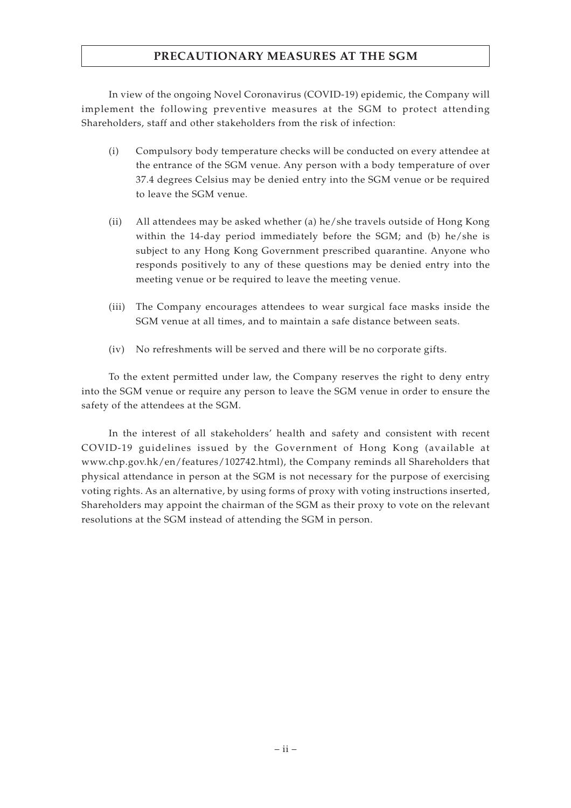## **PRECAUTIONARY MEASURES AT THE SGM**

In view of the ongoing Novel Coronavirus (COVID-19) epidemic, the Company will implement the following preventive measures at the SGM to protect attending Shareholders, staff and other stakeholders from the risk of infection:

- (i) Compulsory body temperature checks will be conducted on every attendee at the entrance of the SGM venue. Any person with a body temperature of over 37.4 degrees Celsius may be denied entry into the SGM venue or be required to leave the SGM venue.
- (ii) All attendees may be asked whether (a) he/she travels outside of Hong Kong within the 14-day period immediately before the SGM; and (b) he/she is subject to any Hong Kong Government prescribed quarantine. Anyone who responds positively to any of these questions may be denied entry into the meeting venue or be required to leave the meeting venue.
- (iii) The Company encourages attendees to wear surgical face masks inside the SGM venue at all times, and to maintain a safe distance between seats.
- (iv) No refreshments will be served and there will be no corporate gifts.

To the extent permitted under law, the Company reserves the right to deny entry into the SGM venue or require any person to leave the SGM venue in order to ensure the safety of the attendees at the SGM.

In the interest of all stakeholders' health and safety and consistent with recent COVID-19 guidelines issued by the Government of Hong Kong (available at www.chp.gov.hk/en/features/102742.html), the Company reminds all Shareholders that physical attendance in person at the SGM is not necessary for the purpose of exercising voting rights. As an alternative, by using forms of proxy with voting instructions inserted, Shareholders may appoint the chairman of the SGM as their proxy to vote on the relevant resolutions at the SGM instead of attending the SGM in person.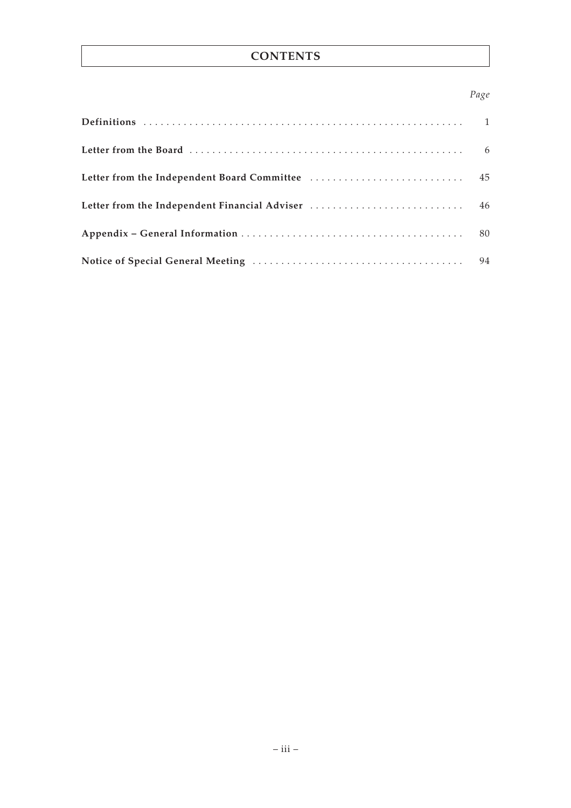# **CONTENTS**

## *Page*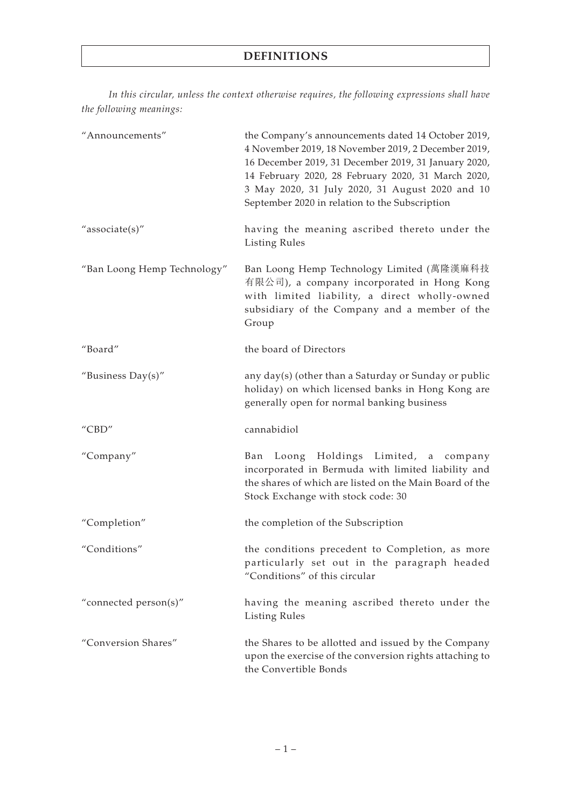*In this circular, unless the context otherwise requires, the following expressions shall have the following meanings:*

| "Announcements"                         | the Company's announcements dated 14 October 2019,<br>4 November 2019, 18 November 2019, 2 December 2019,<br>16 December 2019, 31 December 2019, 31 January 2020,<br>14 February 2020, 28 February 2020, 31 March 2020,<br>3 May 2020, 31 July 2020, 31 August 2020 and 10<br>September 2020 in relation to the Subscription |
|-----------------------------------------|------------------------------------------------------------------------------------------------------------------------------------------------------------------------------------------------------------------------------------------------------------------------------------------------------------------------------|
| "associate(s)"                          | having the meaning ascribed thereto under the<br><b>Listing Rules</b>                                                                                                                                                                                                                                                        |
| "Ban Loong Hemp Technology"             | Ban Loong Hemp Technology Limited (萬隆漢麻科技<br>有限公司), a company incorporated in Hong Kong<br>with limited liability, a direct wholly-owned<br>subsidiary of the Company and a member of the<br>Group                                                                                                                           |
| "Board"                                 | the board of Directors                                                                                                                                                                                                                                                                                                       |
| "Business $Day(s)$ "                    | any day(s) (other than a Saturday or Sunday or public<br>holiday) on which licensed banks in Hong Kong are<br>generally open for normal banking business                                                                                                                                                                     |
| $^{\prime\prime}$ CBD $^{\prime\prime}$ | cannabidiol                                                                                                                                                                                                                                                                                                                  |
| "Company"                               | Ban Loong Holdings Limited, a<br>company<br>incorporated in Bermuda with limited liability and<br>the shares of which are listed on the Main Board of the<br>Stock Exchange with stock code: 30                                                                                                                              |
| "Completion"                            | the completion of the Subscription                                                                                                                                                                                                                                                                                           |
| "Conditions"                            | the conditions precedent to Completion, as more<br>particularly set out in the paragraph headed<br>"Conditions" of this circular                                                                                                                                                                                             |
| "connected person(s)"                   | having the meaning ascribed thereto under the<br><b>Listing Rules</b>                                                                                                                                                                                                                                                        |
| "Conversion Shares"                     | the Shares to be allotted and issued by the Company<br>upon the exercise of the conversion rights attaching to<br>the Convertible Bonds                                                                                                                                                                                      |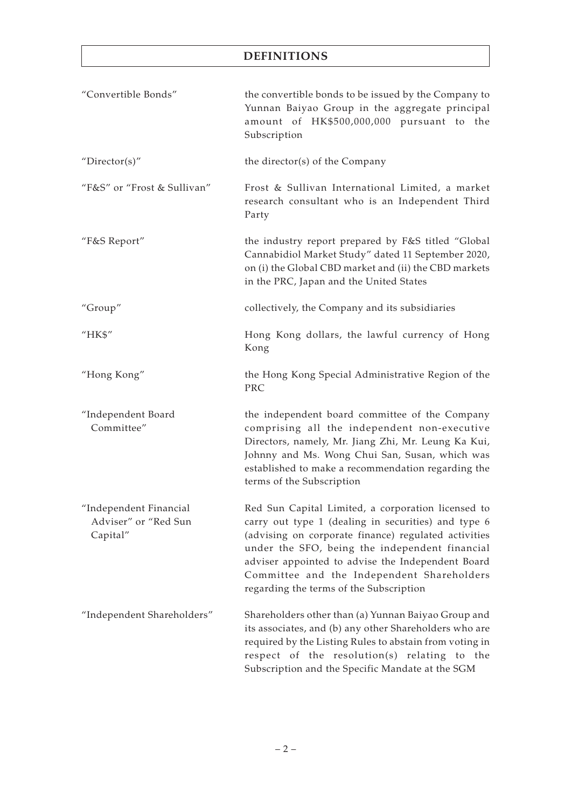| "Convertible Bonds"                                        | the convertible bonds to be issued by the Company to<br>Yunnan Baiyao Group in the aggregate principal<br>amount of HK\$500,000,000 pursuant to the<br>Subscription                                                                                                                                                                                               |
|------------------------------------------------------------|-------------------------------------------------------------------------------------------------------------------------------------------------------------------------------------------------------------------------------------------------------------------------------------------------------------------------------------------------------------------|
| "Director(s)"                                              | the director(s) of the Company                                                                                                                                                                                                                                                                                                                                    |
| "F&S" or "Frost & Sullivan"                                | Frost & Sullivan International Limited, a market<br>research consultant who is an Independent Third<br>Party                                                                                                                                                                                                                                                      |
| "F&S Report"                                               | the industry report prepared by F&S titled "Global<br>Cannabidiol Market Study" dated 11 September 2020,<br>on (i) the Global CBD market and (ii) the CBD markets<br>in the PRC, Japan and the United States                                                                                                                                                      |
| "Group"                                                    | collectively, the Company and its subsidiaries                                                                                                                                                                                                                                                                                                                    |
| "HK\$"                                                     | Hong Kong dollars, the lawful currency of Hong<br>Kong                                                                                                                                                                                                                                                                                                            |
| "Hong Kong"                                                | the Hong Kong Special Administrative Region of the<br>PRC                                                                                                                                                                                                                                                                                                         |
| "Independent Board<br>Committee"                           | the independent board committee of the Company<br>comprising all the independent non-executive<br>Directors, namely, Mr. Jiang Zhi, Mr. Leung Ka Kui,<br>Johnny and Ms. Wong Chui San, Susan, which was<br>established to make a recommendation regarding the<br>terms of the Subscription                                                                        |
| "Independent Financial<br>Adviser" or "Red Sun<br>Capital" | Red Sun Capital Limited, a corporation licensed to<br>carry out type 1 (dealing in securities) and type 6<br>(advising on corporate finance) regulated activities<br>under the SFO, being the independent financial<br>adviser appointed to advise the Independent Board<br>Committee and the Independent Shareholders<br>regarding the terms of the Subscription |
| "Independent Shareholders"                                 | Shareholders other than (a) Yunnan Baiyao Group and<br>its associates, and (b) any other Shareholders who are<br>required by the Listing Rules to abstain from voting in<br>respect of the resolution(s) relating to the<br>Subscription and the Specific Mandate at the SGM                                                                                      |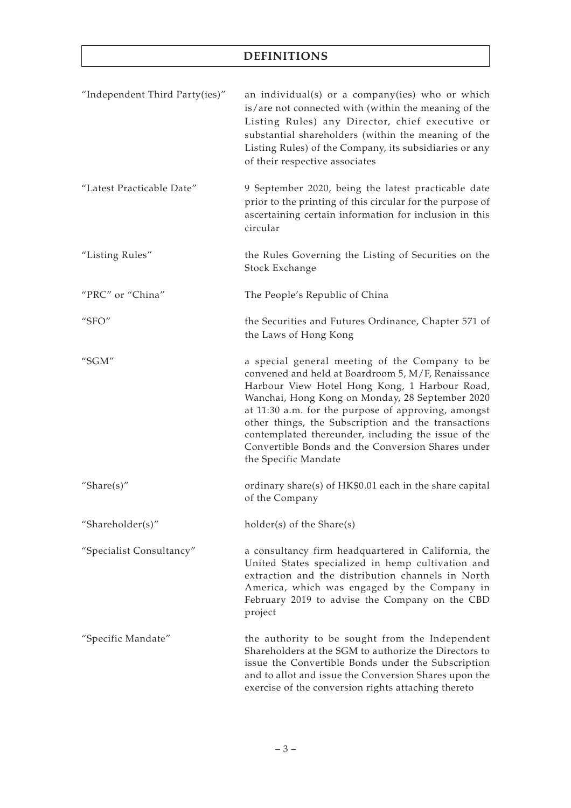| "Independent Third Party(ies)" | an individual(s) or a company(ies) who or which<br>is/are not connected with (within the meaning of the<br>Listing Rules) any Director, chief executive or<br>substantial shareholders (within the meaning of the<br>Listing Rules) of the Company, its subsidiaries or any<br>of their respective associates                                                                                                                                              |
|--------------------------------|------------------------------------------------------------------------------------------------------------------------------------------------------------------------------------------------------------------------------------------------------------------------------------------------------------------------------------------------------------------------------------------------------------------------------------------------------------|
| "Latest Practicable Date"      | 9 September 2020, being the latest practicable date<br>prior to the printing of this circular for the purpose of<br>ascertaining certain information for inclusion in this<br>circular                                                                                                                                                                                                                                                                     |
| "Listing Rules"                | the Rules Governing the Listing of Securities on the<br>Stock Exchange                                                                                                                                                                                                                                                                                                                                                                                     |
| "PRC" or "China"               | The People's Republic of China                                                                                                                                                                                                                                                                                                                                                                                                                             |
| " $SFO"$                       | the Securities and Futures Ordinance, Chapter 571 of<br>the Laws of Hong Kong                                                                                                                                                                                                                                                                                                                                                                              |
| " $SGM"$                       | a special general meeting of the Company to be<br>convened and held at Boardroom 5, M/F, Renaissance<br>Harbour View Hotel Hong Kong, 1 Harbour Road,<br>Wanchai, Hong Kong on Monday, 28 September 2020<br>at 11:30 a.m. for the purpose of approving, amongst<br>other things, the Subscription and the transactions<br>contemplated thereunder, including the issue of the<br>Convertible Bonds and the Conversion Shares under<br>the Specific Mandate |
| "Share $(s)$ "                 | ordinary share(s) of HK\$0.01 each in the share capital<br>of the Company                                                                                                                                                                                                                                                                                                                                                                                  |
| "Shareholder(s)"               | holder(s) of the Share(s)                                                                                                                                                                                                                                                                                                                                                                                                                                  |
| "Specialist Consultancy"       | a consultancy firm headquartered in California, the<br>United States specialized in hemp cultivation and<br>extraction and the distribution channels in North<br>America, which was engaged by the Company in<br>February 2019 to advise the Company on the CBD<br>project                                                                                                                                                                                 |
| "Specific Mandate"             | the authority to be sought from the Independent<br>Shareholders at the SGM to authorize the Directors to<br>issue the Convertible Bonds under the Subscription<br>and to allot and issue the Conversion Shares upon the<br>exercise of the conversion rights attaching thereto                                                                                                                                                                             |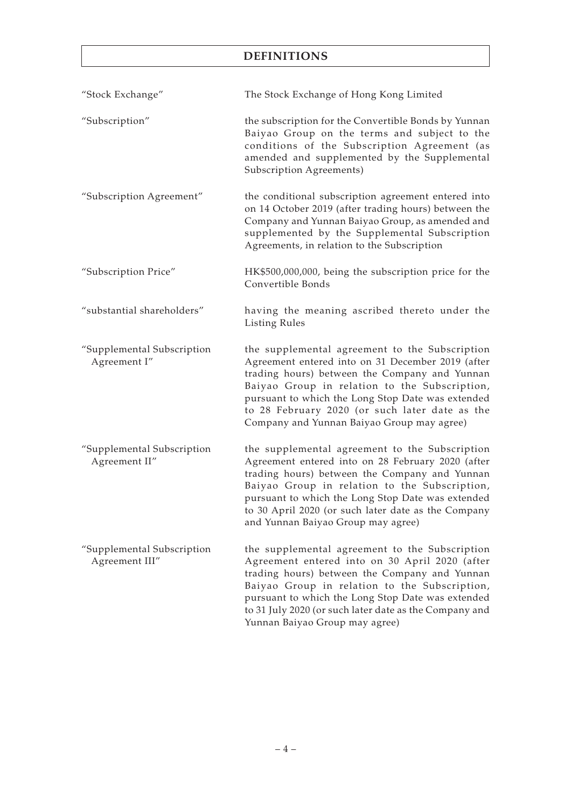| "Stock Exchange"                             | The Stock Exchange of Hong Kong Limited                                                                                                                                                                                                                                                                                                                    |
|----------------------------------------------|------------------------------------------------------------------------------------------------------------------------------------------------------------------------------------------------------------------------------------------------------------------------------------------------------------------------------------------------------------|
| "Subscription"                               | the subscription for the Convertible Bonds by Yunnan<br>Baiyao Group on the terms and subject to the<br>conditions of the Subscription Agreement (as<br>amended and supplemented by the Supplemental<br>Subscription Agreements)                                                                                                                           |
| "Subscription Agreement"                     | the conditional subscription agreement entered into<br>on 14 October 2019 (after trading hours) between the<br>Company and Yunnan Baiyao Group, as amended and<br>supplemented by the Supplemental Subscription<br>Agreements, in relation to the Subscription                                                                                             |
| "Subscription Price"                         | HK\$500,000,000, being the subscription price for the<br>Convertible Bonds                                                                                                                                                                                                                                                                                 |
| "substantial shareholders"                   | having the meaning ascribed thereto under the<br><b>Listing Rules</b>                                                                                                                                                                                                                                                                                      |
| "Supplemental Subscription<br>Agreement I"   | the supplemental agreement to the Subscription<br>Agreement entered into on 31 December 2019 (after<br>trading hours) between the Company and Yunnan<br>Baiyao Group in relation to the Subscription,<br>pursuant to which the Long Stop Date was extended<br>to 28 February 2020 (or such later date as the<br>Company and Yunnan Baiyao Group may agree) |
| "Supplemental Subscription<br>Agreement II"  | the supplemental agreement to the Subscription<br>Agreement entered into on 28 February 2020 (after<br>trading hours) between the Company and Yunnan<br>Baiyao Group in relation to the Subscription,<br>pursuant to which the Long Stop Date was extended<br>to 30 April 2020 (or such later date as the Company<br>and Yunnan Baiyao Group may agree)    |
| "Supplemental Subscription<br>Agreement III" | the supplemental agreement to the Subscription<br>Agreement entered into on 30 April 2020 (after<br>trading hours) between the Company and Yunnan<br>Baiyao Group in relation to the Subscription,<br>pursuant to which the Long Stop Date was extended<br>to 31 July 2020 (or such later date as the Company and<br>Yunnan Baiyao Group may agree)        |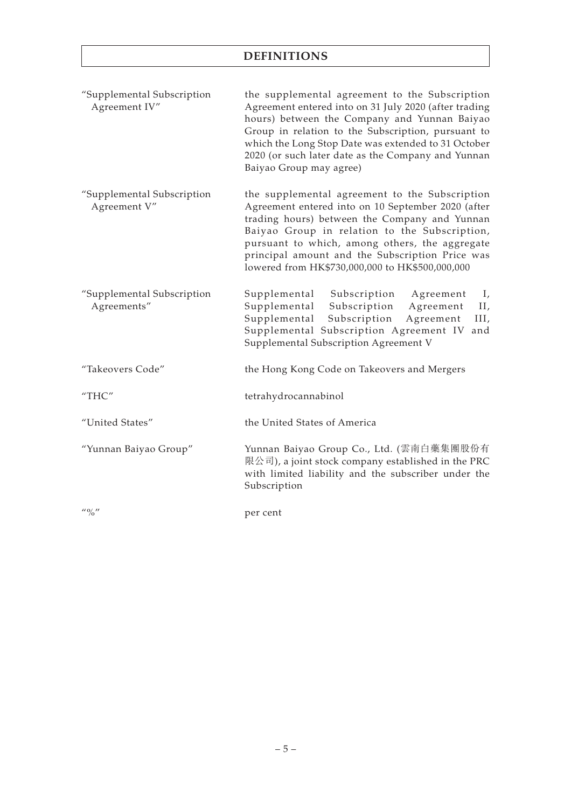| "Supplemental Subscription<br>Agreement IV" | the supplemental agreement to the Subscription<br>Agreement entered into on 31 July 2020 (after trading<br>hours) between the Company and Yunnan Baiyao<br>Group in relation to the Subscription, pursuant to<br>which the Long Stop Date was extended to 31 October<br>2020 (or such later date as the Company and Yunnan<br>Baiyao Group may agree)          |  |
|---------------------------------------------|----------------------------------------------------------------------------------------------------------------------------------------------------------------------------------------------------------------------------------------------------------------------------------------------------------------------------------------------------------------|--|
| "Supplemental Subscription<br>Agreement V"  | the supplemental agreement to the Subscription<br>Agreement entered into on 10 September 2020 (after<br>trading hours) between the Company and Yunnan<br>Baiyao Group in relation to the Subscription,<br>pursuant to which, among others, the aggregate<br>principal amount and the Subscription Price was<br>lowered from HK\$730,000,000 to HK\$500,000,000 |  |
| "Supplemental Subscription<br>Agreements"   | Supplemental Subscription<br>Agreement<br>Ι,<br>Supplemental<br>Subscription<br>Agreement<br>II,<br>Supplemental<br>Subscription<br>Agreement<br>III,<br>Supplemental Subscription Agreement IV and<br>Supplemental Subscription Agreement V                                                                                                                   |  |
| "Takeovers Code"                            | the Hong Kong Code on Takeovers and Mergers                                                                                                                                                                                                                                                                                                                    |  |
| "THC"                                       | tetrahydrocannabinol                                                                                                                                                                                                                                                                                                                                           |  |
| "United States"                             | the United States of America                                                                                                                                                                                                                                                                                                                                   |  |
| "Yunnan Baiyao Group"                       | Yunnan Baiyao Group Co., Ltd. (雲南白藥集團股份有<br>限公司), a joint stock company established in the PRC<br>with limited liability and the subscriber under the<br>Subscription                                                                                                                                                                                          |  |
| $^{\prime\prime}$ % $^{\prime\prime}$       | per cent                                                                                                                                                                                                                                                                                                                                                       |  |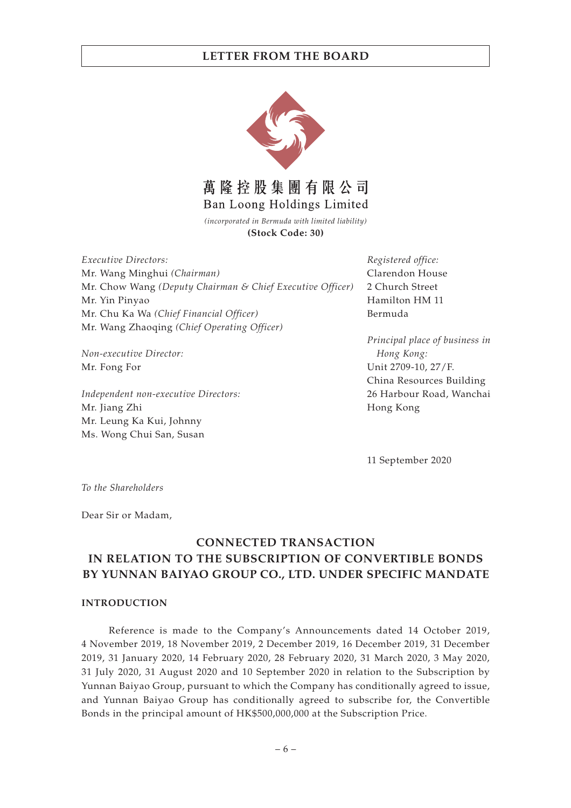

*(incorporated in Bermuda with limited liability)* **(Stock Code: 30)**

*Executive Directors:* Mr. Wang Minghui *(Chairman)* Mr. Chow Wang *(Deputy Chairman & Chief Executive Officer)* Mr. Yin Pinyao Mr. Chu Ka Wa *(Chief Financial Officer)* Mr. Wang Zhaoqing *(Chief Operating Officer)*

*Non-executive Director:* Mr. Fong For

*Independent non-executive Directors:* Mr. Jiang Zhi Mr. Leung Ka Kui, Johnny Ms. Wong Chui San, Susan

*Registered office:* Clarendon House 2 Church Street Hamilton HM 11 Bermuda

*Principal place of business in Hong Kong:* Unit 2709-10, 27/F. China Resources Building 26 Harbour Road, Wanchai Hong Kong

11 September 2020

*To the Shareholders*

Dear Sir or Madam,

# **CONNECTED TRANSACTION IN RELATION TO THE SUBSCRIPTION OF CONVERTIBLE BONDS BY YUNNAN BAIYAO GROUP CO., LTD. UNDER SPECIFIC MANDATE**

#### **INTRODUCTION**

Reference is made to the Company's Announcements dated 14 October 2019, 4 November 2019, 18 November 2019, 2 December 2019, 16 December 2019, 31 December 2019, 31 January 2020, 14 February 2020, 28 February 2020, 31 March 2020, 3 May 2020, 31 July 2020, 31 August 2020 and 10 September 2020 in relation to the Subscription by Yunnan Baiyao Group, pursuant to which the Company has conditionally agreed to issue, and Yunnan Baiyao Group has conditionally agreed to subscribe for, the Convertible Bonds in the principal amount of HK\$500,000,000 at the Subscription Price.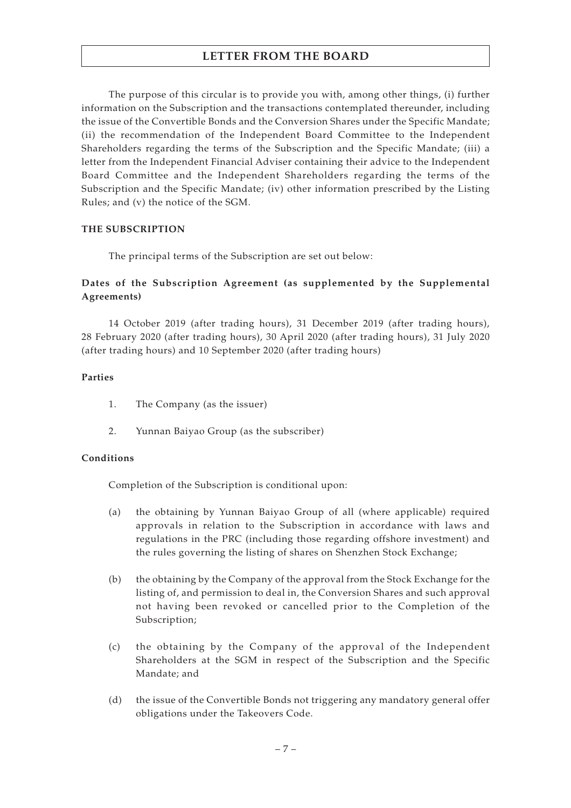The purpose of this circular is to provide you with, among other things, (i) further information on the Subscription and the transactions contemplated thereunder, including the issue of the Convertible Bonds and the Conversion Shares under the Specific Mandate; (ii) the recommendation of the Independent Board Committee to the Independent Shareholders regarding the terms of the Subscription and the Specific Mandate; (iii) a letter from the Independent Financial Adviser containing their advice to the Independent Board Committee and the Independent Shareholders regarding the terms of the Subscription and the Specific Mandate; (iv) other information prescribed by the Listing Rules; and (v) the notice of the SGM.

#### **THE SUBSCRIPTION**

The principal terms of the Subscription are set out below:

## **Dates of the Subscription Agreement (as supplemented by the Supplemental Agreements)**

14 October 2019 (after trading hours), 31 December 2019 (after trading hours), 28 February 2020 (after trading hours), 30 April 2020 (after trading hours), 31 July 2020 (after trading hours) and 10 September 2020 (after trading hours)

#### **Parties**

- 1. The Company (as the issuer)
- 2. Yunnan Baiyao Group (as the subscriber)

#### **Conditions**

Completion of the Subscription is conditional upon:

- (a) the obtaining by Yunnan Baiyao Group of all (where applicable) required approvals in relation to the Subscription in accordance with laws and regulations in the PRC (including those regarding offshore investment) and the rules governing the listing of shares on Shenzhen Stock Exchange;
- (b) the obtaining by the Company of the approval from the Stock Exchange for the listing of, and permission to deal in, the Conversion Shares and such approval not having been revoked or cancelled prior to the Completion of the Subscription;
- (c) the obtaining by the Company of the approval of the Independent Shareholders at the SGM in respect of the Subscription and the Specific Mandate; and
- (d) the issue of the Convertible Bonds not triggering any mandatory general offer obligations under the Takeovers Code.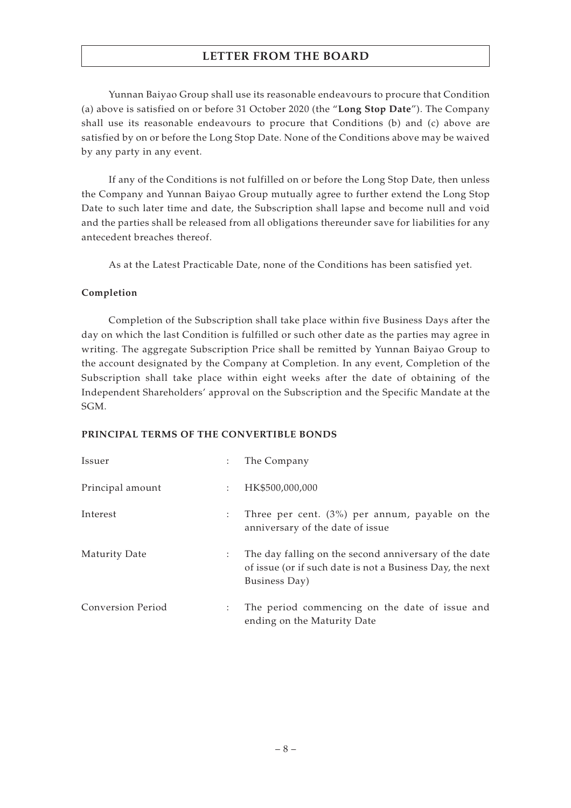Yunnan Baiyao Group shall use its reasonable endeavours to procure that Condition (a) above is satisfied on or before 31 October 2020 (the "**Long Stop Date**"). The Company shall use its reasonable endeavours to procure that Conditions (b) and (c) above are satisfied by on or before the Long Stop Date. None of the Conditions above may be waived by any party in any event.

If any of the Conditions is not fulfilled on or before the Long Stop Date, then unless the Company and Yunnan Baiyao Group mutually agree to further extend the Long Stop Date to such later time and date, the Subscription shall lapse and become null and void and the parties shall be released from all obligations thereunder save for liabilities for any antecedent breaches thereof.

As at the Latest Practicable Date, none of the Conditions has been satisfied yet.

#### **Completion**

Completion of the Subscription shall take place within five Business Days after the day on which the last Condition is fulfilled or such other date as the parties may agree in writing. The aggregate Subscription Price shall be remitted by Yunnan Baiyao Group to the account designated by the Company at Completion. In any event, Completion of the Subscription shall take place within eight weeks after the date of obtaining of the Independent Shareholders' approval on the Subscription and the Specific Mandate at the SGM.

#### **PRINCIPAL TERMS OF THE CONVERTIBLE BONDS**

| Issuer                   | ÷                         | The Company                                                                                                                         |
|--------------------------|---------------------------|-------------------------------------------------------------------------------------------------------------------------------------|
| Principal amount         | $\mathbb{R}^n$            | HK\$500,000,000                                                                                                                     |
| Interest                 | $\ddot{\phantom{a}}$      | Three per cent. $(3%)$ per annum, payable on the<br>anniversary of the date of issue                                                |
| Maturity Date            | ÷                         | The day falling on the second anniversary of the date<br>of issue (or if such date is not a Business Day, the next<br>Business Day) |
| <b>Conversion Period</b> | $\mathbb{Z}^{\mathbb{Z}}$ | The period commencing on the date of issue and<br>ending on the Maturity Date                                                       |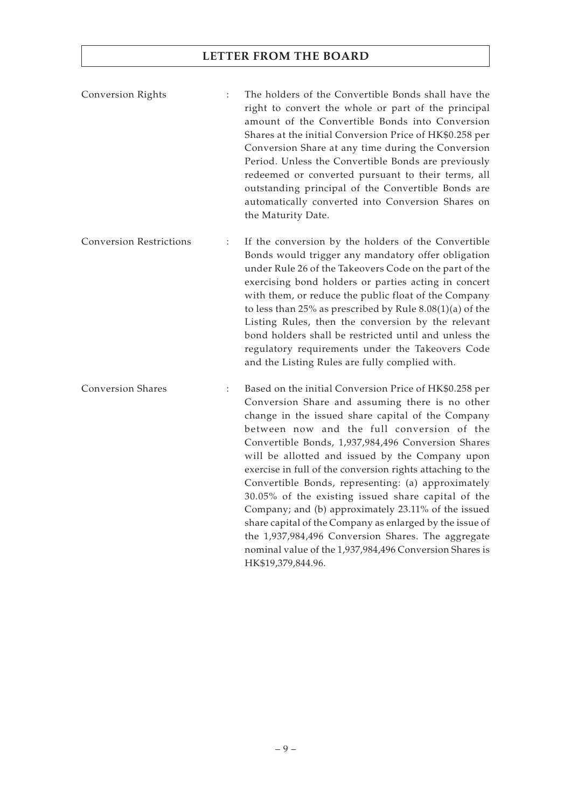Conversion Rights : The holders of the Convertible Bonds shall have the right to convert the whole or part of the principal amount of the Convertible Bonds into Conversion Shares at the initial Conversion Price of HK\$0.258 per Conversion Share at any time during the Conversion Period. Unless the Convertible Bonds are previously redeemed or converted pursuant to their terms, all outstanding principal of the Convertible Bonds are automatically converted into Conversion Shares on the Maturity Date.

Conversion Restrictions : If the conversion by the holders of the Convertible Bonds would trigger any mandatory offer obligation under Rule 26 of the Takeovers Code on the part of the exercising bond holders or parties acting in concert with them, or reduce the public float of the Company to less than 25% as prescribed by Rule 8.08(1)(a) of the Listing Rules, then the conversion by the relevant bond holders shall be restricted until and unless the regulatory requirements under the Takeovers Code and the Listing Rules are fully complied with.

Conversion Shares : Based on the initial Conversion Price of HK\$0.258 per Conversion Share and assuming there is no other change in the issued share capital of the Company between now and the full conversion of the Convertible Bonds, 1,937,984,496 Conversion Shares will be allotted and issued by the Company upon exercise in full of the conversion rights attaching to the Convertible Bonds, representing: (a) approximately 30.05% of the existing issued share capital of the Company; and (b) approximately 23.11% of the issued share capital of the Company as enlarged by the issue of the 1,937,984,496 Conversion Shares. The aggregate nominal value of the 1,937,984,496 Conversion Shares is HK\$19,379,844.96.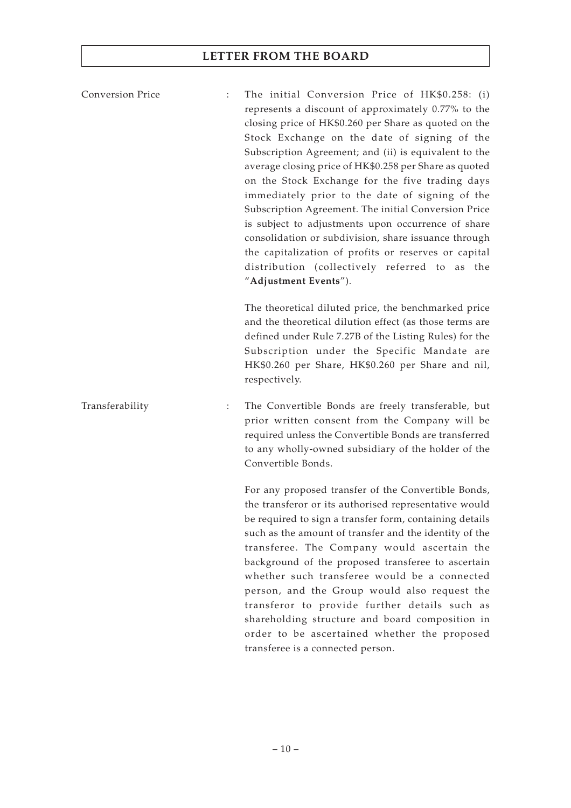Conversion Price : The initial Conversion Price of HK\$0.258: (i) represents a discount of approximately 0.77% to the closing price of HK\$0.260 per Share as quoted on the Stock Exchange on the date of signing of the Subscription Agreement; and (ii) is equivalent to the average closing price of HK\$0.258 per Share as quoted on the Stock Exchange for the five trading days immediately prior to the date of signing of the Subscription Agreement. The initial Conversion Price is subject to adjustments upon occurrence of share consolidation or subdivision, share issuance through the capitalization of profits or reserves or capital distribution (collectively referred to as the "**Adjustment Events**").

> The theoretical diluted price, the benchmarked price and the theoretical dilution effect (as those terms are defined under Rule 7.27B of the Listing Rules) for the Subscription under the Specific Mandate are HK\$0.260 per Share, HK\$0.260 per Share and nil, respectively.

Transferability : The Convertible Bonds are freely transferable, but prior written consent from the Company will be required unless the Convertible Bonds are transferred to any wholly-owned subsidiary of the holder of the Convertible Bonds.

> For any proposed transfer of the Convertible Bonds, the transferor or its authorised representative would be required to sign a transfer form, containing details such as the amount of transfer and the identity of the transferee. The Company would ascertain the background of the proposed transferee to ascertain whether such transferee would be a connected person, and the Group would also request the transferor to provide further details such as shareholding structure and board composition in order to be ascertained whether the proposed transferee is a connected person.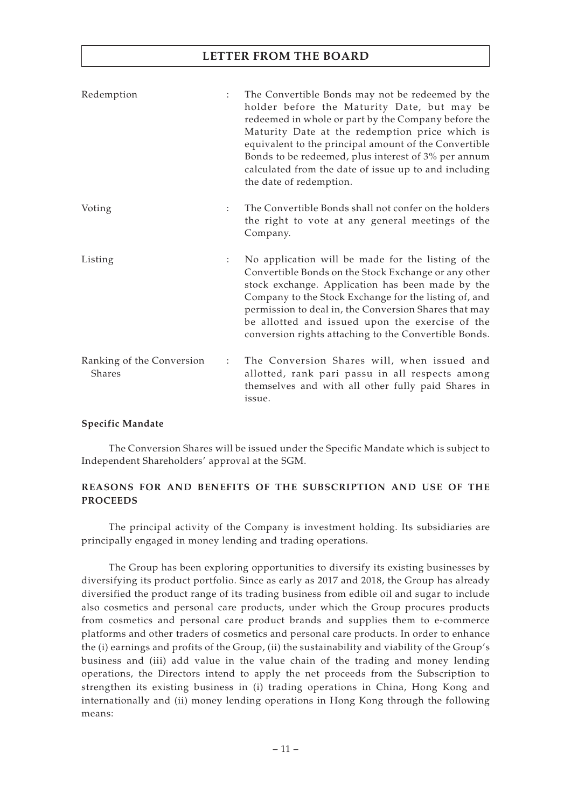| Redemption                          | ÷            | The Convertible Bonds may not be redeemed by the<br>holder before the Maturity Date, but may be<br>redeemed in whole or part by the Company before the<br>Maturity Date at the redemption price which is<br>equivalent to the principal amount of the Convertible<br>Bonds to be redeemed, plus interest of 3% per annum<br>calculated from the date of issue up to and including<br>the date of redemption. |
|-------------------------------------|--------------|--------------------------------------------------------------------------------------------------------------------------------------------------------------------------------------------------------------------------------------------------------------------------------------------------------------------------------------------------------------------------------------------------------------|
| Voting                              | ÷            | The Convertible Bonds shall not confer on the holders<br>the right to vote at any general meetings of the<br>Company.                                                                                                                                                                                                                                                                                        |
| Listing                             | ÷            | No application will be made for the listing of the<br>Convertible Bonds on the Stock Exchange or any other<br>stock exchange. Application has been made by the<br>Company to the Stock Exchange for the listing of, and<br>permission to deal in, the Conversion Shares that may<br>be allotted and issued upon the exercise of the<br>conversion rights attaching to the Convertible Bonds.                 |
| Ranking of the Conversion<br>Shares | $\mathbb{Z}$ | The Conversion Shares will, when issued and<br>allotted, rank pari passu in all respects among<br>themselves and with all other fully paid Shares in<br>issue.                                                                                                                                                                                                                                               |

#### **Specific Mandate**

The Conversion Shares will be issued under the Specific Mandate which is subject to Independent Shareholders' approval at the SGM.

#### **REASONS FOR AND BENEFITS OF THE SUBSCRIPTION AND USE OF THE PROCEEDS**

The principal activity of the Company is investment holding. Its subsidiaries are principally engaged in money lending and trading operations.

The Group has been exploring opportunities to diversify its existing businesses by diversifying its product portfolio. Since as early as 2017 and 2018, the Group has already diversified the product range of its trading business from edible oil and sugar to include also cosmetics and personal care products, under which the Group procures products from cosmetics and personal care product brands and supplies them to e-commerce platforms and other traders of cosmetics and personal care products. In order to enhance the (i) earnings and profits of the Group, (ii) the sustainability and viability of the Group's business and (iii) add value in the value chain of the trading and money lending operations, the Directors intend to apply the net proceeds from the Subscription to strengthen its existing business in (i) trading operations in China, Hong Kong and internationally and (ii) money lending operations in Hong Kong through the following means: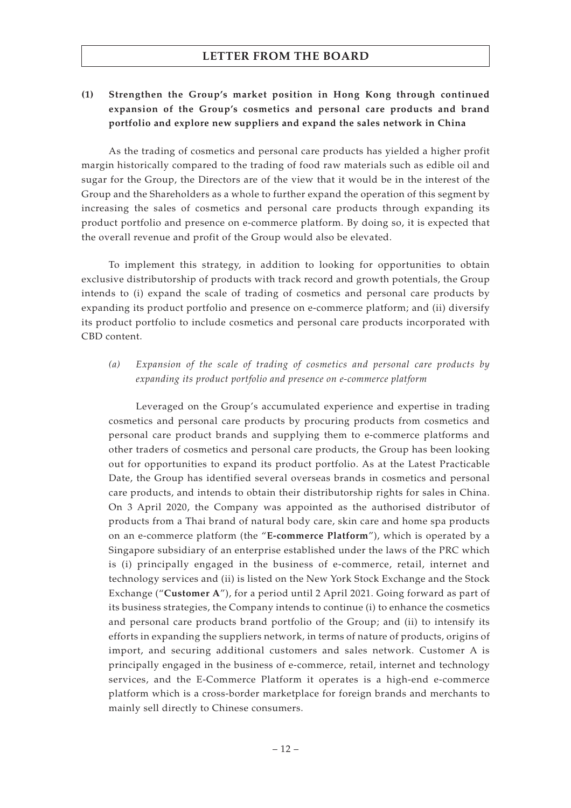## **(1) Strengthen the Group's market position in Hong Kong through continued expansion of the Group's cosmetics and personal care products and brand portfolio and explore new suppliers and expand the sales network in China**

As the trading of cosmetics and personal care products has yielded a higher profit margin historically compared to the trading of food raw materials such as edible oil and sugar for the Group, the Directors are of the view that it would be in the interest of the Group and the Shareholders as a whole to further expand the operation of this segment by increasing the sales of cosmetics and personal care products through expanding its product portfolio and presence on e-commerce platform. By doing so, it is expected that the overall revenue and profit of the Group would also be elevated.

To implement this strategy, in addition to looking for opportunities to obtain exclusive distributorship of products with track record and growth potentials, the Group intends to (i) expand the scale of trading of cosmetics and personal care products by expanding its product portfolio and presence on e-commerce platform; and (ii) diversify its product portfolio to include cosmetics and personal care products incorporated with CBD content.

*(a) Expansion of the scale of trading of cosmetics and personal care products by expanding its product portfolio and presence on e-commerce platform*

Leveraged on the Group's accumulated experience and expertise in trading cosmetics and personal care products by procuring products from cosmetics and personal care product brands and supplying them to e-commerce platforms and other traders of cosmetics and personal care products, the Group has been looking out for opportunities to expand its product portfolio. As at the Latest Practicable Date, the Group has identified several overseas brands in cosmetics and personal care products, and intends to obtain their distributorship rights for sales in China. On 3 April 2020, the Company was appointed as the authorised distributor of products from a Thai brand of natural body care, skin care and home spa products on an e-commerce platform (the "**E-commerce Platform**"), which is operated by a Singapore subsidiary of an enterprise established under the laws of the PRC which is (i) principally engaged in the business of e-commerce, retail, internet and technology services and (ii) is listed on the New York Stock Exchange and the Stock Exchange ("**Customer A**"), for a period until 2 April 2021. Going forward as part of its business strategies, the Company intends to continue (i) to enhance the cosmetics and personal care products brand portfolio of the Group; and (ii) to intensify its efforts in expanding the suppliers network, in terms of nature of products, origins of import, and securing additional customers and sales network. Customer A is principally engaged in the business of e-commerce, retail, internet and technology services, and the E-Commerce Platform it operates is a high-end e-commerce platform which is a cross-border marketplace for foreign brands and merchants to mainly sell directly to Chinese consumers.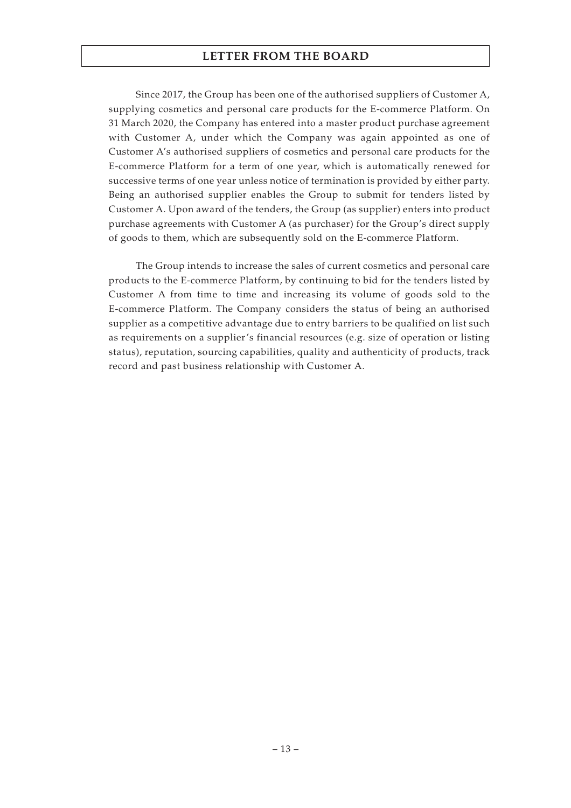Since 2017, the Group has been one of the authorised suppliers of Customer A, supplying cosmetics and personal care products for the E-commerce Platform. On 31 March 2020, the Company has entered into a master product purchase agreement with Customer A, under which the Company was again appointed as one of Customer A's authorised suppliers of cosmetics and personal care products for the E-commerce Platform for a term of one year, which is automatically renewed for successive terms of one year unless notice of termination is provided by either party. Being an authorised supplier enables the Group to submit for tenders listed by Customer A. Upon award of the tenders, the Group (as supplier) enters into product purchase agreements with Customer A (as purchaser) for the Group's direct supply of goods to them, which are subsequently sold on the E-commerce Platform.

The Group intends to increase the sales of current cosmetics and personal care products to the E-commerce Platform, by continuing to bid for the tenders listed by Customer A from time to time and increasing its volume of goods sold to the E-commerce Platform. The Company considers the status of being an authorised supplier as a competitive advantage due to entry barriers to be qualified on list such as requirements on a supplier's financial resources (e.g. size of operation or listing status), reputation, sourcing capabilities, quality and authenticity of products, track record and past business relationship with Customer A.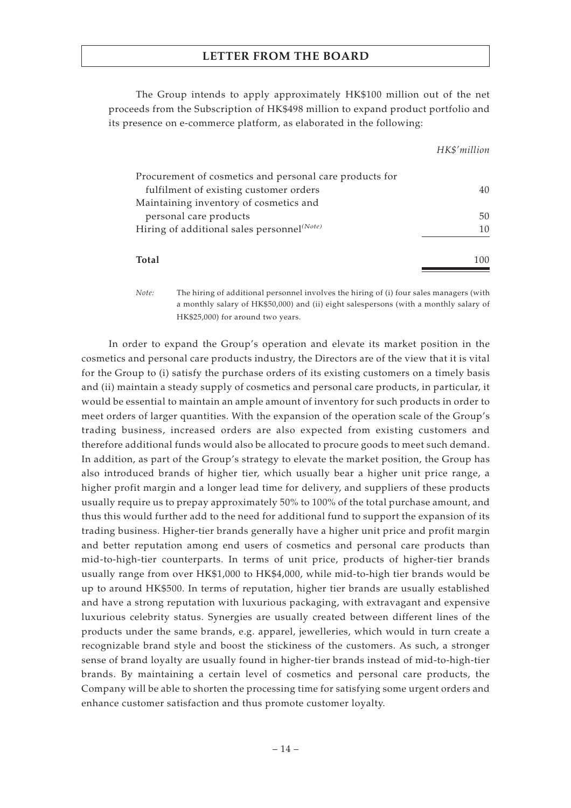The Group intends to apply approximately HK\$100 million out of the net proceeds from the Subscription of HK\$498 million to expand product portfolio and its presence on e-commerce platform, as elaborated in the following:

*HK\$'million*

| Procurement of cosmetics and personal care products for |     |
|---------------------------------------------------------|-----|
| fulfilment of existing customer orders                  |     |
| Maintaining inventory of cosmetics and                  |     |
| personal care products                                  | 50. |
| Hiring of additional sales personnel <sup>(Note)</sup>  | 10  |
| Total                                                   | 100 |

*Note:* The hiring of additional personnel involves the hiring of (i) four sales managers (with a monthly salary of HK\$50,000) and (ii) eight salespersons (with a monthly salary of HK\$25,000) for around two years.

In order to expand the Group's operation and elevate its market position in the cosmetics and personal care products industry, the Directors are of the view that it is vital for the Group to (i) satisfy the purchase orders of its existing customers on a timely basis and (ii) maintain a steady supply of cosmetics and personal care products, in particular, it would be essential to maintain an ample amount of inventory for such products in order to meet orders of larger quantities. With the expansion of the operation scale of the Group's trading business, increased orders are also expected from existing customers and therefore additional funds would also be allocated to procure goods to meet such demand. In addition, as part of the Group's strategy to elevate the market position, the Group has also introduced brands of higher tier, which usually bear a higher unit price range, a higher profit margin and a longer lead time for delivery, and suppliers of these products usually require us to prepay approximately 50% to 100% of the total purchase amount, and thus this would further add to the need for additional fund to support the expansion of its trading business. Higher-tier brands generally have a higher unit price and profit margin and better reputation among end users of cosmetics and personal care products than mid-to-high-tier counterparts. In terms of unit price, products of higher-tier brands usually range from over HK\$1,000 to HK\$4,000, while mid-to-high tier brands would be up to around HK\$500. In terms of reputation, higher tier brands are usually established and have a strong reputation with luxurious packaging, with extravagant and expensive luxurious celebrity status. Synergies are usually created between different lines of the products under the same brands, e.g. apparel, jewelleries, which would in turn create a recognizable brand style and boost the stickiness of the customers. As such, a stronger sense of brand loyalty are usually found in higher-tier brands instead of mid-to-high-tier brands. By maintaining a certain level of cosmetics and personal care products, the Company will be able to shorten the processing time for satisfying some urgent orders and enhance customer satisfaction and thus promote customer loyalty.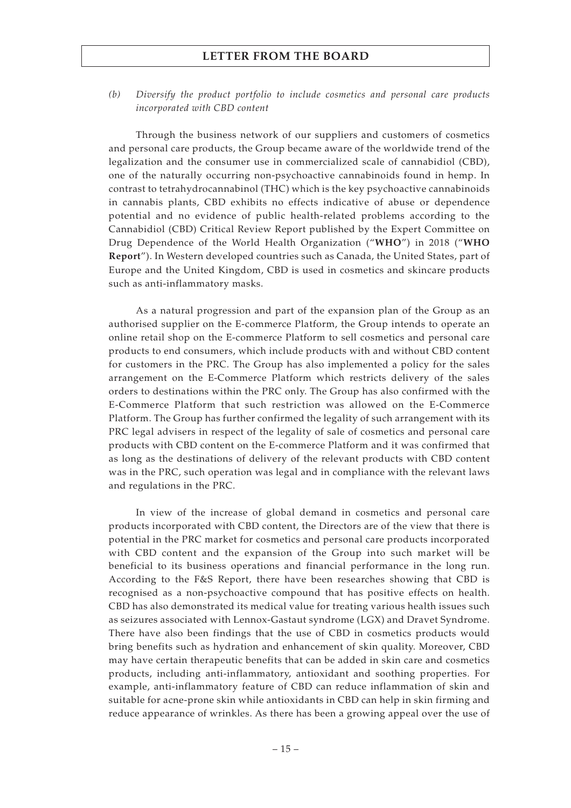*(b) Diversify the product portfolio to include cosmetics and personal care products incorporated with CBD content*

Through the business network of our suppliers and customers of cosmetics and personal care products, the Group became aware of the worldwide trend of the legalization and the consumer use in commercialized scale of cannabidiol (CBD), one of the naturally occurring non-psychoactive cannabinoids found in hemp. In contrast to tetrahydrocannabinol (THC) which is the key psychoactive cannabinoids in cannabis plants, CBD exhibits no effects indicative of abuse or dependence potential and no evidence of public health-related problems according to the Cannabidiol (CBD) Critical Review Report published by the Expert Committee on Drug Dependence of the World Health Organization ("**WHO**") in 2018 ("**WHO Report**"). In Western developed countries such as Canada, the United States, part of Europe and the United Kingdom, CBD is used in cosmetics and skincare products such as anti-inflammatory masks.

As a natural progression and part of the expansion plan of the Group as an authorised supplier on the E-commerce Platform, the Group intends to operate an online retail shop on the E-commerce Platform to sell cosmetics and personal care products to end consumers, which include products with and without CBD content for customers in the PRC. The Group has also implemented a policy for the sales arrangement on the E-Commerce Platform which restricts delivery of the sales orders to destinations within the PRC only. The Group has also confirmed with the E-Commerce Platform that such restriction was allowed on the E-Commerce Platform. The Group has further confirmed the legality of such arrangement with its PRC legal advisers in respect of the legality of sale of cosmetics and personal care products with CBD content on the E-commerce Platform and it was confirmed that as long as the destinations of delivery of the relevant products with CBD content was in the PRC, such operation was legal and in compliance with the relevant laws and regulations in the PRC.

In view of the increase of global demand in cosmetics and personal care products incorporated with CBD content, the Directors are of the view that there is potential in the PRC market for cosmetics and personal care products incorporated with CBD content and the expansion of the Group into such market will be beneficial to its business operations and financial performance in the long run. According to the F&S Report, there have been researches showing that CBD is recognised as a non-psychoactive compound that has positive effects on health. CBD has also demonstrated its medical value for treating various health issues such as seizures associated with Lennox-Gastaut syndrome (LGX) and Dravet Syndrome. There have also been findings that the use of CBD in cosmetics products would bring benefits such as hydration and enhancement of skin quality. Moreover, CBD may have certain therapeutic benefits that can be added in skin care and cosmetics products, including anti-inflammatory, antioxidant and soothing properties. For example, anti-inflammatory feature of CBD can reduce inflammation of skin and suitable for acne-prone skin while antioxidants in CBD can help in skin firming and reduce appearance of wrinkles. As there has been a growing appeal over the use of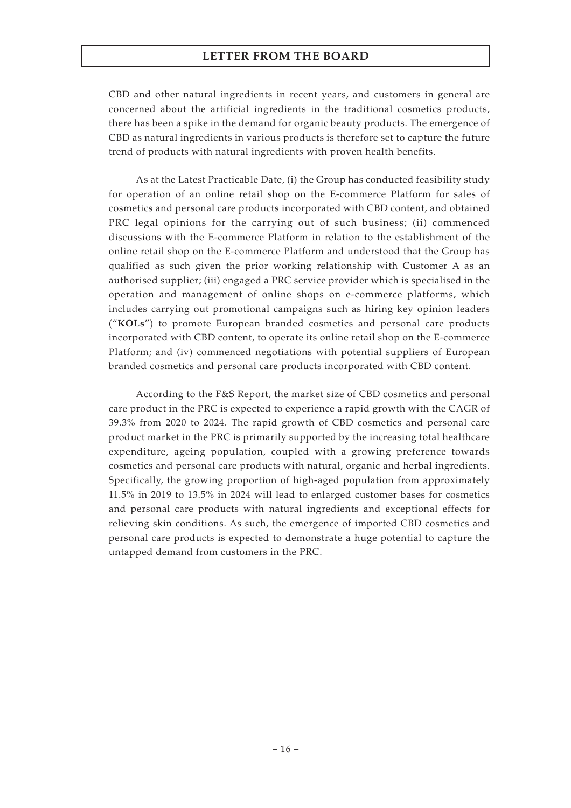CBD and other natural ingredients in recent years, and customers in general are concerned about the artificial ingredients in the traditional cosmetics products, there has been a spike in the demand for organic beauty products. The emergence of CBD as natural ingredients in various products is therefore set to capture the future trend of products with natural ingredients with proven health benefits.

As at the Latest Practicable Date, (i) the Group has conducted feasibility study for operation of an online retail shop on the E-commerce Platform for sales of cosmetics and personal care products incorporated with CBD content, and obtained PRC legal opinions for the carrying out of such business; (ii) commenced discussions with the E-commerce Platform in relation to the establishment of the online retail shop on the E-commerce Platform and understood that the Group has qualified as such given the prior working relationship with Customer A as an authorised supplier; (iii) engaged a PRC service provider which is specialised in the operation and management of online shops on e-commerce platforms, which includes carrying out promotional campaigns such as hiring key opinion leaders ("**KOLs**") to promote European branded cosmetics and personal care products incorporated with CBD content, to operate its online retail shop on the E-commerce Platform; and (iv) commenced negotiations with potential suppliers of European branded cosmetics and personal care products incorporated with CBD content.

According to the F&S Report, the market size of CBD cosmetics and personal care product in the PRC is expected to experience a rapid growth with the CAGR of 39.3% from 2020 to 2024. The rapid growth of CBD cosmetics and personal care product market in the PRC is primarily supported by the increasing total healthcare expenditure, ageing population, coupled with a growing preference towards cosmetics and personal care products with natural, organic and herbal ingredients. Specifically, the growing proportion of high-aged population from approximately 11.5% in 2019 to 13.5% in 2024 will lead to enlarged customer bases for cosmetics and personal care products with natural ingredients and exceptional effects for relieving skin conditions. As such, the emergence of imported CBD cosmetics and personal care products is expected to demonstrate a huge potential to capture the untapped demand from customers in the PRC.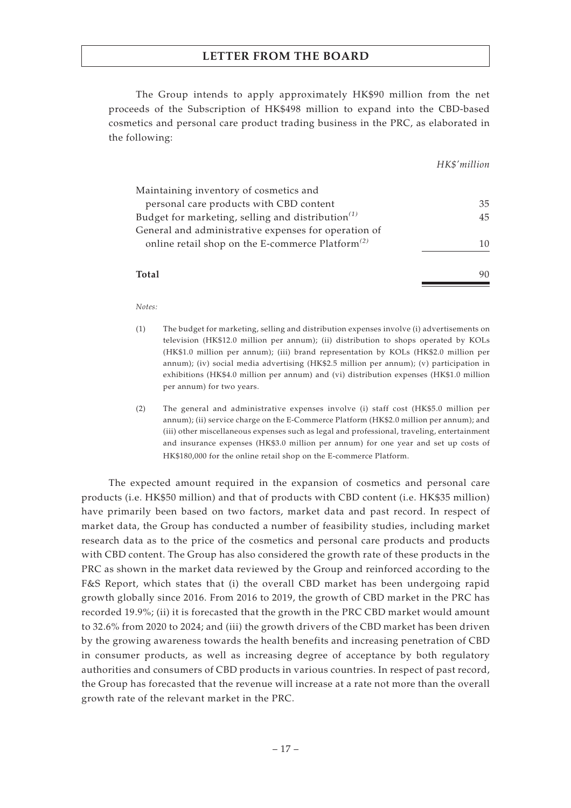The Group intends to apply approximately HK\$90 million from the net proceeds of the Subscription of HK\$498 million to expand into the CBD-based cosmetics and personal care product trading business in the PRC, as elaborated in the following:

*HK\$'million*

| Maintaining inventory of cosmetics and                                                                         |    |
|----------------------------------------------------------------------------------------------------------------|----|
| personal care products with CBD content                                                                        | 35 |
| Budget for marketing, selling and distribution <sup>(1)</sup>                                                  | 45 |
| General and administrative expenses for operation of<br>online retail shop on the E-commerce Platform $^{(2)}$ | 10 |
| Total                                                                                                          |    |

*Notes:*

- (1) The budget for marketing, selling and distribution expenses involve (i) advertisements on television (HK\$12.0 million per annum); (ii) distribution to shops operated by KOLs (HK\$1.0 million per annum); (iii) brand representation by KOLs (HK\$2.0 million per annum); (iv) social media advertising (HK\$2.5 million per annum); (v) participation in exhibitions (HK\$4.0 million per annum) and (vi) distribution expenses (HK\$1.0 million per annum) for two years.
- (2) The general and administrative expenses involve (i) staff cost (HK\$5.0 million per annum); (ii) service charge on the E-Commerce Platform (HK\$2.0 million per annum); and (iii) other miscellaneous expenses such as legal and professional, traveling, entertainment and insurance expenses (HK\$3.0 million per annum) for one year and set up costs of HK\$180,000 for the online retail shop on the E-commerce Platform.

The expected amount required in the expansion of cosmetics and personal care products (i.e. HK\$50 million) and that of products with CBD content (i.e. HK\$35 million) have primarily been based on two factors, market data and past record. In respect of market data, the Group has conducted a number of feasibility studies, including market research data as to the price of the cosmetics and personal care products and products with CBD content. The Group has also considered the growth rate of these products in the PRC as shown in the market data reviewed by the Group and reinforced according to the F&S Report, which states that (i) the overall CBD market has been undergoing rapid growth globally since 2016. From 2016 to 2019, the growth of CBD market in the PRC has recorded 19.9%; (ii) it is forecasted that the growth in the PRC CBD market would amount to 32.6% from 2020 to 2024; and (iii) the growth drivers of the CBD market has been driven by the growing awareness towards the health benefits and increasing penetration of CBD in consumer products, as well as increasing degree of acceptance by both regulatory authorities and consumers of CBD products in various countries. In respect of past record, the Group has forecasted that the revenue will increase at a rate not more than the overall growth rate of the relevant market in the PRC.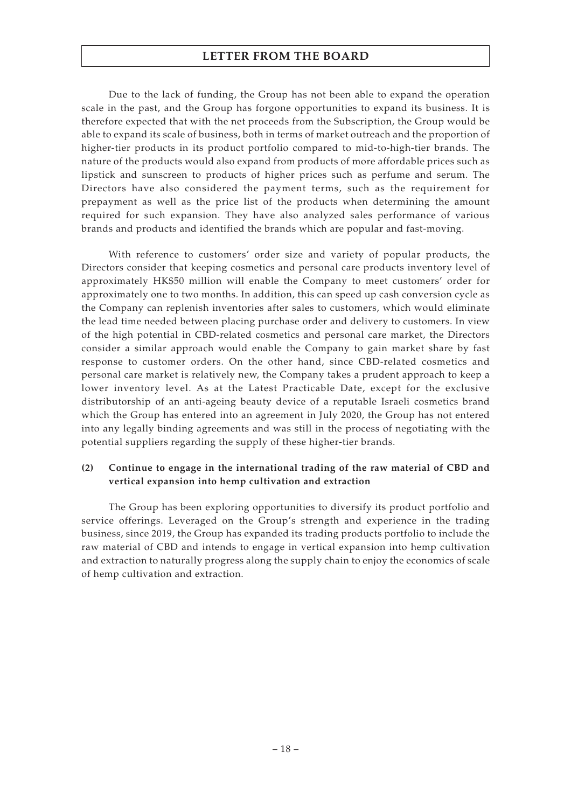Due to the lack of funding, the Group has not been able to expand the operation scale in the past, and the Group has forgone opportunities to expand its business. It is therefore expected that with the net proceeds from the Subscription, the Group would be able to expand its scale of business, both in terms of market outreach and the proportion of higher-tier products in its product portfolio compared to mid-to-high-tier brands. The nature of the products would also expand from products of more affordable prices such as lipstick and sunscreen to products of higher prices such as perfume and serum. The Directors have also considered the payment terms, such as the requirement for prepayment as well as the price list of the products when determining the amount required for such expansion. They have also analyzed sales performance of various brands and products and identified the brands which are popular and fast-moving.

With reference to customers' order size and variety of popular products, the Directors consider that keeping cosmetics and personal care products inventory level of approximately HK\$50 million will enable the Company to meet customers' order for approximately one to two months. In addition, this can speed up cash conversion cycle as the Company can replenish inventories after sales to customers, which would eliminate the lead time needed between placing purchase order and delivery to customers. In view of the high potential in CBD-related cosmetics and personal care market, the Directors consider a similar approach would enable the Company to gain market share by fast response to customer orders. On the other hand, since CBD-related cosmetics and personal care market is relatively new, the Company takes a prudent approach to keep a lower inventory level. As at the Latest Practicable Date, except for the exclusive distributorship of an anti-ageing beauty device of a reputable Israeli cosmetics brand which the Group has entered into an agreement in July 2020, the Group has not entered into any legally binding agreements and was still in the process of negotiating with the potential suppliers regarding the supply of these higher-tier brands.

#### **(2) Continue to engage in the international trading of the raw material of CBD and vertical expansion into hemp cultivation and extraction**

The Group has been exploring opportunities to diversify its product portfolio and service offerings. Leveraged on the Group's strength and experience in the trading business, since 2019, the Group has expanded its trading products portfolio to include the raw material of CBD and intends to engage in vertical expansion into hemp cultivation and extraction to naturally progress along the supply chain to enjoy the economics of scale of hemp cultivation and extraction.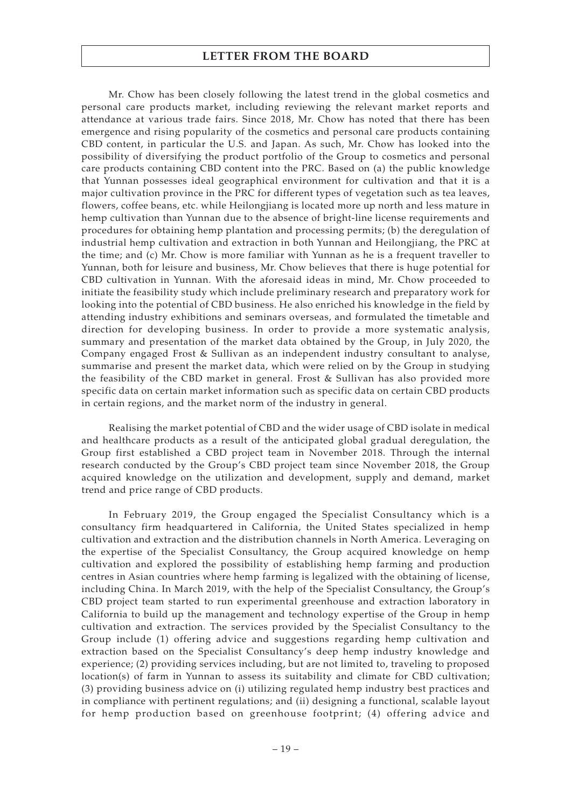Mr. Chow has been closely following the latest trend in the global cosmetics and personal care products market, including reviewing the relevant market reports and attendance at various trade fairs. Since 2018, Mr. Chow has noted that there has been emergence and rising popularity of the cosmetics and personal care products containing CBD content, in particular the U.S. and Japan. As such, Mr. Chow has looked into the possibility of diversifying the product portfolio of the Group to cosmetics and personal care products containing CBD content into the PRC. Based on (a) the public knowledge that Yunnan possesses ideal geographical environment for cultivation and that it is a major cultivation province in the PRC for different types of vegetation such as tea leaves, flowers, coffee beans, etc. while Heilongjiang is located more up north and less mature in hemp cultivation than Yunnan due to the absence of bright-line license requirements and procedures for obtaining hemp plantation and processing permits; (b) the deregulation of industrial hemp cultivation and extraction in both Yunnan and Heilongjiang, the PRC at the time; and (c) Mr. Chow is more familiar with Yunnan as he is a frequent traveller to Yunnan, both for leisure and business, Mr. Chow believes that there is huge potential for CBD cultivation in Yunnan. With the aforesaid ideas in mind, Mr. Chow proceeded to initiate the feasibility study which include preliminary research and preparatory work for looking into the potential of CBD business. He also enriched his knowledge in the field by attending industry exhibitions and seminars overseas, and formulated the timetable and direction for developing business. In order to provide a more systematic analysis, summary and presentation of the market data obtained by the Group, in July 2020, the Company engaged Frost & Sullivan as an independent industry consultant to analyse, summarise and present the market data, which were relied on by the Group in studying the feasibility of the CBD market in general. Frost & Sullivan has also provided more specific data on certain market information such as specific data on certain CBD products in certain regions, and the market norm of the industry in general.

Realising the market potential of CBD and the wider usage of CBD isolate in medical and healthcare products as a result of the anticipated global gradual deregulation, the Group first established a CBD project team in November 2018. Through the internal research conducted by the Group's CBD project team since November 2018, the Group acquired knowledge on the utilization and development, supply and demand, market trend and price range of CBD products.

In February 2019, the Group engaged the Specialist Consultancy which is a consultancy firm headquartered in California, the United States specialized in hemp cultivation and extraction and the distribution channels in North America. Leveraging on the expertise of the Specialist Consultancy, the Group acquired knowledge on hemp cultivation and explored the possibility of establishing hemp farming and production centres in Asian countries where hemp farming is legalized with the obtaining of license, including China. In March 2019, with the help of the Specialist Consultancy, the Group's CBD project team started to run experimental greenhouse and extraction laboratory in California to build up the management and technology expertise of the Group in hemp cultivation and extraction. The services provided by the Specialist Consultancy to the Group include (1) offering advice and suggestions regarding hemp cultivation and extraction based on the Specialist Consultancy's deep hemp industry knowledge and experience; (2) providing services including, but are not limited to, traveling to proposed location(s) of farm in Yunnan to assess its suitability and climate for CBD cultivation; (3) providing business advice on (i) utilizing regulated hemp industry best practices and in compliance with pertinent regulations; and (ii) designing a functional, scalable layout for hemp production based on greenhouse footprint; (4) offering advice and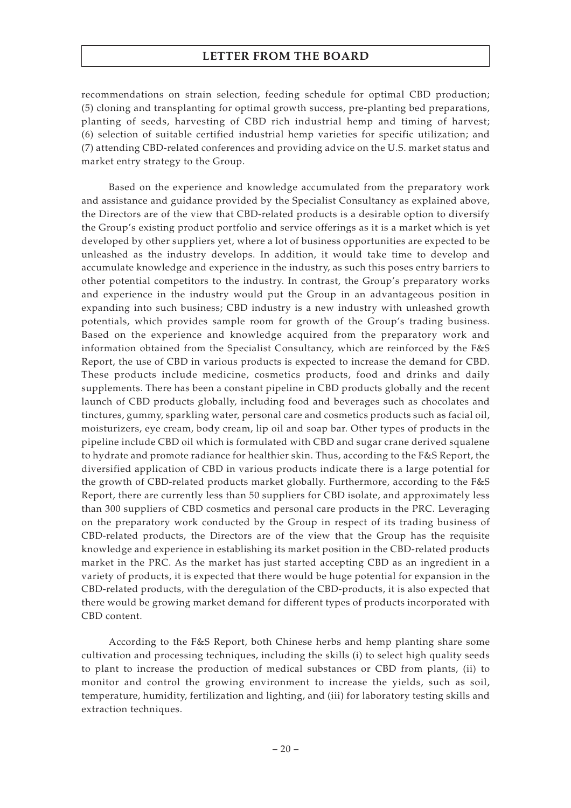recommendations on strain selection, feeding schedule for optimal CBD production; (5) cloning and transplanting for optimal growth success, pre-planting bed preparations, planting of seeds, harvesting of CBD rich industrial hemp and timing of harvest; (6) selection of suitable certified industrial hemp varieties for specific utilization; and (7) attending CBD-related conferences and providing advice on the U.S. market status and market entry strategy to the Group.

Based on the experience and knowledge accumulated from the preparatory work and assistance and guidance provided by the Specialist Consultancy as explained above, the Directors are of the view that CBD-related products is a desirable option to diversify the Group's existing product portfolio and service offerings as it is a market which is yet developed by other suppliers yet, where a lot of business opportunities are expected to be unleashed as the industry develops. In addition, it would take time to develop and accumulate knowledge and experience in the industry, as such this poses entry barriers to other potential competitors to the industry. In contrast, the Group's preparatory works and experience in the industry would put the Group in an advantageous position in expanding into such business; CBD industry is a new industry with unleashed growth potentials, which provides sample room for growth of the Group's trading business. Based on the experience and knowledge acquired from the preparatory work and information obtained from the Specialist Consultancy, which are reinforced by the F&S Report, the use of CBD in various products is expected to increase the demand for CBD. These products include medicine, cosmetics products, food and drinks and daily supplements. There has been a constant pipeline in CBD products globally and the recent launch of CBD products globally, including food and beverages such as chocolates and tinctures, gummy, sparkling water, personal care and cosmetics products such as facial oil, moisturizers, eye cream, body cream, lip oil and soap bar. Other types of products in the pipeline include CBD oil which is formulated with CBD and sugar crane derived squalene to hydrate and promote radiance for healthier skin. Thus, according to the F&S Report, the diversified application of CBD in various products indicate there is a large potential for the growth of CBD-related products market globally. Furthermore, according to the F&S Report, there are currently less than 50 suppliers for CBD isolate, and approximately less than 300 suppliers of CBD cosmetics and personal care products in the PRC. Leveraging on the preparatory work conducted by the Group in respect of its trading business of CBD-related products, the Directors are of the view that the Group has the requisite knowledge and experience in establishing its market position in the CBD-related products market in the PRC. As the market has just started accepting CBD as an ingredient in a variety of products, it is expected that there would be huge potential for expansion in the CBD-related products, with the deregulation of the CBD-products, it is also expected that there would be growing market demand for different types of products incorporated with CBD content.

According to the F&S Report, both Chinese herbs and hemp planting share some cultivation and processing techniques, including the skills (i) to select high quality seeds to plant to increase the production of medical substances or CBD from plants, (ii) to monitor and control the growing environment to increase the yields, such as soil, temperature, humidity, fertilization and lighting, and (iii) for laboratory testing skills and extraction techniques.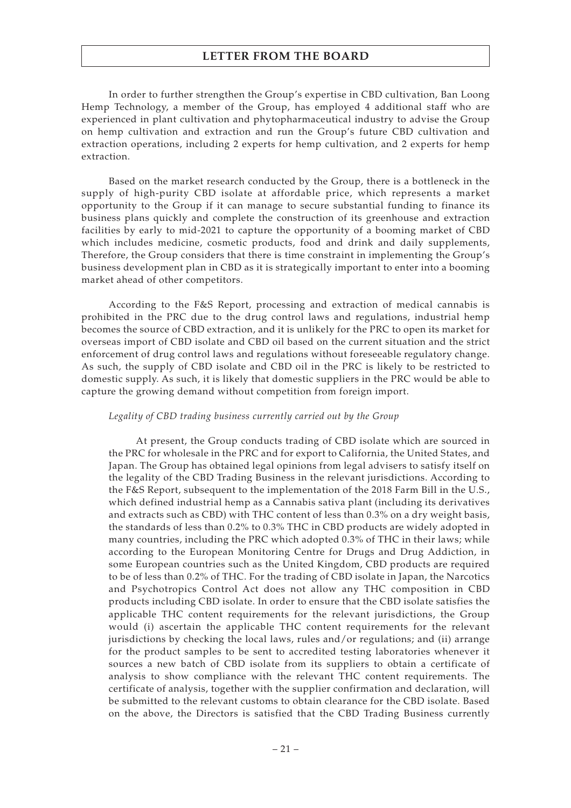In order to further strengthen the Group's expertise in CBD cultivation, Ban Loong Hemp Technology, a member of the Group, has employed 4 additional staff who are experienced in plant cultivation and phytopharmaceutical industry to advise the Group on hemp cultivation and extraction and run the Group's future CBD cultivation and extraction operations, including 2 experts for hemp cultivation, and 2 experts for hemp extraction.

Based on the market research conducted by the Group, there is a bottleneck in the supply of high-purity CBD isolate at affordable price, which represents a market opportunity to the Group if it can manage to secure substantial funding to finance its business plans quickly and complete the construction of its greenhouse and extraction facilities by early to mid-2021 to capture the opportunity of a booming market of CBD which includes medicine, cosmetic products, food and drink and daily supplements, Therefore, the Group considers that there is time constraint in implementing the Group's business development plan in CBD as it is strategically important to enter into a booming market ahead of other competitors.

According to the F&S Report, processing and extraction of medical cannabis is prohibited in the PRC due to the drug control laws and regulations, industrial hemp becomes the source of CBD extraction, and it is unlikely for the PRC to open its market for overseas import of CBD isolate and CBD oil based on the current situation and the strict enforcement of drug control laws and regulations without foreseeable regulatory change. As such, the supply of CBD isolate and CBD oil in the PRC is likely to be restricted to domestic supply. As such, it is likely that domestic suppliers in the PRC would be able to capture the growing demand without competition from foreign import.

#### *Legality of CBD trading business currently carried out by the Group*

At present, the Group conducts trading of CBD isolate which are sourced in the PRC for wholesale in the PRC and for export to California, the United States, and Japan. The Group has obtained legal opinions from legal advisers to satisfy itself on the legality of the CBD Trading Business in the relevant jurisdictions. According to the F&S Report, subsequent to the implementation of the 2018 Farm Bill in the U.S., which defined industrial hemp as a Cannabis sativa plant (including its derivatives and extracts such as CBD) with THC content of less than 0.3% on a dry weight basis, the standards of less than 0.2% to 0.3% THC in CBD products are widely adopted in many countries, including the PRC which adopted 0.3% of THC in their laws; while according to the European Monitoring Centre for Drugs and Drug Addiction, in some European countries such as the United Kingdom, CBD products are required to be of less than 0.2% of THC. For the trading of CBD isolate in Japan, the Narcotics and Psychotropics Control Act does not allow any THC composition in CBD products including CBD isolate. In order to ensure that the CBD isolate satisfies the applicable THC content requirements for the relevant jurisdictions, the Group would (i) ascertain the applicable THC content requirements for the relevant jurisdictions by checking the local laws, rules and/or regulations; and (ii) arrange for the product samples to be sent to accredited testing laboratories whenever it sources a new batch of CBD isolate from its suppliers to obtain a certificate of analysis to show compliance with the relevant THC content requirements. The certificate of analysis, together with the supplier confirmation and declaration, will be submitted to the relevant customs to obtain clearance for the CBD isolate. Based on the above, the Directors is satisfied that the CBD Trading Business currently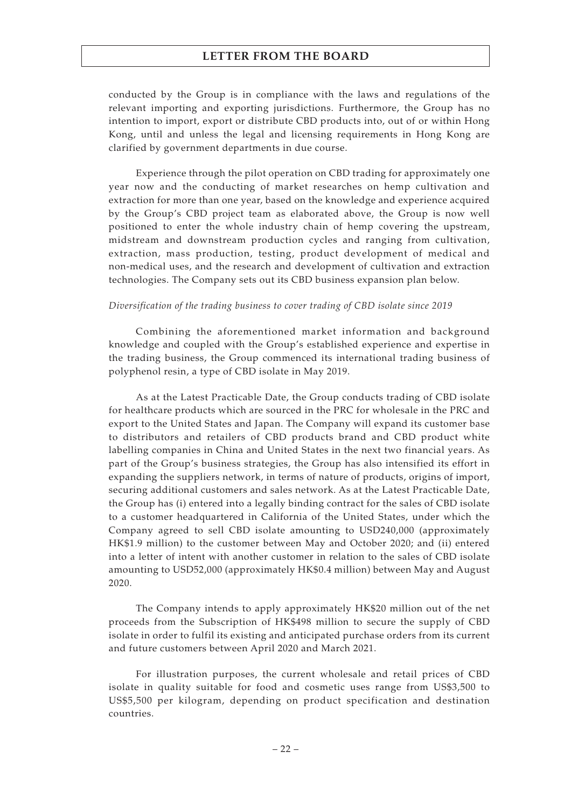conducted by the Group is in compliance with the laws and regulations of the relevant importing and exporting jurisdictions. Furthermore, the Group has no intention to import, export or distribute CBD products into, out of or within Hong Kong, until and unless the legal and licensing requirements in Hong Kong are clarified by government departments in due course.

Experience through the pilot operation on CBD trading for approximately one year now and the conducting of market researches on hemp cultivation and extraction for more than one year, based on the knowledge and experience acquired by the Group's CBD project team as elaborated above, the Group is now well positioned to enter the whole industry chain of hemp covering the upstream, midstream and downstream production cycles and ranging from cultivation, extraction, mass production, testing, product development of medical and non-medical uses, and the research and development of cultivation and extraction technologies. The Company sets out its CBD business expansion plan below.

#### *Diversification of the trading business to cover trading of CBD isolate since 2019*

Combining the aforementioned market information and background knowledge and coupled with the Group's established experience and expertise in the trading business, the Group commenced its international trading business of polyphenol resin, a type of CBD isolate in May 2019.

As at the Latest Practicable Date, the Group conducts trading of CBD isolate for healthcare products which are sourced in the PRC for wholesale in the PRC and export to the United States and Japan. The Company will expand its customer base to distributors and retailers of CBD products brand and CBD product white labelling companies in China and United States in the next two financial years. As part of the Group's business strategies, the Group has also intensified its effort in expanding the suppliers network, in terms of nature of products, origins of import, securing additional customers and sales network. As at the Latest Practicable Date, the Group has (i) entered into a legally binding contract for the sales of CBD isolate to a customer headquartered in California of the United States, under which the Company agreed to sell CBD isolate amounting to USD240,000 (approximately HK\$1.9 million) to the customer between May and October 2020; and (ii) entered into a letter of intent with another customer in relation to the sales of CBD isolate amounting to USD52,000 (approximately HK\$0.4 million) between May and August 2020.

The Company intends to apply approximately HK\$20 million out of the net proceeds from the Subscription of HK\$498 million to secure the supply of CBD isolate in order to fulfil its existing and anticipated purchase orders from its current and future customers between April 2020 and March 2021.

For illustration purposes, the current wholesale and retail prices of CBD isolate in quality suitable for food and cosmetic uses range from US\$3,500 to US\$5,500 per kilogram, depending on product specification and destination countries.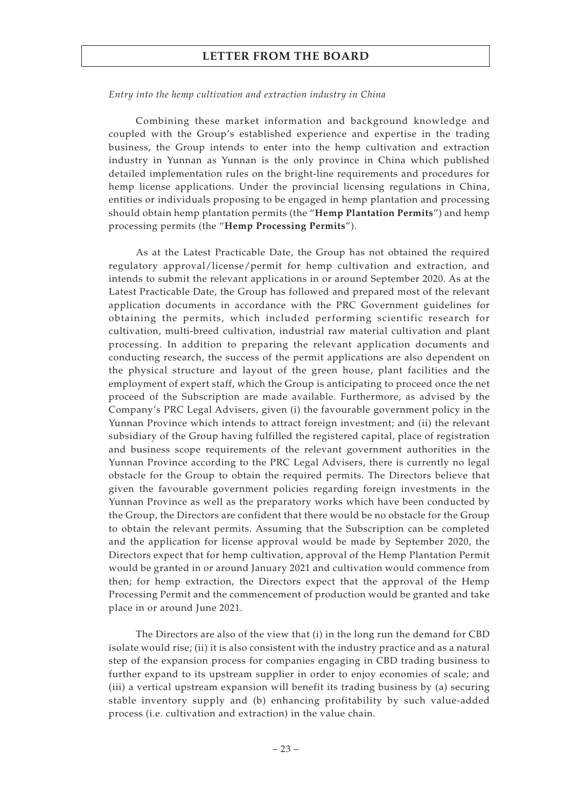#### *Entry into the hemp cultivation and extraction industry in China*

Combining these market information and background knowledge and coupled with the Group's established experience and expertise in the trading business, the Group intends to enter into the hemp cultivation and extraction industry in Yunnan as Yunnan is the only province in China which published detailed implementation rules on the bright-line requirements and procedures for hemp license applications. Under the provincial licensing regulations in China, entities or individuals proposing to be engaged in hemp plantation and processing should obtain hemp plantation permits (the "**Hemp Plantation Permits**") and hemp processing permits (the "**Hemp Processing Permits**").

As at the Latest Practicable Date, the Group has not obtained the required regulatory approval/license/permit for hemp cultivation and extraction, and intends to submit the relevant applications in or around September 2020. As at the Latest Practicable Date, the Group has followed and prepared most of the relevant application documents in accordance with the PRC Government guidelines for obtaining the permits, which included performing scientific research for cultivation, multi-breed cultivation, industrial raw material cultivation and plant processing. In addition to preparing the relevant application documents and conducting research, the success of the permit applications are also dependent on the physical structure and layout of the green house, plant facilities and the employment of expert staff, which the Group is anticipating to proceed once the net proceed of the Subscription are made available. Furthermore, as advised by the Company's PRC Legal Advisers, given (i) the favourable government policy in the Yunnan Province which intends to attract foreign investment; and (ii) the relevant subsidiary of the Group having fulfilled the registered capital, place of registration and business scope requirements of the relevant government authorities in the Yunnan Province according to the PRC Legal Advisers, there is currently no legal obstacle for the Group to obtain the required permits. The Directors believe that given the favourable government policies regarding foreign investments in the Yunnan Province as well as the preparatory works which have been conducted by the Group, the Directors are confident that there would be no obstacle for the Group to obtain the relevant permits. Assuming that the Subscription can be completed and the application for license approval would be made by September 2020, the Directors expect that for hemp cultivation, approval of the Hemp Plantation Permit would be granted in or around January 2021 and cultivation would commence from then; for hemp extraction, the Directors expect that the approval of the Hemp Processing Permit and the commencement of production would be granted and take place in or around June 2021.

The Directors are also of the view that (i) in the long run the demand for CBD isolate would rise; (ii) it is also consistent with the industry practice and as a natural step of the expansion process for companies engaging in CBD trading business to further expand to its upstream supplier in order to enjoy economies of scale; and (iii) a vertical upstream expansion will benefit its trading business by (a) securing stable inventory supply and (b) enhancing profitability by such value-added process (i.e. cultivation and extraction) in the value chain.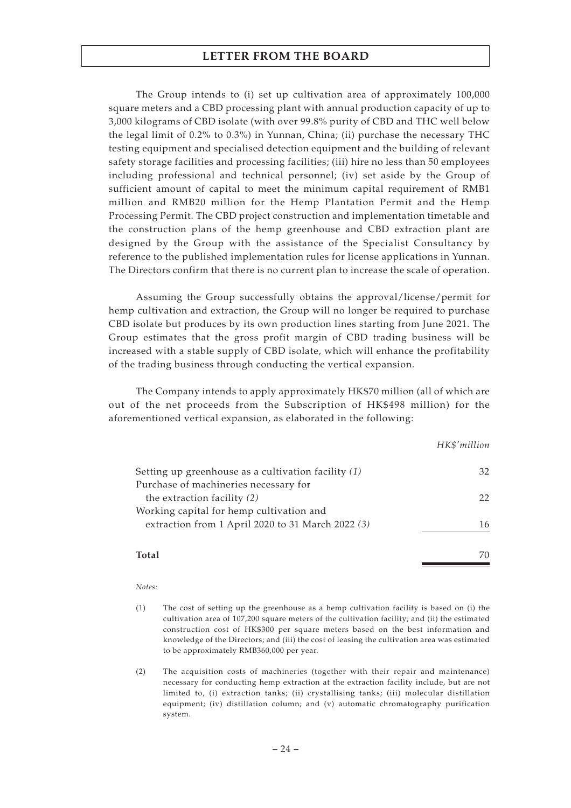The Group intends to (i) set up cultivation area of approximately 100,000 square meters and a CBD processing plant with annual production capacity of up to 3,000 kilograms of CBD isolate (with over 99.8% purity of CBD and THC well below the legal limit of 0.2% to 0.3%) in Yunnan, China; (ii) purchase the necessary THC testing equipment and specialised detection equipment and the building of relevant safety storage facilities and processing facilities; (iii) hire no less than 50 employees including professional and technical personnel; (iv) set aside by the Group of sufficient amount of capital to meet the minimum capital requirement of RMB1 million and RMB20 million for the Hemp Plantation Permit and the Hemp Processing Permit. The CBD project construction and implementation timetable and the construction plans of the hemp greenhouse and CBD extraction plant are designed by the Group with the assistance of the Specialist Consultancy by reference to the published implementation rules for license applications in Yunnan. The Directors confirm that there is no current plan to increase the scale of operation.

Assuming the Group successfully obtains the approval/license/permit for hemp cultivation and extraction, the Group will no longer be required to purchase CBD isolate but produces by its own production lines starting from June 2021. The Group estimates that the gross profit margin of CBD trading business will be increased with a stable supply of CBD isolate, which will enhance the profitability of the trading business through conducting the vertical expansion.

The Company intends to apply approximately HK\$70 million (all of which are out of the net proceeds from the Subscription of HK\$498 million) for the aforementioned vertical expansion, as elaborated in the following:

|                                                       | HK\$'million |
|-------------------------------------------------------|--------------|
| Setting up greenhouse as a cultivation facility $(1)$ | 32           |
| Purchase of machineries necessary for                 |              |
| the extraction facility (2)                           | 22           |
| Working capital for hemp cultivation and              |              |
| extraction from 1 April 2020 to 31 March 2022 (3)     | 16           |
| Total                                                 |              |

#### *Notes:*

- (1) The cost of setting up the greenhouse as a hemp cultivation facility is based on (i) the cultivation area of 107,200 square meters of the cultivation facility; and (ii) the estimated construction cost of HK\$300 per square meters based on the best information and knowledge of the Directors; and (iii) the cost of leasing the cultivation area was estimated to be approximately RMB360,000 per year.
- (2) The acquisition costs of machineries (together with their repair and maintenance) necessary for conducting hemp extraction at the extraction facility include, but are not limited to, (i) extraction tanks; (ii) crystallising tanks; (iii) molecular distillation equipment; (iv) distillation column; and (v) automatic chromatography purification system.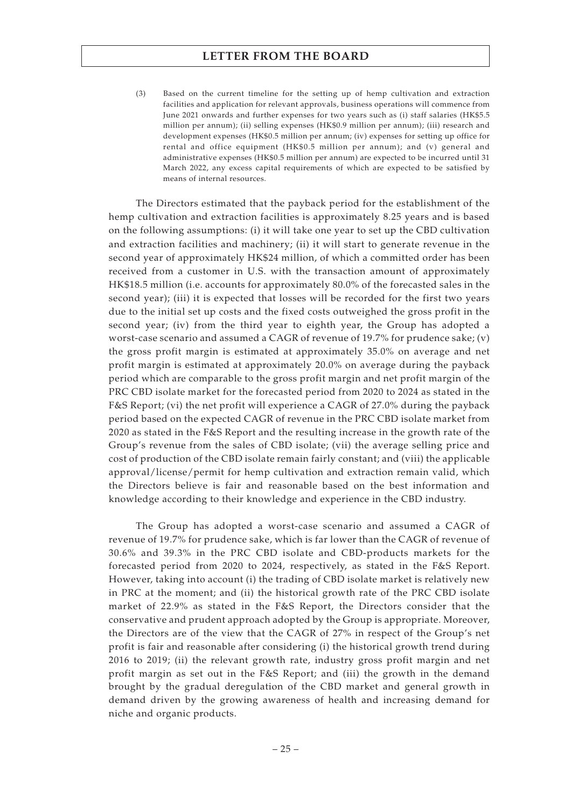(3) Based on the current timeline for the setting up of hemp cultivation and extraction facilities and application for relevant approvals, business operations will commence from June 2021 onwards and further expenses for two years such as (i) staff salaries (HK\$5.5 million per annum); (ii) selling expenses (HK\$0.9 million per annum); (iii) research and development expenses (HK\$0.5 million per annum; (iv) expenses for setting up office for rental and office equipment (HK\$0.5 million per annum); and (v) general and administrative expenses (HK\$0.5 million per annum) are expected to be incurred until 31 March 2022, any excess capital requirements of which are expected to be satisfied by means of internal resources.

The Directors estimated that the payback period for the establishment of the hemp cultivation and extraction facilities is approximately 8.25 years and is based on the following assumptions: (i) it will take one year to set up the CBD cultivation and extraction facilities and machinery; (ii) it will start to generate revenue in the second year of approximately HK\$24 million, of which a committed order has been received from a customer in U.S. with the transaction amount of approximately HK\$18.5 million (i.e. accounts for approximately 80.0% of the forecasted sales in the second year); (iii) it is expected that losses will be recorded for the first two years due to the initial set up costs and the fixed costs outweighed the gross profit in the second year; (iv) from the third year to eighth year, the Group has adopted a worst-case scenario and assumed a CAGR of revenue of 19.7% for prudence sake;  $(v)$ the gross profit margin is estimated at approximately 35.0% on average and net profit margin is estimated at approximately 20.0% on average during the payback period which are comparable to the gross profit margin and net profit margin of the PRC CBD isolate market for the forecasted period from 2020 to 2024 as stated in the F&S Report; (vi) the net profit will experience a CAGR of 27.0% during the payback period based on the expected CAGR of revenue in the PRC CBD isolate market from 2020 as stated in the F&S Report and the resulting increase in the growth rate of the Group's revenue from the sales of CBD isolate; (vii) the average selling price and cost of production of the CBD isolate remain fairly constant; and (viii) the applicable approval/license/permit for hemp cultivation and extraction remain valid, which the Directors believe is fair and reasonable based on the best information and knowledge according to their knowledge and experience in the CBD industry.

The Group has adopted a worst-case scenario and assumed a CAGR of revenue of 19.7% for prudence sake, which is far lower than the CAGR of revenue of 30.6% and 39.3% in the PRC CBD isolate and CBD-products markets for the forecasted period from 2020 to 2024, respectively, as stated in the F&S Report. However, taking into account (i) the trading of CBD isolate market is relatively new in PRC at the moment; and (ii) the historical growth rate of the PRC CBD isolate market of 22.9% as stated in the F&S Report, the Directors consider that the conservative and prudent approach adopted by the Group is appropriate. Moreover, the Directors are of the view that the CAGR of 27% in respect of the Group's net profit is fair and reasonable after considering (i) the historical growth trend during 2016 to 2019; (ii) the relevant growth rate, industry gross profit margin and net profit margin as set out in the F&S Report; and (iii) the growth in the demand brought by the gradual deregulation of the CBD market and general growth in demand driven by the growing awareness of health and increasing demand for niche and organic products.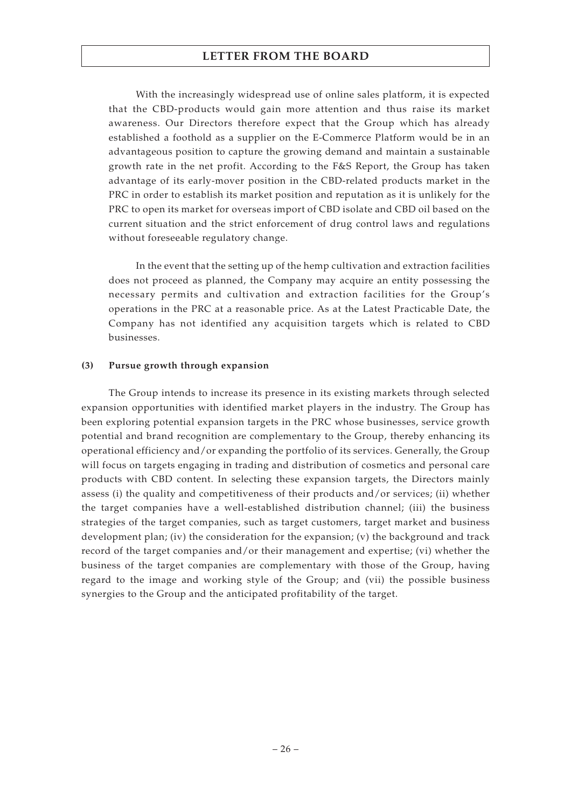With the increasingly widespread use of online sales platform, it is expected that the CBD-products would gain more attention and thus raise its market awareness. Our Directors therefore expect that the Group which has already established a foothold as a supplier on the E-Commerce Platform would be in an advantageous position to capture the growing demand and maintain a sustainable growth rate in the net profit. According to the F&S Report, the Group has taken advantage of its early-mover position in the CBD-related products market in the PRC in order to establish its market position and reputation as it is unlikely for the PRC to open its market for overseas import of CBD isolate and CBD oil based on the current situation and the strict enforcement of drug control laws and regulations without foreseeable regulatory change.

In the event that the setting up of the hemp cultivation and extraction facilities does not proceed as planned, the Company may acquire an entity possessing the necessary permits and cultivation and extraction facilities for the Group's operations in the PRC at a reasonable price. As at the Latest Practicable Date, the Company has not identified any acquisition targets which is related to CBD businesses.

#### **(3) Pursue growth through expansion**

The Group intends to increase its presence in its existing markets through selected expansion opportunities with identified market players in the industry. The Group has been exploring potential expansion targets in the PRC whose businesses, service growth potential and brand recognition are complementary to the Group, thereby enhancing its operational efficiency and/or expanding the portfolio of its services. Generally, the Group will focus on targets engaging in trading and distribution of cosmetics and personal care products with CBD content. In selecting these expansion targets, the Directors mainly assess (i) the quality and competitiveness of their products and/or services; (ii) whether the target companies have a well-established distribution channel; (iii) the business strategies of the target companies, such as target customers, target market and business development plan; (iv) the consideration for the expansion; (v) the background and track record of the target companies and/or their management and expertise; (vi) whether the business of the target companies are complementary with those of the Group, having regard to the image and working style of the Group; and (vii) the possible business synergies to the Group and the anticipated profitability of the target.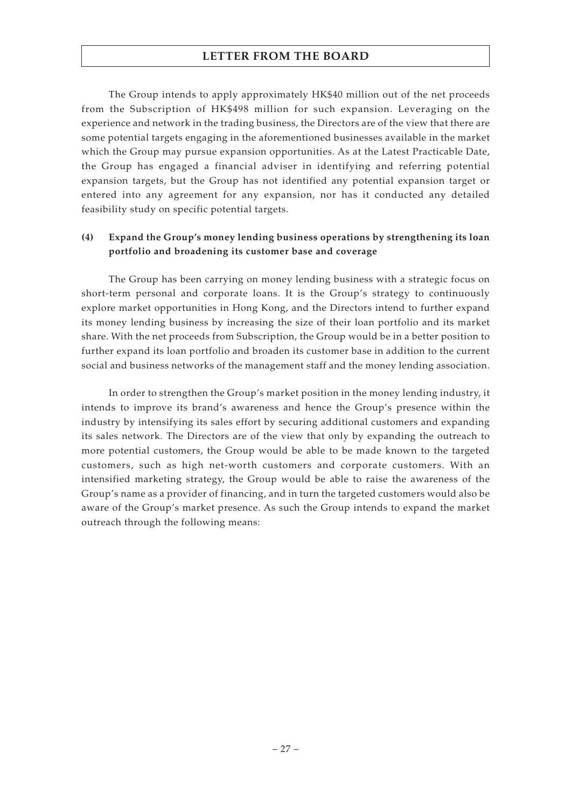The Group intends to apply approximately HK\$40 million out of the net proceeds from the Subscription of HK\$498 million for such expansion. Leveraging on the experience and network in the trading business, the Directors are of the view that there are some potential targets engaging in the aforementioned businesses available in the market which the Group may pursue expansion opportunities. As at the Latest Practicable Date, the Group has engaged a financial adviser in identifying and referring potential expansion targets, but the Group has not identified any potential expansion target or entered into any agreement for any expansion, nor has it conducted any detailed feasibility study on specific potential targets.

## **(4) Expand the Group's money lending business operations by strengthening its loan portfolio and broadening its customer base and coverage**

The Group has been carrying on money lending business with a strategic focus on short-term personal and corporate loans. It is the Group's strategy to continuously explore market opportunities in Hong Kong, and the Directors intend to further expand its money lending business by increasing the size of their loan portfolio and its market share. With the net proceeds from Subscription, the Group would be in a better position to further expand its loan portfolio and broaden its customer base in addition to the current social and business networks of the management staff and the money lending association.

In order to strengthen the Group's market position in the money lending industry, it intends to improve its brand's awareness and hence the Group's presence within the industry by intensifying its sales effort by securing additional customers and expanding its sales network. The Directors are of the view that only by expanding the outreach to more potential customers, the Group would be able to be made known to the targeted customers, such as high net-worth customers and corporate customers. With an intensified marketing strategy, the Group would be able to raise the awareness of the Group's name as a provider of financing, and in turn the targeted customers would also be aware of the Group's market presence. As such the Group intends to expand the market outreach through the following means: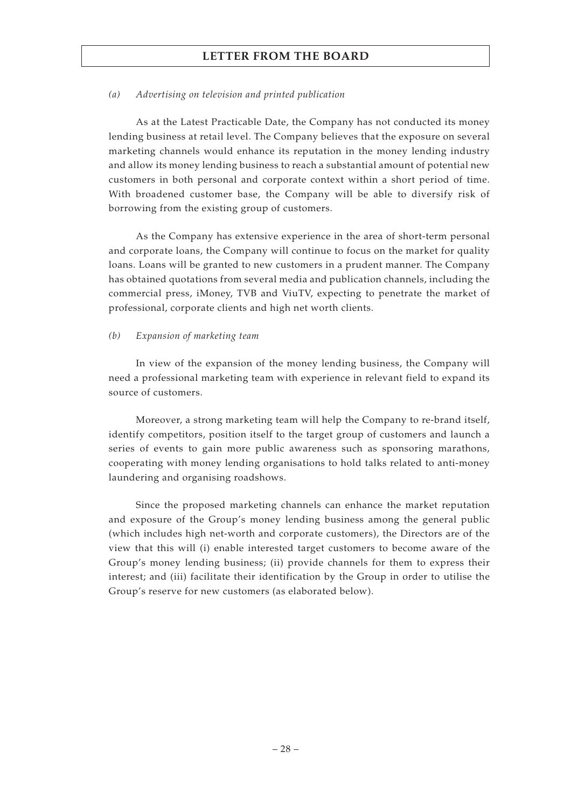#### *(a) Advertising on television and printed publication*

As at the Latest Practicable Date, the Company has not conducted its money lending business at retail level. The Company believes that the exposure on several marketing channels would enhance its reputation in the money lending industry and allow its money lending business to reach a substantial amount of potential new customers in both personal and corporate context within a short period of time. With broadened customer base, the Company will be able to diversify risk of borrowing from the existing group of customers.

As the Company has extensive experience in the area of short-term personal and corporate loans, the Company will continue to focus on the market for quality loans. Loans will be granted to new customers in a prudent manner. The Company has obtained quotations from several media and publication channels, including the commercial press, iMoney, TVB and ViuTV, expecting to penetrate the market of professional, corporate clients and high net worth clients.

#### *(b) Expansion of marketing team*

In view of the expansion of the money lending business, the Company will need a professional marketing team with experience in relevant field to expand its source of customers.

Moreover, a strong marketing team will help the Company to re-brand itself, identify competitors, position itself to the target group of customers and launch a series of events to gain more public awareness such as sponsoring marathons, cooperating with money lending organisations to hold talks related to anti-money laundering and organising roadshows.

Since the proposed marketing channels can enhance the market reputation and exposure of the Group's money lending business among the general public (which includes high net-worth and corporate customers), the Directors are of the view that this will (i) enable interested target customers to become aware of the Group's money lending business; (ii) provide channels for them to express their interest; and (iii) facilitate their identification by the Group in order to utilise the Group's reserve for new customers (as elaborated below).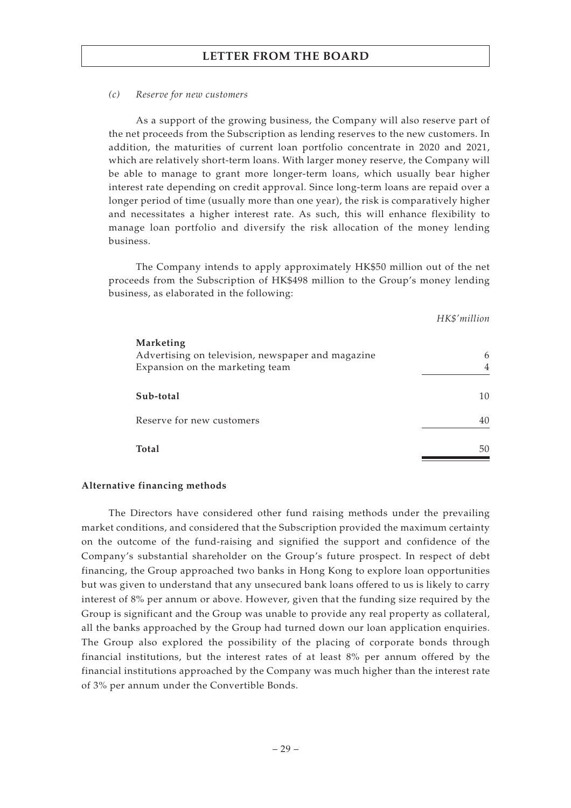#### *(c) Reserve for new customers*

As a support of the growing business, the Company will also reserve part of the net proceeds from the Subscription as lending reserves to the new customers. In addition, the maturities of current loan portfolio concentrate in 2020 and 2021, which are relatively short-term loans. With larger money reserve, the Company will be able to manage to grant more longer-term loans, which usually bear higher interest rate depending on credit approval. Since long-term loans are repaid over a longer period of time (usually more than one year), the risk is comparatively higher and necessitates a higher interest rate. As such, this will enhance flexibility to manage loan portfolio and diversify the risk allocation of the money lending business.

The Company intends to apply approximately HK\$50 million out of the net proceeds from the Subscription of HK\$498 million to the Group's money lending business, as elaborated in the following:

#### *HK\$'million*

| Marketing<br>Advertising on television, newspaper and magazine<br>Expansion on the marketing team | 6  |
|---------------------------------------------------------------------------------------------------|----|
| Sub-total                                                                                         | 10 |
| Reserve for new customers                                                                         | 40 |
| <b>Total</b>                                                                                      | 50 |

#### **Alternative financing methods**

The Directors have considered other fund raising methods under the prevailing market conditions, and considered that the Subscription provided the maximum certainty on the outcome of the fund-raising and signified the support and confidence of the Company's substantial shareholder on the Group's future prospect. In respect of debt financing, the Group approached two banks in Hong Kong to explore loan opportunities but was given to understand that any unsecured bank loans offered to us is likely to carry interest of 8% per annum or above. However, given that the funding size required by the Group is significant and the Group was unable to provide any real property as collateral, all the banks approached by the Group had turned down our loan application enquiries. The Group also explored the possibility of the placing of corporate bonds through financial institutions, but the interest rates of at least 8% per annum offered by the financial institutions approached by the Company was much higher than the interest rate of 3% per annum under the Convertible Bonds.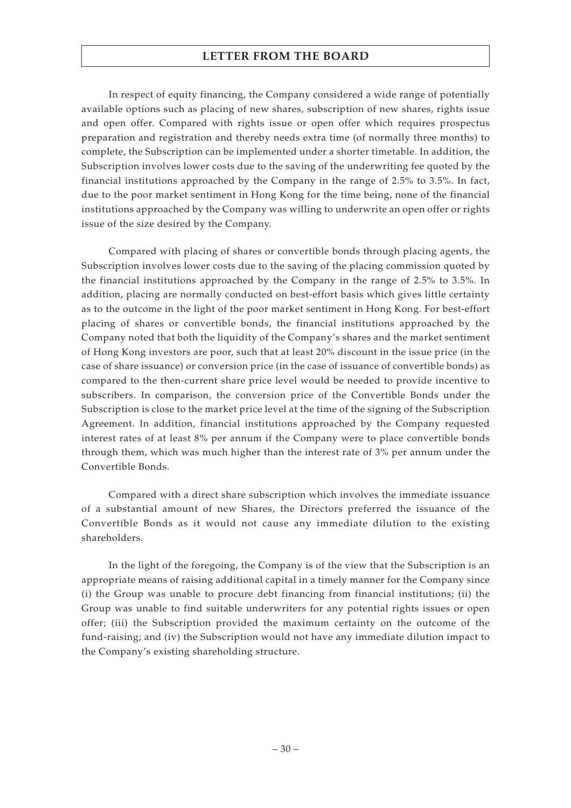In respect of equity financing, the Company considered a wide range of potentially available options such as placing of new shares, subscription of new shares, rights issue and open offer. Compared with rights issue or open offer which requires prospectus preparation and registration and thereby needs extra time (of normally three months) to complete, the Subscription can be implemented under a shorter timetable. In addition, the Subscription involves lower costs due to the saving of the underwriting fee quoted by the financial institutions approached by the Company in the range of 2.5% to 3.5%. In fact, due to the poor market sentiment in Hong Kong for the time being, none of the financial institutions approached by the Company was willing to underwrite an open offer or rights issue of the size desired by the Company.

Compared with placing of shares or convertible bonds through placing agents, the Subscription involves lower costs due to the saving of the placing commission quoted by the financial institutions approached by the Company in the range of 2.5% to 3.5%. In addition, placing are normally conducted on best-effort basis which gives little certainty as to the outcome in the light of the poor market sentiment in Hong Kong. For best-effort placing of shares or convertible bonds, the financial institutions approached by the Company noted that both the liquidity of the Company's shares and the market sentiment of Hong Kong investors are poor, such that at least 20% discount in the issue price (in the case of share issuance) or conversion price (in the case of issuance of convertible bonds) as compared to the then-current share price level would be needed to provide incentive to subscribers. In comparison, the conversion price of the Convertible Bonds under the Subscription is close to the market price level at the time of the signing of the Subscription Agreement. In addition, financial institutions approached by the Company requested interest rates of at least 8% per annum if the Company were to place convertible bonds through them, which was much higher than the interest rate of 3% per annum under the Convertible Bonds.

Compared with a direct share subscription which involves the immediate issuance of a substantial amount of new Shares, the Directors preferred the issuance of the Convertible Bonds as it would not cause any immediate dilution to the existing shareholders.

In the light of the foregoing, the Company is of the view that the Subscription is an appropriate means of raising additional capital in a timely manner for the Company since (i) the Group was unable to procure debt financing from financial institutions; (ii) the Group was unable to find suitable underwriters for any potential rights issues or open offer; (iii) the Subscription provided the maximum certainty on the outcome of the fund-raising; and (iv) the Subscription would not have any immediate dilution impact to the Company's existing shareholding structure.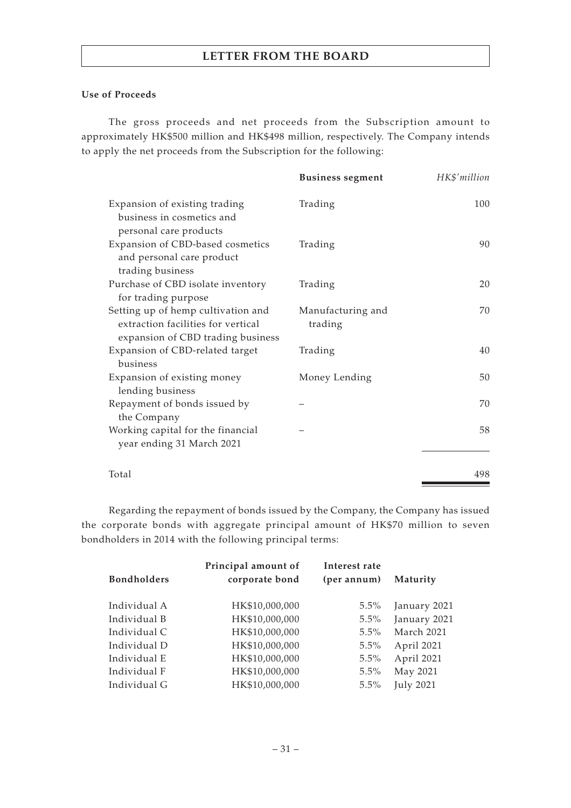#### **Use of Proceeds**

The gross proceeds and net proceeds from the Subscription amount to approximately HK\$500 million and HK\$498 million, respectively. The Company intends to apply the net proceeds from the Subscription for the following:

|                                                                                                               | <b>Business segment</b>      | HK\$'million |
|---------------------------------------------------------------------------------------------------------------|------------------------------|--------------|
| Expansion of existing trading<br>business in cosmetics and<br>personal care products                          | Trading                      | 100          |
| Expansion of CBD-based cosmetics<br>and personal care product<br>trading business                             | Trading                      | 90           |
| Purchase of CBD isolate inventory<br>for trading purpose                                                      | Trading                      | 20           |
| Setting up of hemp cultivation and<br>extraction facilities for vertical<br>expansion of CBD trading business | Manufacturing and<br>trading | 70           |
| Expansion of CBD-related target<br>business                                                                   | Trading                      | 40           |
| Expansion of existing money<br>lending business                                                               | Money Lending                | 50           |
| Repayment of bonds issued by<br>the Company                                                                   |                              | 70           |
| Working capital for the financial<br>year ending 31 March 2021                                                |                              | 58           |
| Total                                                                                                         |                              | 498          |

Regarding the repayment of bonds issued by the Company, the Company has issued the corporate bonds with aggregate principal amount of HK\$70 million to seven bondholders in 2014 with the following principal terms:

|                    | Principal amount of | Interest rate |                  |
|--------------------|---------------------|---------------|------------------|
| <b>Bondholders</b> | corporate bond      | (per annum)   | Maturity         |
| Individual A       | HK\$10,000,000      | $5.5\%$       | January 2021     |
| Individual B       | HK\$10,000,000      | $5.5\%$       | January 2021     |
| Individual C       | HK\$10,000,000      | $5.5\%$       | March 2021       |
| Individual D       | HK\$10,000,000      | $5.5\%$       | April 2021       |
| Individual E       | HK\$10,000,000      | 5.5%          | April 2021       |
| Individual F       | HK\$10,000,000      | $5.5\%$       | May 2021         |
| Individual G       | HK\$10,000,000      | 5.5%          | <b>July 2021</b> |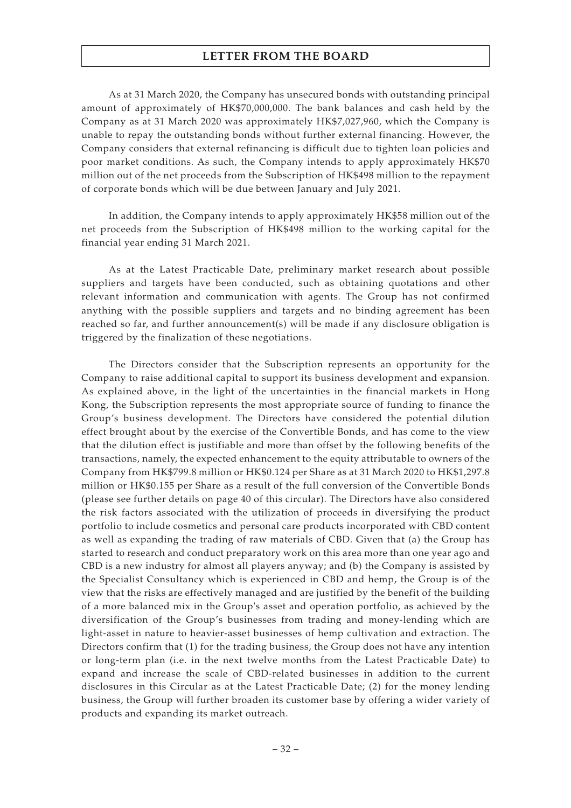As at 31 March 2020, the Company has unsecured bonds with outstanding principal amount of approximately of HK\$70,000,000. The bank balances and cash held by the Company as at 31 March 2020 was approximately HK\$7,027,960, which the Company is unable to repay the outstanding bonds without further external financing. However, the Company considers that external refinancing is difficult due to tighten loan policies and poor market conditions. As such, the Company intends to apply approximately HK\$70 million out of the net proceeds from the Subscription of HK\$498 million to the repayment of corporate bonds which will be due between January and July 2021.

In addition, the Company intends to apply approximately HK\$58 million out of the net proceeds from the Subscription of HK\$498 million to the working capital for the financial year ending 31 March 2021.

As at the Latest Practicable Date, preliminary market research about possible suppliers and targets have been conducted, such as obtaining quotations and other relevant information and communication with agents. The Group has not confirmed anything with the possible suppliers and targets and no binding agreement has been reached so far, and further announcement(s) will be made if any disclosure obligation is triggered by the finalization of these negotiations.

The Directors consider that the Subscription represents an opportunity for the Company to raise additional capital to support its business development and expansion. As explained above, in the light of the uncertainties in the financial markets in Hong Kong, the Subscription represents the most appropriate source of funding to finance the Group's business development. The Directors have considered the potential dilution effect brought about by the exercise of the Convertible Bonds, and has come to the view that the dilution effect is justifiable and more than offset by the following benefits of the transactions, namely, the expected enhancement to the equity attributable to owners of the Company from HK\$799.8 million or HK\$0.124 per Share as at 31 March 2020 to HK\$1,297.8 million or HK\$0.155 per Share as a result of the full conversion of the Convertible Bonds (please see further details on page 40 of this circular). The Directors have also considered the risk factors associated with the utilization of proceeds in diversifying the product portfolio to include cosmetics and personal care products incorporated with CBD content as well as expanding the trading of raw materials of CBD. Given that (a) the Group has started to research and conduct preparatory work on this area more than one year ago and CBD is a new industry for almost all players anyway; and (b) the Company is assisted by the Specialist Consultancy which is experienced in CBD and hemp, the Group is of the view that the risks are effectively managed and are justified by the benefit of the building of a more balanced mix in the Group's asset and operation portfolio, as achieved by the diversification of the Group's businesses from trading and money-lending which are light-asset in nature to heavier-asset businesses of hemp cultivation and extraction. The Directors confirm that (1) for the trading business, the Group does not have any intention or long-term plan (i.e. in the next twelve months from the Latest Practicable Date) to expand and increase the scale of CBD-related businesses in addition to the current disclosures in this Circular as at the Latest Practicable Date; (2) for the money lending business, the Group will further broaden its customer base by offering a wider variety of products and expanding its market outreach.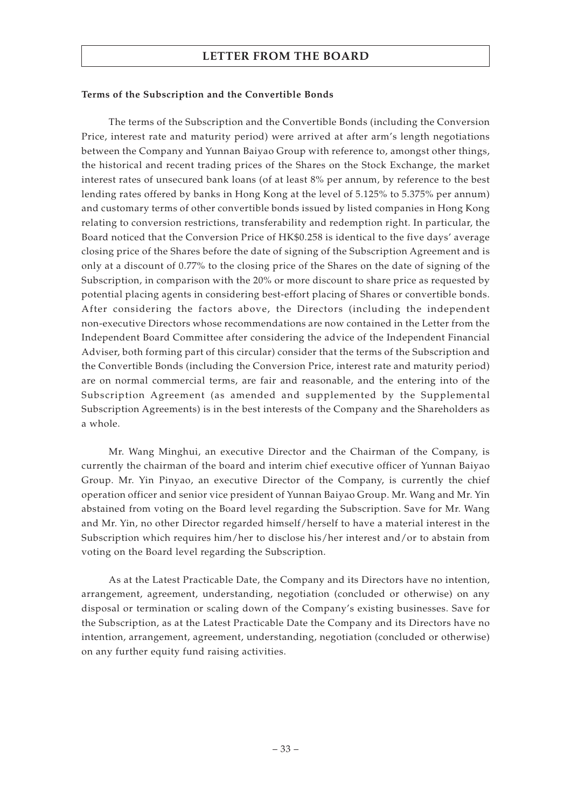### **Terms of the Subscription and the Convertible Bonds**

The terms of the Subscription and the Convertible Bonds (including the Conversion Price, interest rate and maturity period) were arrived at after arm's length negotiations between the Company and Yunnan Baiyao Group with reference to, amongst other things, the historical and recent trading prices of the Shares on the Stock Exchange, the market interest rates of unsecured bank loans (of at least 8% per annum, by reference to the best lending rates offered by banks in Hong Kong at the level of 5.125% to 5.375% per annum) and customary terms of other convertible bonds issued by listed companies in Hong Kong relating to conversion restrictions, transferability and redemption right. In particular, the Board noticed that the Conversion Price of HK\$0.258 is identical to the five days' average closing price of the Shares before the date of signing of the Subscription Agreement and is only at a discount of 0.77% to the closing price of the Shares on the date of signing of the Subscription, in comparison with the 20% or more discount to share price as requested by potential placing agents in considering best-effort placing of Shares or convertible bonds. After considering the factors above, the Directors (including the independent non-executive Directors whose recommendations are now contained in the Letter from the Independent Board Committee after considering the advice of the Independent Financial Adviser, both forming part of this circular) consider that the terms of the Subscription and the Convertible Bonds (including the Conversion Price, interest rate and maturity period) are on normal commercial terms, are fair and reasonable, and the entering into of the Subscription Agreement (as amended and supplemented by the Supplemental Subscription Agreements) is in the best interests of the Company and the Shareholders as a whole.

Mr. Wang Minghui, an executive Director and the Chairman of the Company, is currently the chairman of the board and interim chief executive officer of Yunnan Baiyao Group. Mr. Yin Pinyao, an executive Director of the Company, is currently the chief operation officer and senior vice president of Yunnan Baiyao Group. Mr. Wang and Mr. Yin abstained from voting on the Board level regarding the Subscription. Save for Mr. Wang and Mr. Yin, no other Director regarded himself/herself to have a material interest in the Subscription which requires him/her to disclose his/her interest and/or to abstain from voting on the Board level regarding the Subscription.

As at the Latest Practicable Date, the Company and its Directors have no intention, arrangement, agreement, understanding, negotiation (concluded or otherwise) on any disposal or termination or scaling down of the Company's existing businesses. Save for the Subscription, as at the Latest Practicable Date the Company and its Directors have no intention, arrangement, agreement, understanding, negotiation (concluded or otherwise) on any further equity fund raising activities.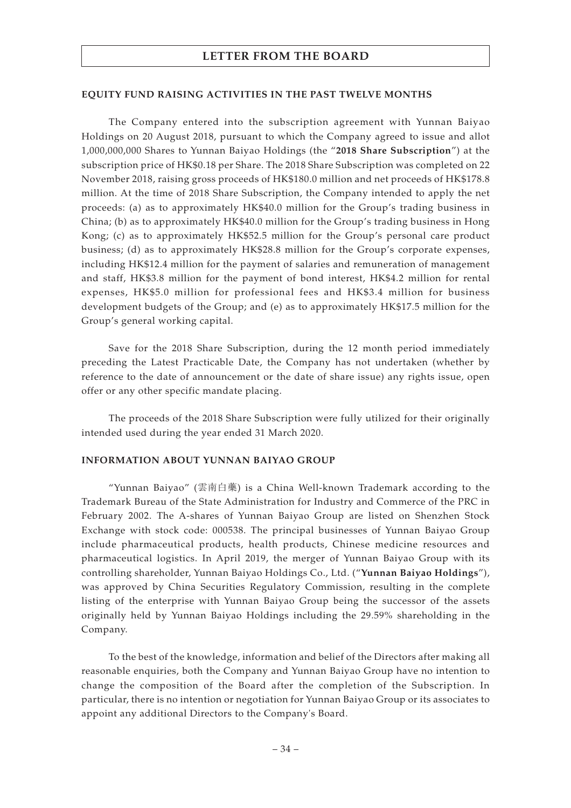#### **EQUITY FUND RAISING ACTIVITIES IN THE PAST TWELVE MONTHS**

The Company entered into the subscription agreement with Yunnan Baiyao Holdings on 20 August 2018, pursuant to which the Company agreed to issue and allot 1,000,000,000 Shares to Yunnan Baiyao Holdings (the "**2018 Share Subscription**") at the subscription price of HK\$0.18 per Share. The 2018 Share Subscription was completed on 22 November 2018, raising gross proceeds of HK\$180.0 million and net proceeds of HK\$178.8 million. At the time of 2018 Share Subscription, the Company intended to apply the net proceeds: (a) as to approximately HK\$40.0 million for the Group's trading business in China; (b) as to approximately HK\$40.0 million for the Group's trading business in Hong Kong; (c) as to approximately HK\$52.5 million for the Group's personal care product business; (d) as to approximately HK\$28.8 million for the Group's corporate expenses, including HK\$12.4 million for the payment of salaries and remuneration of management and staff, HK\$3.8 million for the payment of bond interest, HK\$4.2 million for rental expenses, HK\$5.0 million for professional fees and HK\$3.4 million for business development budgets of the Group; and (e) as to approximately HK\$17.5 million for the Group's general working capital.

Save for the 2018 Share Subscription, during the 12 month period immediately preceding the Latest Practicable Date, the Company has not undertaken (whether by reference to the date of announcement or the date of share issue) any rights issue, open offer or any other specific mandate placing.

The proceeds of the 2018 Share Subscription were fully utilized for their originally intended used during the year ended 31 March 2020.

### **INFORMATION ABOUT YUNNAN BAIYAO GROUP**

"Yunnan Baiyao" (雲南白藥) is a China Well-known Trademark according to the Trademark Bureau of the State Administration for Industry and Commerce of the PRC in February 2002. The A-shares of Yunnan Baiyao Group are listed on Shenzhen Stock Exchange with stock code: 000538. The principal businesses of Yunnan Baiyao Group include pharmaceutical products, health products, Chinese medicine resources and pharmaceutical logistics. In April 2019, the merger of Yunnan Baiyao Group with its controlling shareholder, Yunnan Baiyao Holdings Co., Ltd. ("**Yunnan Baiyao Holdings**"), was approved by China Securities Regulatory Commission, resulting in the complete listing of the enterprise with Yunnan Baiyao Group being the successor of the assets originally held by Yunnan Baiyao Holdings including the 29.59% shareholding in the Company.

To the best of the knowledge, information and belief of the Directors after making all reasonable enquiries, both the Company and Yunnan Baiyao Group have no intention to change the composition of the Board after the completion of the Subscription. In particular, there is no intention or negotiation for Yunnan Baiyao Group or its associates to appoint any additional Directors to the Company's Board.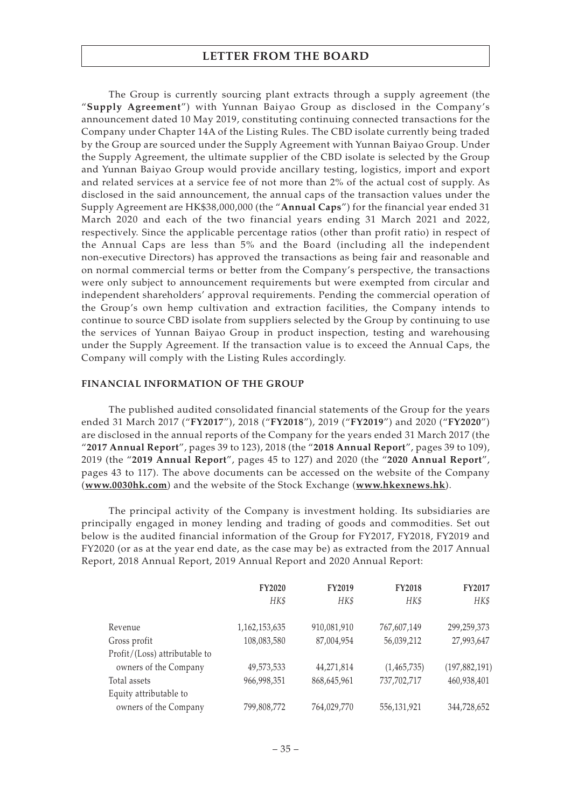The Group is currently sourcing plant extracts through a supply agreement (the "**Supply Agreement**") with Yunnan Baiyao Group as disclosed in the Company's announcement dated 10 May 2019, constituting continuing connected transactions for the Company under Chapter 14A of the Listing Rules. The CBD isolate currently being traded by the Group are sourced under the Supply Agreement with Yunnan Baiyao Group. Under the Supply Agreement, the ultimate supplier of the CBD isolate is selected by the Group and Yunnan Baiyao Group would provide ancillary testing, logistics, import and export and related services at a service fee of not more than 2% of the actual cost of supply. As disclosed in the said announcement, the annual caps of the transaction values under the Supply Agreement are HK\$38,000,000 (the "**Annual Caps**") for the financial year ended 31 March 2020 and each of the two financial years ending 31 March 2021 and 2022, respectively. Since the applicable percentage ratios (other than profit ratio) in respect of the Annual Caps are less than 5% and the Board (including all the independent non-executive Directors) has approved the transactions as being fair and reasonable and on normal commercial terms or better from the Company's perspective, the transactions were only subject to announcement requirements but were exempted from circular and independent shareholders' approval requirements. Pending the commercial operation of the Group's own hemp cultivation and extraction facilities, the Company intends to continue to source CBD isolate from suppliers selected by the Group by continuing to use the services of Yunnan Baiyao Group in product inspection, testing and warehousing under the Supply Agreement. If the transaction value is to exceed the Annual Caps, the Company will comply with the Listing Rules accordingly.

### **FINANCIAL INFORMATION OF THE GROUP**

The published audited consolidated financial statements of the Group for the years ended 31 March 2017 ("**FY2017**"), 2018 ("**FY2018**"), 2019 ("**FY2019**") and 2020 ("**FY2020**") are disclosed in the annual reports of the Company for the years ended 31 March 2017 (the "**2017 Annual Report**", pages 39 to 123), 2018 (the "**2018 Annual Report**", pages 39 to 109), 2019 (the "**2019 Annual Report**", pages 45 to 127) and 2020 (the "**2020 Annual Report**", pages 43 to 117). The above documents can be accessed on the website of the Company (**www.0030hk.com**) and the website of the Stock Exchange (**www.hkexnews.hk**).

The principal activity of the Company is investment holding. Its subsidiaries are principally engaged in money lending and trading of goods and commodities. Set out below is the audited financial information of the Group for FY2017, FY2018, FY2019 and FY2020 (or as at the year end date, as the case may be) as extracted from the 2017 Annual Report, 2018 Annual Report, 2019 Annual Report and 2020 Annual Report:

|                               | <b>FY2020</b> | FY2019      | <b>FY2018</b> | <b>FY2017</b>   |
|-------------------------------|---------------|-------------|---------------|-----------------|
|                               | HK\$          | HK\$        | HK\$          | HK\$            |
| Revenue                       | 1,162,153,635 | 910,081,910 | 767,607,149   | 299,259,373     |
| Gross profit                  | 108,083,580   | 87,004,954  | 56,039,212    | 27,993,647      |
| Profit/(Loss) attributable to |               |             |               |                 |
| owners of the Company         | 49,573,533    | 44,271,814  | (1,465,735)   | (197, 882, 191) |
| Total assets                  | 966,998,351   | 868,645,961 | 737,702,717   | 460,938,401     |
| Equity attributable to        |               |             |               |                 |
| owners of the Company         | 799,808,772   | 764,029,770 | 556,131,921   | 344,728,652     |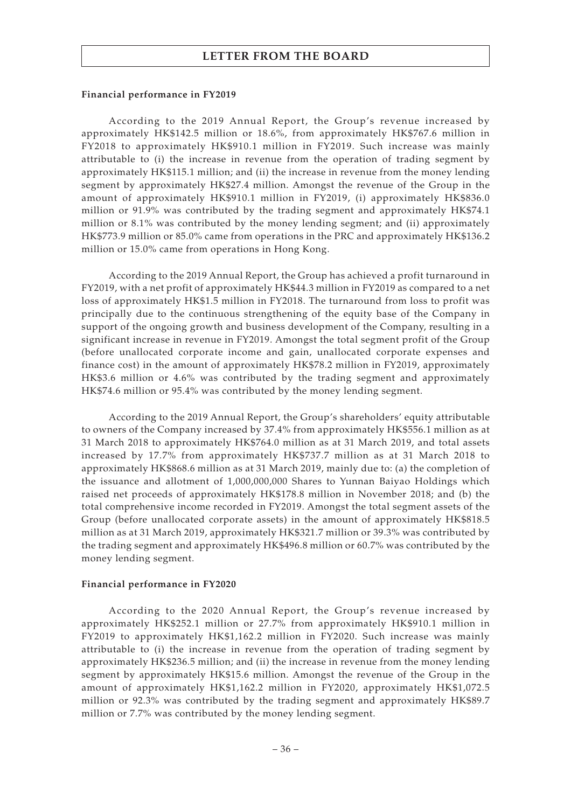#### **Financial performance in FY2019**

According to the 2019 Annual Report, the Group's revenue increased by approximately HK\$142.5 million or 18.6%, from approximately HK\$767.6 million in FY2018 to approximately HK\$910.1 million in FY2019. Such increase was mainly attributable to (i) the increase in revenue from the operation of trading segment by approximately HK\$115.1 million; and (ii) the increase in revenue from the money lending segment by approximately HK\$27.4 million. Amongst the revenue of the Group in the amount of approximately HK\$910.1 million in FY2019, (i) approximately HK\$836.0 million or 91.9% was contributed by the trading segment and approximately HK\$74.1 million or 8.1% was contributed by the money lending segment; and (ii) approximately HK\$773.9 million or 85.0% came from operations in the PRC and approximately HK\$136.2 million or 15.0% came from operations in Hong Kong.

According to the 2019 Annual Report, the Group has achieved a profit turnaround in FY2019, with a net profit of approximately HK\$44.3 million in FY2019 as compared to a net loss of approximately HK\$1.5 million in FY2018. The turnaround from loss to profit was principally due to the continuous strengthening of the equity base of the Company in support of the ongoing growth and business development of the Company, resulting in a significant increase in revenue in FY2019. Amongst the total segment profit of the Group (before unallocated corporate income and gain, unallocated corporate expenses and finance cost) in the amount of approximately HK\$78.2 million in FY2019, approximately HK\$3.6 million or 4.6% was contributed by the trading segment and approximately HK\$74.6 million or 95.4% was contributed by the money lending segment.

According to the 2019 Annual Report, the Group's shareholders' equity attributable to owners of the Company increased by 37.4% from approximately HK\$556.1 million as at 31 March 2018 to approximately HK\$764.0 million as at 31 March 2019, and total assets increased by 17.7% from approximately HK\$737.7 million as at 31 March 2018 to approximately HK\$868.6 million as at 31 March 2019, mainly due to: (a) the completion of the issuance and allotment of 1,000,000,000 Shares to Yunnan Baiyao Holdings which raised net proceeds of approximately HK\$178.8 million in November 2018; and (b) the total comprehensive income recorded in FY2019. Amongst the total segment assets of the Group (before unallocated corporate assets) in the amount of approximately HK\$818.5 million as at 31 March 2019, approximately HK\$321.7 million or 39.3% was contributed by the trading segment and approximately HK\$496.8 million or 60.7% was contributed by the money lending segment.

### **Financial performance in FY2020**

According to the 2020 Annual Report, the Group's revenue increased by approximately HK\$252.1 million or 27.7% from approximately HK\$910.1 million in FY2019 to approximately HK\$1,162.2 million in FY2020. Such increase was mainly attributable to (i) the increase in revenue from the operation of trading segment by approximately HK\$236.5 million; and (ii) the increase in revenue from the money lending segment by approximately HK\$15.6 million. Amongst the revenue of the Group in the amount of approximately HK\$1,162.2 million in FY2020, approximately HK\$1,072.5 million or 92.3% was contributed by the trading segment and approximately HK\$89.7 million or 7.7% was contributed by the money lending segment.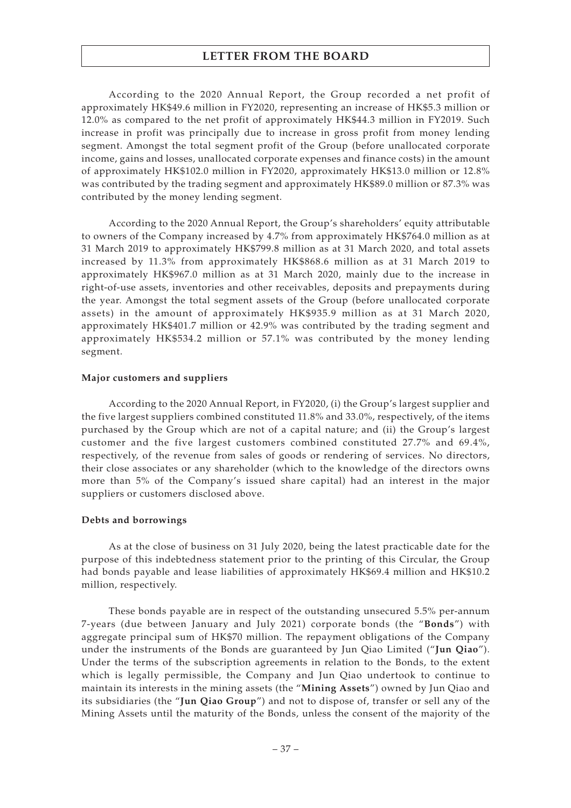According to the 2020 Annual Report, the Group recorded a net profit of approximately HK\$49.6 million in FY2020, representing an increase of HK\$5.3 million or 12.0% as compared to the net profit of approximately HK\$44.3 million in FY2019. Such increase in profit was principally due to increase in gross profit from money lending segment. Amongst the total segment profit of the Group (before unallocated corporate income, gains and losses, unallocated corporate expenses and finance costs) in the amount of approximately HK\$102.0 million in FY2020, approximately HK\$13.0 million or 12.8% was contributed by the trading segment and approximately HK\$89.0 million or 87.3% was contributed by the money lending segment.

According to the 2020 Annual Report, the Group's shareholders' equity attributable to owners of the Company increased by 4.7% from approximately HK\$764.0 million as at 31 March 2019 to approximately HK\$799.8 million as at 31 March 2020, and total assets increased by 11.3% from approximately HK\$868.6 million as at 31 March 2019 to approximately HK\$967.0 million as at 31 March 2020, mainly due to the increase in right-of-use assets, inventories and other receivables, deposits and prepayments during the year. Amongst the total segment assets of the Group (before unallocated corporate assets) in the amount of approximately HK\$935.9 million as at 31 March 2020, approximately HK\$401.7 million or 42.9% was contributed by the trading segment and approximately HK\$534.2 million or 57.1% was contributed by the money lending segment.

#### **Major customers and suppliers**

According to the 2020 Annual Report, in FY2020, (i) the Group's largest supplier and the five largest suppliers combined constituted 11.8% and 33.0%, respectively, of the items purchased by the Group which are not of a capital nature; and (ii) the Group's largest customer and the five largest customers combined constituted 27.7% and 69.4%, respectively, of the revenue from sales of goods or rendering of services. No directors, their close associates or any shareholder (which to the knowledge of the directors owns more than 5% of the Company's issued share capital) had an interest in the major suppliers or customers disclosed above.

### **Debts and borrowings**

As at the close of business on 31 July 2020, being the latest practicable date for the purpose of this indebtedness statement prior to the printing of this Circular, the Group had bonds payable and lease liabilities of approximately HK\$69.4 million and HK\$10.2 million, respectively.

These bonds payable are in respect of the outstanding unsecured 5.5% per-annum 7-years (due between January and July 2021) corporate bonds (the "**Bonds**") with aggregate principal sum of HK\$70 million. The repayment obligations of the Company under the instruments of the Bonds are guaranteed by Jun Qiao Limited ("**Jun Qiao**"). Under the terms of the subscription agreements in relation to the Bonds, to the extent which is legally permissible, the Company and Jun Qiao undertook to continue to maintain its interests in the mining assets (the "**Mining Assets**") owned by Jun Qiao and its subsidiaries (the "**Jun Qiao Group**") and not to dispose of, transfer or sell any of the Mining Assets until the maturity of the Bonds, unless the consent of the majority of the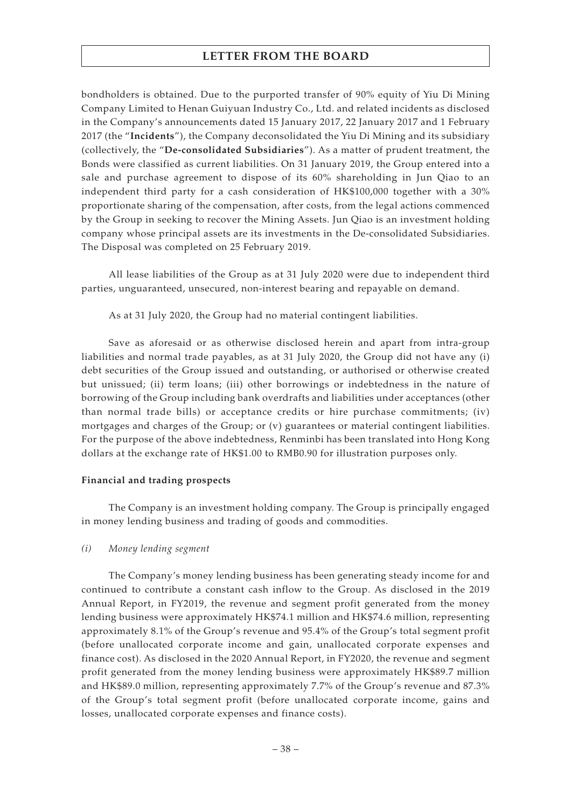bondholders is obtained. Due to the purported transfer of 90% equity of Yiu Di Mining Company Limited to Henan Guiyuan Industry Co., Ltd. and related incidents as disclosed in the Company's announcements dated 15 January 2017, 22 January 2017 and 1 February 2017 (the "**Incidents**"), the Company deconsolidated the Yiu Di Mining and its subsidiary (collectively, the "**De-consolidated Subsidiaries**"). As a matter of prudent treatment, the Bonds were classified as current liabilities. On 31 January 2019, the Group entered into a sale and purchase agreement to dispose of its 60% shareholding in Jun Qiao to an independent third party for a cash consideration of HK\$100,000 together with a 30% proportionate sharing of the compensation, after costs, from the legal actions commenced by the Group in seeking to recover the Mining Assets. Jun Qiao is an investment holding company whose principal assets are its investments in the De-consolidated Subsidiaries. The Disposal was completed on 25 February 2019.

All lease liabilities of the Group as at 31 July 2020 were due to independent third parties, unguaranteed, unsecured, non-interest bearing and repayable on demand.

As at 31 July 2020, the Group had no material contingent liabilities.

Save as aforesaid or as otherwise disclosed herein and apart from intra-group liabilities and normal trade payables, as at 31 July 2020, the Group did not have any (i) debt securities of the Group issued and outstanding, or authorised or otherwise created but unissued; (ii) term loans; (iii) other borrowings or indebtedness in the nature of borrowing of the Group including bank overdrafts and liabilities under acceptances (other than normal trade bills) or acceptance credits or hire purchase commitments; (iv) mortgages and charges of the Group; or (v) guarantees or material contingent liabilities. For the purpose of the above indebtedness, Renminbi has been translated into Hong Kong dollars at the exchange rate of HK\$1.00 to RMB0.90 for illustration purposes only.

### **Financial and trading prospects**

The Company is an investment holding company. The Group is principally engaged in money lending business and trading of goods and commodities.

### *(i) Money lending segment*

The Company's money lending business has been generating steady income for and continued to contribute a constant cash inflow to the Group. As disclosed in the 2019 Annual Report, in FY2019, the revenue and segment profit generated from the money lending business were approximately HK\$74.1 million and HK\$74.6 million, representing approximately 8.1% of the Group's revenue and 95.4% of the Group's total segment profit (before unallocated corporate income and gain, unallocated corporate expenses and finance cost). As disclosed in the 2020 Annual Report, in FY2020, the revenue and segment profit generated from the money lending business were approximately HK\$89.7 million and HK\$89.0 million, representing approximately 7.7% of the Group's revenue and 87.3% of the Group's total segment profit (before unallocated corporate income, gains and losses, unallocated corporate expenses and finance costs).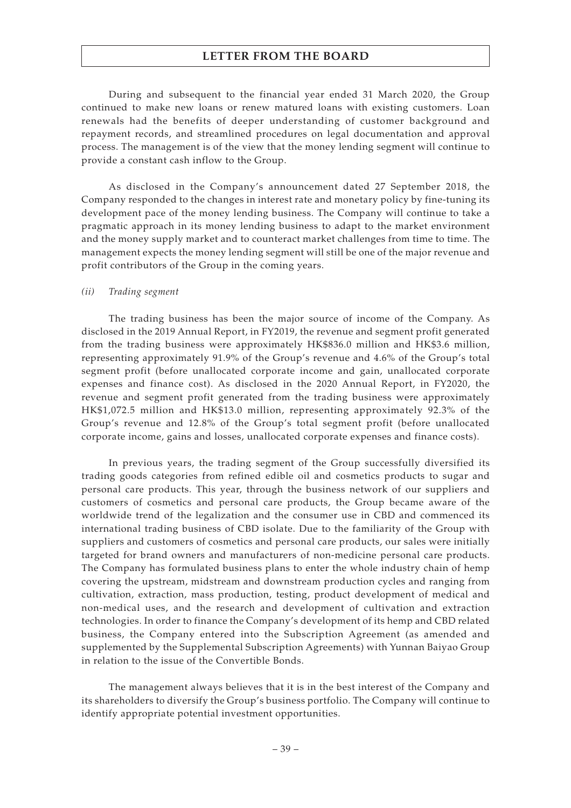During and subsequent to the financial year ended 31 March 2020, the Group continued to make new loans or renew matured loans with existing customers. Loan renewals had the benefits of deeper understanding of customer background and repayment records, and streamlined procedures on legal documentation and approval process. The management is of the view that the money lending segment will continue to provide a constant cash inflow to the Group.

As disclosed in the Company's announcement dated 27 September 2018, the Company responded to the changes in interest rate and monetary policy by fine-tuning its development pace of the money lending business. The Company will continue to take a pragmatic approach in its money lending business to adapt to the market environment and the money supply market and to counteract market challenges from time to time. The management expects the money lending segment will still be one of the major revenue and profit contributors of the Group in the coming years.

#### *(ii) Trading segment*

The trading business has been the major source of income of the Company. As disclosed in the 2019 Annual Report, in FY2019, the revenue and segment profit generated from the trading business were approximately HK\$836.0 million and HK\$3.6 million, representing approximately 91.9% of the Group's revenue and 4.6% of the Group's total segment profit (before unallocated corporate income and gain, unallocated corporate expenses and finance cost). As disclosed in the 2020 Annual Report, in FY2020, the revenue and segment profit generated from the trading business were approximately HK\$1,072.5 million and HK\$13.0 million, representing approximately 92.3% of the Group's revenue and 12.8% of the Group's total segment profit (before unallocated corporate income, gains and losses, unallocated corporate expenses and finance costs).

In previous years, the trading segment of the Group successfully diversified its trading goods categories from refined edible oil and cosmetics products to sugar and personal care products. This year, through the business network of our suppliers and customers of cosmetics and personal care products, the Group became aware of the worldwide trend of the legalization and the consumer use in CBD and commenced its international trading business of CBD isolate. Due to the familiarity of the Group with suppliers and customers of cosmetics and personal care products, our sales were initially targeted for brand owners and manufacturers of non-medicine personal care products. The Company has formulated business plans to enter the whole industry chain of hemp covering the upstream, midstream and downstream production cycles and ranging from cultivation, extraction, mass production, testing, product development of medical and non-medical uses, and the research and development of cultivation and extraction technologies. In order to finance the Company's development of its hemp and CBD related business, the Company entered into the Subscription Agreement (as amended and supplemented by the Supplemental Subscription Agreements) with Yunnan Baiyao Group in relation to the issue of the Convertible Bonds.

The management always believes that it is in the best interest of the Company and its shareholders to diversify the Group's business portfolio. The Company will continue to identify appropriate potential investment opportunities.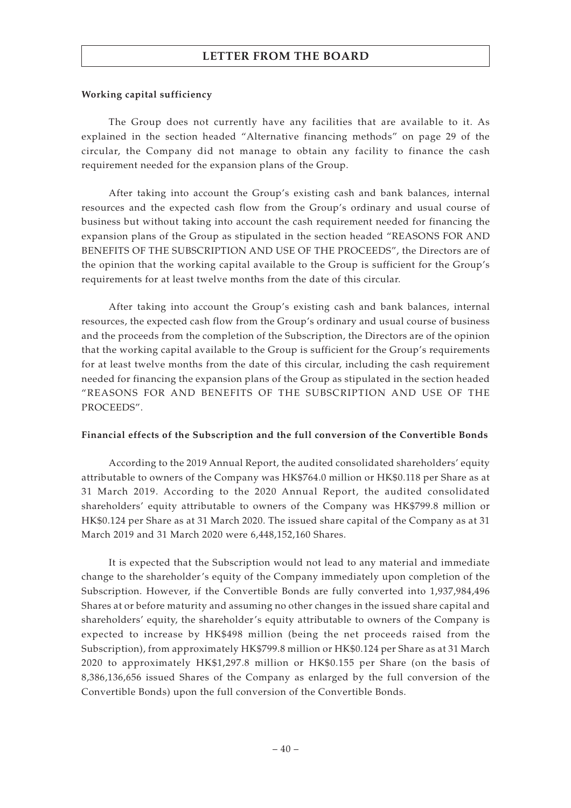#### **Working capital sufficiency**

The Group does not currently have any facilities that are available to it. As explained in the section headed "Alternative financing methods" on page 29 of the circular, the Company did not manage to obtain any facility to finance the cash requirement needed for the expansion plans of the Group.

After taking into account the Group's existing cash and bank balances, internal resources and the expected cash flow from the Group's ordinary and usual course of business but without taking into account the cash requirement needed for financing the expansion plans of the Group as stipulated in the section headed "REASONS FOR AND BENEFITS OF THE SUBSCRIPTION AND USE OF THE PROCEEDS", the Directors are of the opinion that the working capital available to the Group is sufficient for the Group's requirements for at least twelve months from the date of this circular.

After taking into account the Group's existing cash and bank balances, internal resources, the expected cash flow from the Group's ordinary and usual course of business and the proceeds from the completion of the Subscription, the Directors are of the opinion that the working capital available to the Group is sufficient for the Group's requirements for at least twelve months from the date of this circular, including the cash requirement needed for financing the expansion plans of the Group as stipulated in the section headed "REASONS FOR AND BENEFITS OF THE SUBSCRIPTION AND USE OF THE PROCEEDS".

### **Financial effects of the Subscription and the full conversion of the Convertible Bonds**

According to the 2019 Annual Report, the audited consolidated shareholders' equity attributable to owners of the Company was HK\$764.0 million or HK\$0.118 per Share as at 31 March 2019. According to the 2020 Annual Report, the audited consolidated shareholders' equity attributable to owners of the Company was HK\$799.8 million or HK\$0.124 per Share as at 31 March 2020. The issued share capital of the Company as at 31 March 2019 and 31 March 2020 were 6,448,152,160 Shares.

It is expected that the Subscription would not lead to any material and immediate change to the shareholder's equity of the Company immediately upon completion of the Subscription. However, if the Convertible Bonds are fully converted into 1,937,984,496 Shares at or before maturity and assuming no other changes in the issued share capital and shareholders' equity, the shareholder's equity attributable to owners of the Company is expected to increase by HK\$498 million (being the net proceeds raised from the Subscription), from approximately HK\$799.8 million or HK\$0.124 per Share as at 31 March 2020 to approximately HK\$1,297.8 million or HK\$0.155 per Share (on the basis of 8,386,136,656 issued Shares of the Company as enlarged by the full conversion of the Convertible Bonds) upon the full conversion of the Convertible Bonds.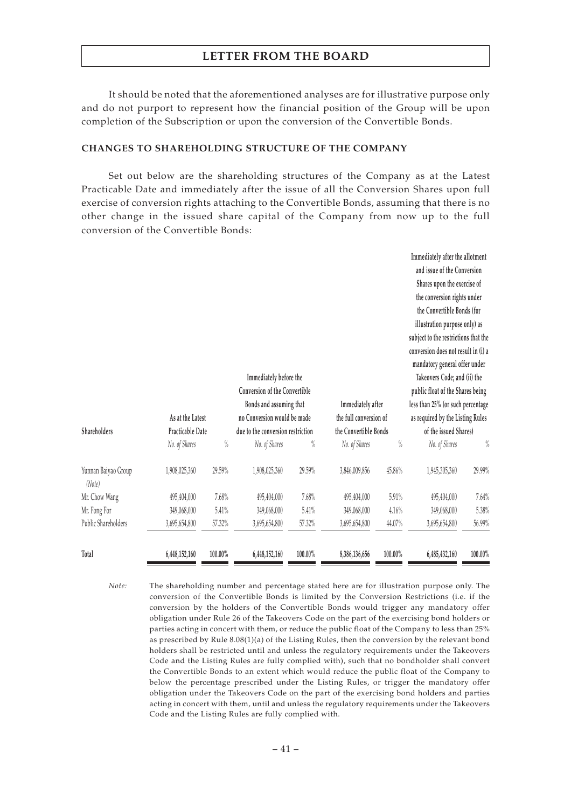It should be noted that the aforementioned analyses are for illustrative purpose only and do not purport to represent how the financial position of the Group will be upon completion of the Subscription or upon the conversion of the Convertible Bonds.

### **CHANGES TO SHAREHOLDING STRUCTURE OF THE COMPANY**

Set out below are the shareholding structures of the Company as at the Latest Practicable Date and immediately after the issue of all the Conversion Shares upon full exercise of conversion rights attaching to the Convertible Bonds, assuming that there is no other change in the issued share capital of the Company from now up to the full conversion of the Convertible Bonds:

|                               |                  |         | Immediately before the<br><b>Conversion of the Convertible</b> |         |                                             |         | Immediately after the allotment<br>and issue of the Conversion<br>Shares upon the exercise of<br>the conversion rights under<br>the Convertible Bonds (for<br>illustration purpose only) as<br>subject to the restrictions that the<br>conversion does not result in (i) a<br>mandatory general offer under<br>Takeovers Code; and (ii) the<br>public float of the Shares being |         |
|-------------------------------|------------------|---------|----------------------------------------------------------------|---------|---------------------------------------------|---------|---------------------------------------------------------------------------------------------------------------------------------------------------------------------------------------------------------------------------------------------------------------------------------------------------------------------------------------------------------------------------------|---------|
|                               | As at the Latest |         | Bonds and assuming that<br>no Conversion would be made         |         | Immediately after<br>the full conversion of |         | less than 25% (or such percentage<br>as required by the Listing Rules                                                                                                                                                                                                                                                                                                           |         |
| Shareholders                  | Practicable Date |         | due to the conversion restriction                              |         | the Convertible Bonds                       |         | of the issued Shares)                                                                                                                                                                                                                                                                                                                                                           |         |
|                               | No. of Shares    | $\%$    | No. of Shares                                                  | $\%$    | No. of Shares                               | $\%$    | No. of Shares                                                                                                                                                                                                                                                                                                                                                                   | $\%$    |
| Yunnan Baiyao Group<br>(Note) | 1,908,025,360    | 29.59%  | 1,908,025,360                                                  | 29.59%  | 3,846,009,856                               | 45.86%  | 1,945,305,360                                                                                                                                                                                                                                                                                                                                                                   | 29.99%  |
| Mr. Chow Wang                 | 495,404,000      | 7.68%   | 495,404,000                                                    | 7.68%   | 495,404,000                                 | 5.91%   | 495,404,000                                                                                                                                                                                                                                                                                                                                                                     | 7.64%   |
| Mr. Fong For                  | 349,068,000      | 5.41%   | 349,068,000                                                    | 5.41%   | 349,068,000                                 | 4.16%   | 349,068,000                                                                                                                                                                                                                                                                                                                                                                     | 5.38%   |
| Public Shareholders           | 3,695,654,800    | 57.32%  | 3,695,654,800                                                  | 57.32%  | 3,695,654,800                               | 44.07%  | 3,695,654,800                                                                                                                                                                                                                                                                                                                                                                   | 56.99%  |
| Total                         | 6,448,152,160    | 100.00% | 6,448,152,160                                                  | 100.00% | 8,386,136,656                               | 100.00% | 6,485,432,160                                                                                                                                                                                                                                                                                                                                                                   | 100.00% |

*Note:* The shareholding number and percentage stated here are for illustration purpose only. The conversion of the Convertible Bonds is limited by the Conversion Restrictions (i.e. if the conversion by the holders of the Convertible Bonds would trigger any mandatory offer obligation under Rule 26 of the Takeovers Code on the part of the exercising bond holders or parties acting in concert with them, or reduce the public float of the Company to less than 25% as prescribed by Rule 8.08(1)(a) of the Listing Rules, then the conversion by the relevant bond holders shall be restricted until and unless the regulatory requirements under the Takeovers Code and the Listing Rules are fully complied with), such that no bondholder shall convert the Convertible Bonds to an extent which would reduce the public float of the Company to below the percentage prescribed under the Listing Rules, or trigger the mandatory offer obligation under the Takeovers Code on the part of the exercising bond holders and parties acting in concert with them, until and unless the regulatory requirements under the Takeovers Code and the Listing Rules are fully complied with.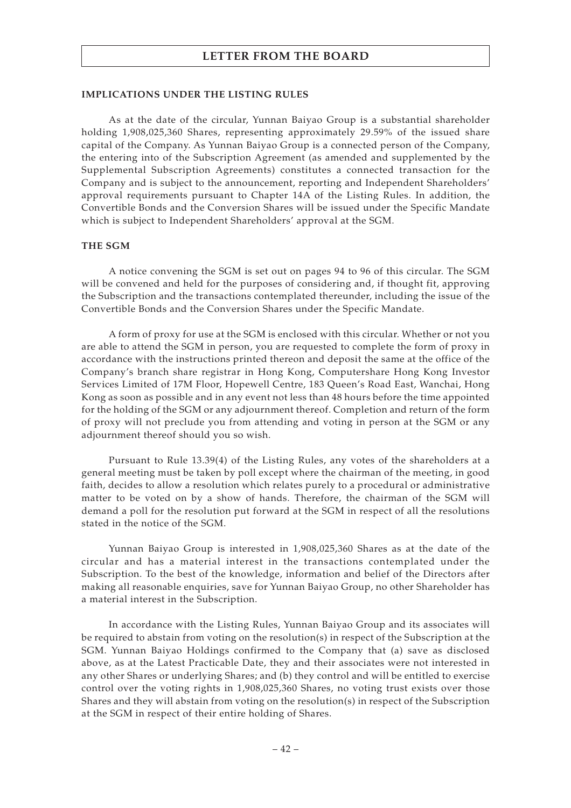#### **IMPLICATIONS UNDER THE LISTING RULES**

As at the date of the circular, Yunnan Baiyao Group is a substantial shareholder holding 1,908,025,360 Shares, representing approximately 29.59% of the issued share capital of the Company. As Yunnan Baiyao Group is a connected person of the Company, the entering into of the Subscription Agreement (as amended and supplemented by the Supplemental Subscription Agreements) constitutes a connected transaction for the Company and is subject to the announcement, reporting and Independent Shareholders' approval requirements pursuant to Chapter 14A of the Listing Rules. In addition, the Convertible Bonds and the Conversion Shares will be issued under the Specific Mandate which is subject to Independent Shareholders' approval at the SGM.

#### **THE SGM**

A notice convening the SGM is set out on pages 94 to 96 of this circular. The SGM will be convened and held for the purposes of considering and, if thought fit, approving the Subscription and the transactions contemplated thereunder, including the issue of the Convertible Bonds and the Conversion Shares under the Specific Mandate.

A form of proxy for use at the SGM is enclosed with this circular. Whether or not you are able to attend the SGM in person, you are requested to complete the form of proxy in accordance with the instructions printed thereon and deposit the same at the office of the Company's branch share registrar in Hong Kong, Computershare Hong Kong Investor Services Limited of 17M Floor, Hopewell Centre, 183 Queen's Road East, Wanchai, Hong Kong as soon as possible and in any event not less than 48 hours before the time appointed for the holding of the SGM or any adjournment thereof. Completion and return of the form of proxy will not preclude you from attending and voting in person at the SGM or any adjournment thereof should you so wish.

Pursuant to Rule 13.39(4) of the Listing Rules, any votes of the shareholders at a general meeting must be taken by poll except where the chairman of the meeting, in good faith, decides to allow a resolution which relates purely to a procedural or administrative matter to be voted on by a show of hands. Therefore, the chairman of the SGM will demand a poll for the resolution put forward at the SGM in respect of all the resolutions stated in the notice of the SGM.

Yunnan Baiyao Group is interested in 1,908,025,360 Shares as at the date of the circular and has a material interest in the transactions contemplated under the Subscription. To the best of the knowledge, information and belief of the Directors after making all reasonable enquiries, save for Yunnan Baiyao Group, no other Shareholder has a material interest in the Subscription.

In accordance with the Listing Rules, Yunnan Baiyao Group and its associates will be required to abstain from voting on the resolution(s) in respect of the Subscription at the SGM. Yunnan Baiyao Holdings confirmed to the Company that (a) save as disclosed above, as at the Latest Practicable Date, they and their associates were not interested in any other Shares or underlying Shares; and (b) they control and will be entitled to exercise control over the voting rights in 1,908,025,360 Shares, no voting trust exists over those Shares and they will abstain from voting on the resolution(s) in respect of the Subscription at the SGM in respect of their entire holding of Shares.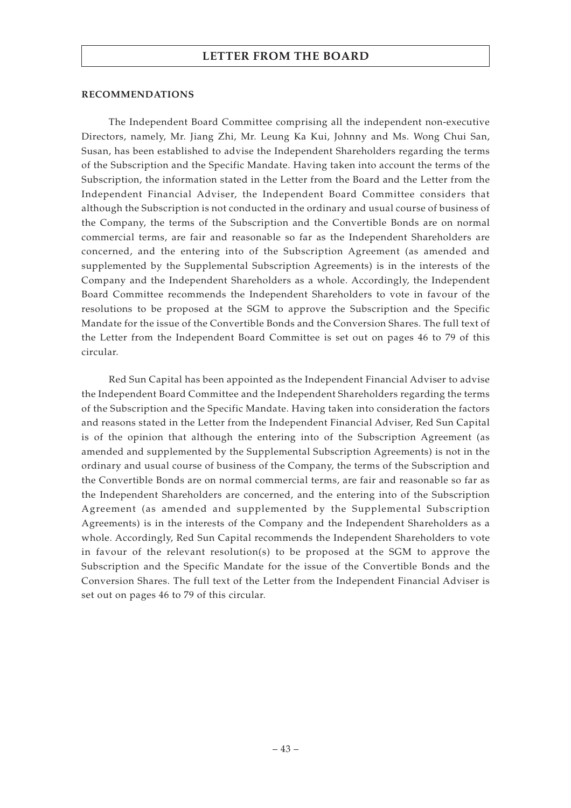#### **RECOMMENDATIONS**

The Independent Board Committee comprising all the independent non-executive Directors, namely, Mr. Jiang Zhi, Mr. Leung Ka Kui, Johnny and Ms. Wong Chui San, Susan, has been established to advise the Independent Shareholders regarding the terms of the Subscription and the Specific Mandate. Having taken into account the terms of the Subscription, the information stated in the Letter from the Board and the Letter from the Independent Financial Adviser, the Independent Board Committee considers that although the Subscription is not conducted in the ordinary and usual course of business of the Company, the terms of the Subscription and the Convertible Bonds are on normal commercial terms, are fair and reasonable so far as the Independent Shareholders are concerned, and the entering into of the Subscription Agreement (as amended and supplemented by the Supplemental Subscription Agreements) is in the interests of the Company and the Independent Shareholders as a whole. Accordingly, the Independent Board Committee recommends the Independent Shareholders to vote in favour of the resolutions to be proposed at the SGM to approve the Subscription and the Specific Mandate for the issue of the Convertible Bonds and the Conversion Shares. The full text of the Letter from the Independent Board Committee is set out on pages 46 to 79 of this circular.

Red Sun Capital has been appointed as the Independent Financial Adviser to advise the Independent Board Committee and the Independent Shareholders regarding the terms of the Subscription and the Specific Mandate. Having taken into consideration the factors and reasons stated in the Letter from the Independent Financial Adviser, Red Sun Capital is of the opinion that although the entering into of the Subscription Agreement (as amended and supplemented by the Supplemental Subscription Agreements) is not in the ordinary and usual course of business of the Company, the terms of the Subscription and the Convertible Bonds are on normal commercial terms, are fair and reasonable so far as the Independent Shareholders are concerned, and the entering into of the Subscription Agreement (as amended and supplemented by the Supplemental Subscription Agreements) is in the interests of the Company and the Independent Shareholders as a whole. Accordingly, Red Sun Capital recommends the Independent Shareholders to vote in favour of the relevant resolution(s) to be proposed at the SGM to approve the Subscription and the Specific Mandate for the issue of the Convertible Bonds and the Conversion Shares. The full text of the Letter from the Independent Financial Adviser is set out on pages 46 to 79 of this circular.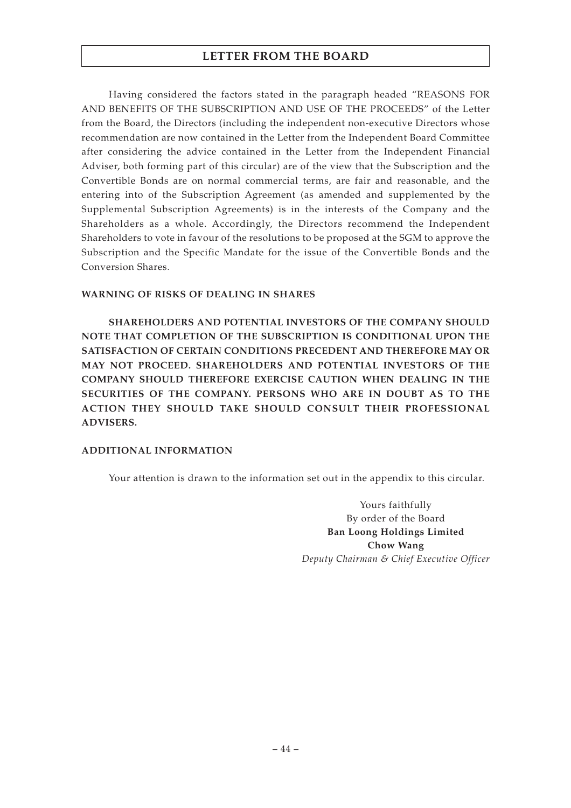Having considered the factors stated in the paragraph headed "REASONS FOR AND BENEFITS OF THE SUBSCRIPTION AND USE OF THE PROCEEDS" of the Letter from the Board, the Directors (including the independent non-executive Directors whose recommendation are now contained in the Letter from the Independent Board Committee after considering the advice contained in the Letter from the Independent Financial Adviser, both forming part of this circular) are of the view that the Subscription and the Convertible Bonds are on normal commercial terms, are fair and reasonable, and the entering into of the Subscription Agreement (as amended and supplemented by the Supplemental Subscription Agreements) is in the interests of the Company and the Shareholders as a whole. Accordingly, the Directors recommend the Independent Shareholders to vote in favour of the resolutions to be proposed at the SGM to approve the Subscription and the Specific Mandate for the issue of the Convertible Bonds and the Conversion Shares.

### **WARNING OF RISKS OF DEALING IN SHARES**

**SHAREHOLDERS AND POTENTIAL INVESTORS OF THE COMPANY SHOULD NOTE THAT COMPLETION OF THE SUBSCRIPTION IS CONDITIONAL UPON THE SATISFACTION OF CERTAIN CONDITIONS PRECEDENT AND THEREFORE MAY OR MAY NOT PROCEED. SHAREHOLDERS AND POTENTIAL INVESTORS OF THE COMPANY SHOULD THEREFORE EXERCISE CAUTION WHEN DEALING IN THE SECURITIES OF THE COMPANY. PERSONS WHO ARE IN DOUBT AS TO THE ACTION THEY SHOULD TAKE SHOULD CONSULT THEIR PROFESSIONAL ADVISERS.**

### **ADDITIONAL INFORMATION**

Your attention is drawn to the information set out in the appendix to this circular.

Yours faithfully By order of the Board **Ban Loong Holdings Limited Chow Wang** *Deputy Chairman & Chief Executive Officer*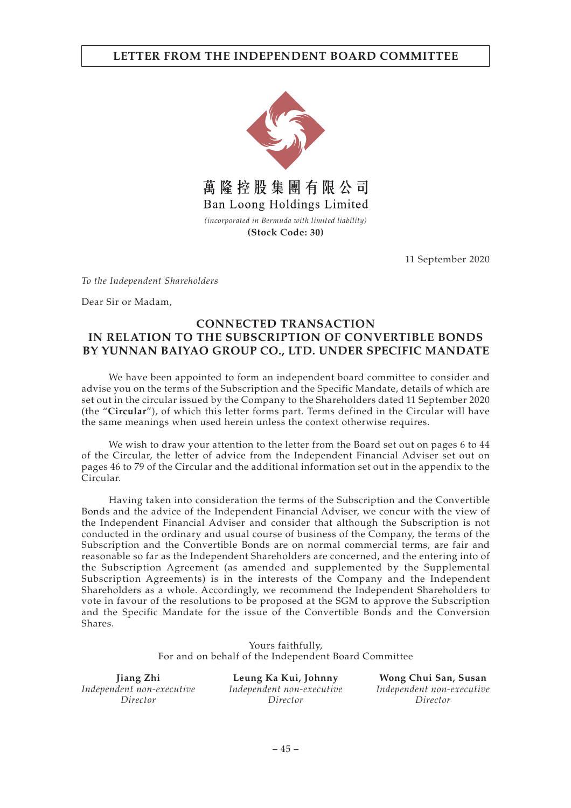## **LETTER FROM THE INDEPENDENT BOARD COMMITTEE**



**(Stock Code: 30)**

11 September 2020

*To the Independent Shareholders*

Dear Sir or Madam,

## **CONNECTED TRANSACTION IN RELATION TO THE SUBSCRIPTION OF CONVERTIBLE BONDS BY YUNNAN BAIYAO GROUP CO., LTD. UNDER SPECIFIC MANDATE**

We have been appointed to form an independent board committee to consider and advise you on the terms of the Subscription and the Specific Mandate, details of which are set out in the circular issued by the Company to the Shareholders dated 11 September 2020 (the "**Circular**"), of which this letter forms part. Terms defined in the Circular will have the same meanings when used herein unless the context otherwise requires.

We wish to draw your attention to the letter from the Board set out on pages 6 to 44 of the Circular, the letter of advice from the Independent Financial Adviser set out on pages 46 to 79 of the Circular and the additional information set out in the appendix to the Circular.

Having taken into consideration the terms of the Subscription and the Convertible Bonds and the advice of the Independent Financial Adviser, we concur with the view of the Independent Financial Adviser and consider that although the Subscription is not conducted in the ordinary and usual course of business of the Company, the terms of the Subscription and the Convertible Bonds are on normal commercial terms, are fair and reasonable so far as the Independent Shareholders are concerned, and the entering into of the Subscription Agreement (as amended and supplemented by the Supplemental Subscription Agreements) is in the interests of the Company and the Independent Shareholders as a whole. Accordingly, we recommend the Independent Shareholders to vote in favour of the resolutions to be proposed at the SGM to approve the Subscription and the Specific Mandate for the issue of the Convertible Bonds and the Conversion Shares.

> Yours faithfully, For and on behalf of the Independent Board Committee

**Jiang Zhi** *Independent non-executive Director*

**Leung Ka Kui, Johnny** *Independent non-executive Director*

**Wong Chui San, Susan** *Independent non-executive Director*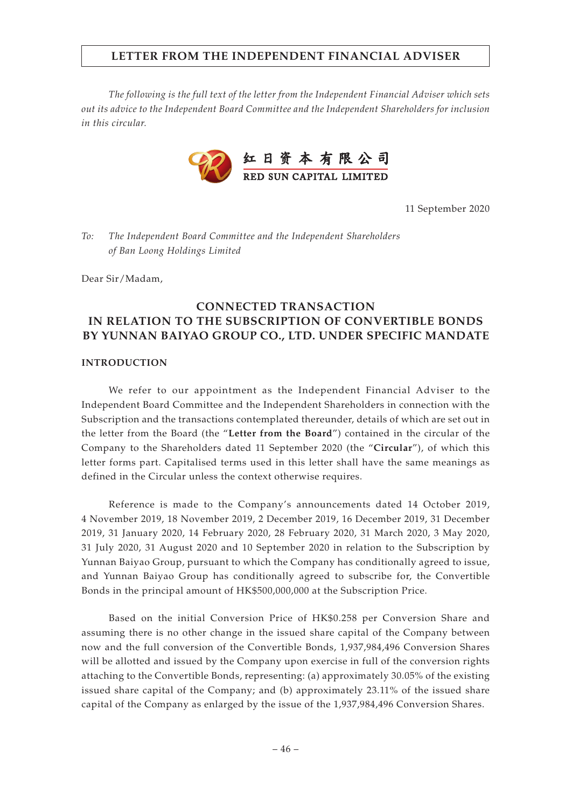*The following is the full text of the letter from the Independent Financial Adviser which sets out its advice to the Independent Board Committee and the Independent Shareholders for inclusion in this circular.*



11 September 2020

*To: The Independent Board Committee and the Independent Shareholders of Ban Loong Holdings Limited*

Dear Sir/Madam,

# **CONNECTED TRANSACTION IN RELATION TO THE SUBSCRIPTION OF CONVERTIBLE BONDS BY YUNNAN BAIYAO GROUP CO., LTD. UNDER SPECIFIC MANDATE**

#### **INTRODUCTION**

We refer to our appointment as the Independent Financial Adviser to the Independent Board Committee and the Independent Shareholders in connection with the Subscription and the transactions contemplated thereunder, details of which are set out in the letter from the Board (the "**Letter from the Board**") contained in the circular of the Company to the Shareholders dated 11 September 2020 (the "**Circular**"), of which this letter forms part. Capitalised terms used in this letter shall have the same meanings as defined in the Circular unless the context otherwise requires.

Reference is made to the Company's announcements dated 14 October 2019, 4 November 2019, 18 November 2019, 2 December 2019, 16 December 2019, 31 December 2019, 31 January 2020, 14 February 2020, 28 February 2020, 31 March 2020, 3 May 2020, 31 July 2020, 31 August 2020 and 10 September 2020 in relation to the Subscription by Yunnan Baiyao Group, pursuant to which the Company has conditionally agreed to issue, and Yunnan Baiyao Group has conditionally agreed to subscribe for, the Convertible Bonds in the principal amount of HK\$500,000,000 at the Subscription Price.

Based on the initial Conversion Price of HK\$0.258 per Conversion Share and assuming there is no other change in the issued share capital of the Company between now and the full conversion of the Convertible Bonds, 1,937,984,496 Conversion Shares will be allotted and issued by the Company upon exercise in full of the conversion rights attaching to the Convertible Bonds, representing: (a) approximately 30.05% of the existing issued share capital of the Company; and (b) approximately 23.11% of the issued share capital of the Company as enlarged by the issue of the 1,937,984,496 Conversion Shares.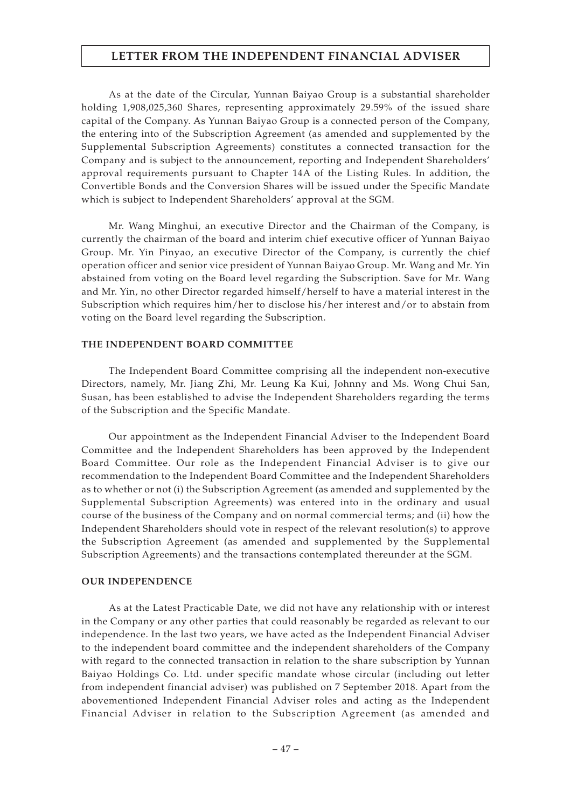As at the date of the Circular, Yunnan Baiyao Group is a substantial shareholder holding 1,908,025,360 Shares, representing approximately 29.59% of the issued share capital of the Company. As Yunnan Baiyao Group is a connected person of the Company, the entering into of the Subscription Agreement (as amended and supplemented by the Supplemental Subscription Agreements) constitutes a connected transaction for the Company and is subject to the announcement, reporting and Independent Shareholders' approval requirements pursuant to Chapter 14A of the Listing Rules. In addition, the Convertible Bonds and the Conversion Shares will be issued under the Specific Mandate which is subject to Independent Shareholders' approval at the SGM.

Mr. Wang Minghui, an executive Director and the Chairman of the Company, is currently the chairman of the board and interim chief executive officer of Yunnan Baiyao Group. Mr. Yin Pinyao, an executive Director of the Company, is currently the chief operation officer and senior vice president of Yunnan Baiyao Group. Mr. Wang and Mr. Yin abstained from voting on the Board level regarding the Subscription. Save for Mr. Wang and Mr. Yin, no other Director regarded himself/herself to have a material interest in the Subscription which requires him/her to disclose his/her interest and/or to abstain from voting on the Board level regarding the Subscription.

### **THE INDEPENDENT BOARD COMMITTEE**

The Independent Board Committee comprising all the independent non-executive Directors, namely, Mr. Jiang Zhi, Mr. Leung Ka Kui, Johnny and Ms. Wong Chui San, Susan, has been established to advise the Independent Shareholders regarding the terms of the Subscription and the Specific Mandate.

Our appointment as the Independent Financial Adviser to the Independent Board Committee and the Independent Shareholders has been approved by the Independent Board Committee. Our role as the Independent Financial Adviser is to give our recommendation to the Independent Board Committee and the Independent Shareholders as to whether or not (i) the Subscription Agreement (as amended and supplemented by the Supplemental Subscription Agreements) was entered into in the ordinary and usual course of the business of the Company and on normal commercial terms; and (ii) how the Independent Shareholders should vote in respect of the relevant resolution(s) to approve the Subscription Agreement (as amended and supplemented by the Supplemental Subscription Agreements) and the transactions contemplated thereunder at the SGM.

### **OUR INDEPENDENCE**

As at the Latest Practicable Date, we did not have any relationship with or interest in the Company or any other parties that could reasonably be regarded as relevant to our independence. In the last two years, we have acted as the Independent Financial Adviser to the independent board committee and the independent shareholders of the Company with regard to the connected transaction in relation to the share subscription by Yunnan Baiyao Holdings Co. Ltd. under specific mandate whose circular (including out letter from independent financial adviser) was published on 7 September 2018. Apart from the abovementioned Independent Financial Adviser roles and acting as the Independent Financial Adviser in relation to the Subscription Agreement (as amended and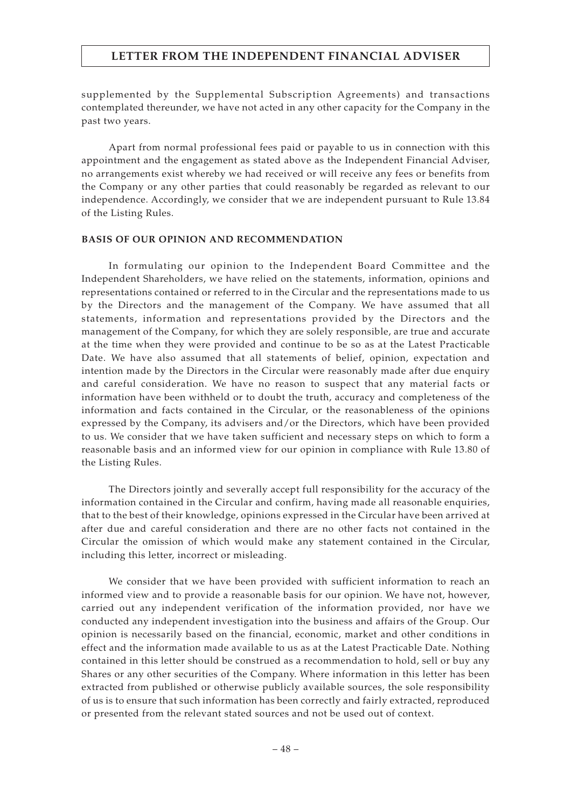supplemented by the Supplemental Subscription Agreements) and transactions contemplated thereunder, we have not acted in any other capacity for the Company in the past two years.

Apart from normal professional fees paid or payable to us in connection with this appointment and the engagement as stated above as the Independent Financial Adviser, no arrangements exist whereby we had received or will receive any fees or benefits from the Company or any other parties that could reasonably be regarded as relevant to our independence. Accordingly, we consider that we are independent pursuant to Rule 13.84 of the Listing Rules.

#### **BASIS OF OUR OPINION AND RECOMMENDATION**

In formulating our opinion to the Independent Board Committee and the Independent Shareholders, we have relied on the statements, information, opinions and representations contained or referred to in the Circular and the representations made to us by the Directors and the management of the Company. We have assumed that all statements, information and representations provided by the Directors and the management of the Company, for which they are solely responsible, are true and accurate at the time when they were provided and continue to be so as at the Latest Practicable Date. We have also assumed that all statements of belief, opinion, expectation and intention made by the Directors in the Circular were reasonably made after due enquiry and careful consideration. We have no reason to suspect that any material facts or information have been withheld or to doubt the truth, accuracy and completeness of the information and facts contained in the Circular, or the reasonableness of the opinions expressed by the Company, its advisers and/or the Directors, which have been provided to us. We consider that we have taken sufficient and necessary steps on which to form a reasonable basis and an informed view for our opinion in compliance with Rule 13.80 of the Listing Rules.

The Directors jointly and severally accept full responsibility for the accuracy of the information contained in the Circular and confirm, having made all reasonable enquiries, that to the best of their knowledge, opinions expressed in the Circular have been arrived at after due and careful consideration and there are no other facts not contained in the Circular the omission of which would make any statement contained in the Circular, including this letter, incorrect or misleading.

We consider that we have been provided with sufficient information to reach an informed view and to provide a reasonable basis for our opinion. We have not, however, carried out any independent verification of the information provided, nor have we conducted any independent investigation into the business and affairs of the Group. Our opinion is necessarily based on the financial, economic, market and other conditions in effect and the information made available to us as at the Latest Practicable Date. Nothing contained in this letter should be construed as a recommendation to hold, sell or buy any Shares or any other securities of the Company. Where information in this letter has been extracted from published or otherwise publicly available sources, the sole responsibility of us is to ensure that such information has been correctly and fairly extracted, reproduced or presented from the relevant stated sources and not be used out of context.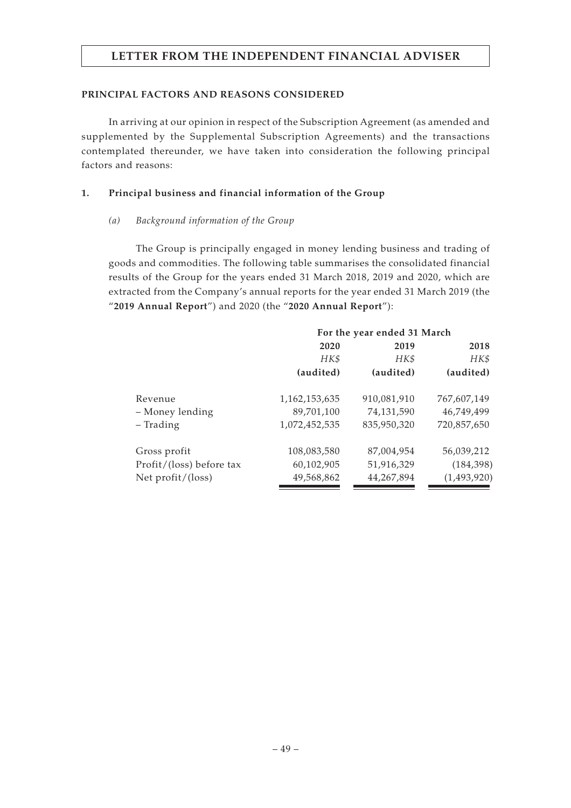### **PRINCIPAL FACTORS AND REASONS CONSIDERED**

In arriving at our opinion in respect of the Subscription Agreement (as amended and supplemented by the Supplemental Subscription Agreements) and the transactions contemplated thereunder, we have taken into consideration the following principal factors and reasons:

### **1. Principal business and financial information of the Group**

### *(a) Background information of the Group*

The Group is principally engaged in money lending business and trading of goods and commodities. The following table summarises the consolidated financial results of the Group for the years ended 31 March 2018, 2019 and 2020, which are extracted from the Company's annual reports for the year ended 31 March 2019 (the "**2019 Annual Report**") and 2020 (the "**2020 Annual Report**"):

|                          | For the year ended 31 March |             |             |  |
|--------------------------|-----------------------------|-------------|-------------|--|
|                          | 2020                        | 2019        | 2018        |  |
|                          | HK\$                        | HK\$        | HK\$        |  |
|                          | (audited)                   | (audited)   | (audited)   |  |
| Revenue                  | 1,162,153,635               | 910,081,910 | 767,607,149 |  |
| - Money lending          | 89,701,100                  | 74,131,590  | 46,749,499  |  |
| - Trading                | 1,072,452,535               | 835,950,320 | 720,857,650 |  |
| Gross profit             | 108,083,580                 | 87,004,954  | 56,039,212  |  |
| Profit/(loss) before tax | 60,102,905                  | 51,916,329  | (184, 398)  |  |
| Net $profit/$ (loss)     | 49,568,862                  | 44,267,894  | (1,493,920) |  |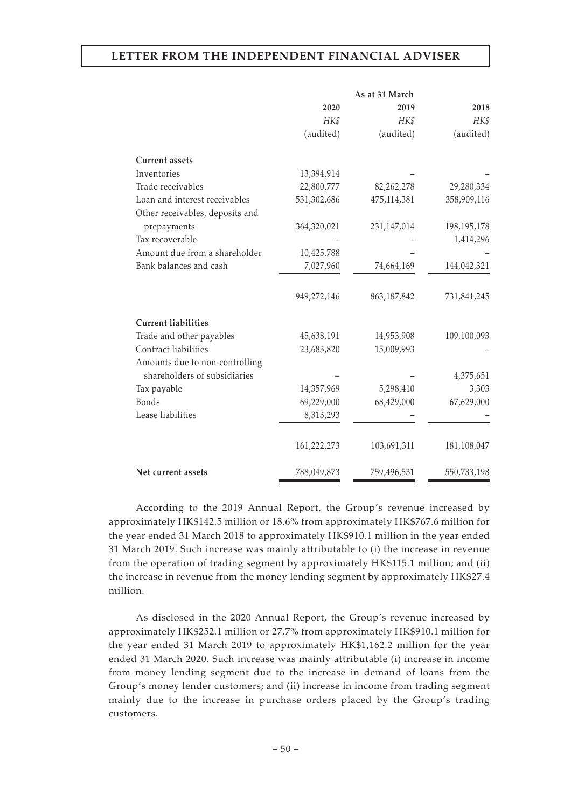|                                                                | 2020                     | 2019                    | 2018               |
|----------------------------------------------------------------|--------------------------|-------------------------|--------------------|
|                                                                | HK\$                     | HK\$                    | HK\$               |
|                                                                | (audited)                | (audited)               | (audited)          |
| <b>Current assets</b>                                          |                          |                         |                    |
| Inventories                                                    | 13,394,914               |                         |                    |
| Trade receivables                                              | 22,800,777               | 82,262,278              | 29,280,334         |
| Loan and interest receivables                                  | 531,302,686              | 475,114,381             | 358,909,116        |
| Other receivables, deposits and                                |                          |                         |                    |
| prepayments                                                    | 364,320,021              | 231,147,014             | 198, 195, 178      |
| Tax recoverable                                                |                          |                         | 1,414,296          |
| Amount due from a shareholder                                  | 10,425,788               |                         |                    |
| Bank balances and cash                                         | 7,027,960                | 74,664,169              | 144,042,321        |
|                                                                | 949,272,146              | 863, 187, 842           | 731,841,245        |
| <b>Current liabilities</b>                                     |                          |                         |                    |
| Trade and other payables                                       | 45,638,191               | 14,953,908              | 109,100,093        |
| Contract liabilities                                           | 23,683,820               | 15,009,993              |                    |
| Amounts due to non-controlling<br>shareholders of subsidiaries |                          |                         |                    |
|                                                                |                          |                         | 4,375,651<br>3,303 |
| Tax payable<br>Bonds                                           | 14,357,969<br>69,229,000 | 5,298,410<br>68,429,000 | 67,629,000         |
| Lease liabilities                                              |                          |                         |                    |
|                                                                | 8,313,293                |                         |                    |
|                                                                | 161,222,273              | 103,691,311             | 181,108,047        |
| Net current assets                                             | 788,049,873              | 759,496,531             | 550,733,198        |

According to the 2019 Annual Report, the Group's revenue increased by approximately HK\$142.5 million or 18.6% from approximately HK\$767.6 million for the year ended 31 March 2018 to approximately HK\$910.1 million in the year ended 31 March 2019. Such increase was mainly attributable to (i) the increase in revenue from the operation of trading segment by approximately HK\$115.1 million; and (ii) the increase in revenue from the money lending segment by approximately HK\$27.4 million.

As disclosed in the 2020 Annual Report, the Group's revenue increased by approximately HK\$252.1 million or 27.7% from approximately HK\$910.1 million for the year ended 31 March 2019 to approximately HK\$1,162.2 million for the year ended 31 March 2020. Such increase was mainly attributable (i) increase in income from money lending segment due to the increase in demand of loans from the Group's money lender customers; and (ii) increase in income from trading segment mainly due to the increase in purchase orders placed by the Group's trading customers.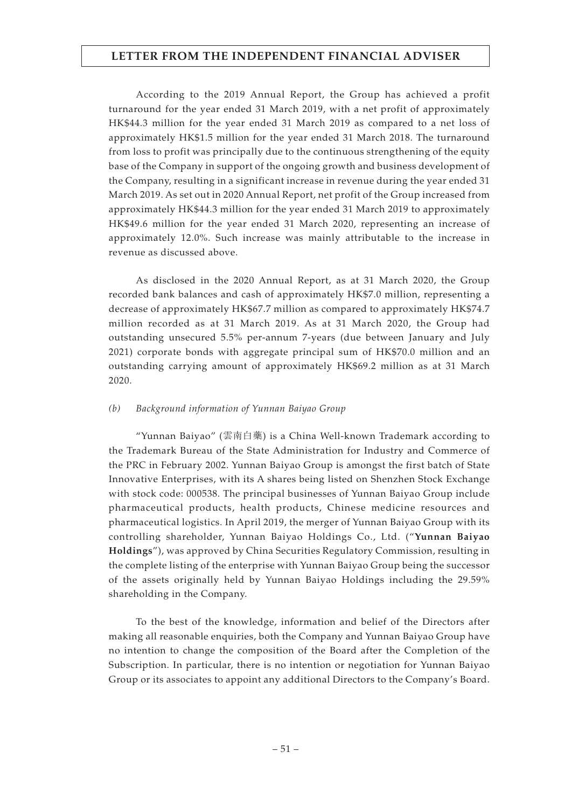According to the 2019 Annual Report, the Group has achieved a profit turnaround for the year ended 31 March 2019, with a net profit of approximately HK\$44.3 million for the year ended 31 March 2019 as compared to a net loss of approximately HK\$1.5 million for the year ended 31 March 2018. The turnaround from loss to profit was principally due to the continuous strengthening of the equity base of the Company in support of the ongoing growth and business development of the Company, resulting in a significant increase in revenue during the year ended 31 March 2019. As set out in 2020 Annual Report, net profit of the Group increased from approximately HK\$44.3 million for the year ended 31 March 2019 to approximately HK\$49.6 million for the year ended 31 March 2020, representing an increase of approximately 12.0%. Such increase was mainly attributable to the increase in revenue as discussed above.

As disclosed in the 2020 Annual Report, as at 31 March 2020, the Group recorded bank balances and cash of approximately HK\$7.0 million, representing a decrease of approximately HK\$67.7 million as compared to approximately HK\$74.7 million recorded as at 31 March 2019. As at 31 March 2020, the Group had outstanding unsecured 5.5% per-annum 7-years (due between January and July 2021) corporate bonds with aggregate principal sum of HK\$70.0 million and an outstanding carrying amount of approximately HK\$69.2 million as at 31 March 2020.

### *(b) Background information of Yunnan Baiyao Group*

"Yunnan Baiyao" (雲南白藥) is a China Well-known Trademark according to the Trademark Bureau of the State Administration for Industry and Commerce of the PRC in February 2002. Yunnan Baiyao Group is amongst the first batch of State Innovative Enterprises, with its A shares being listed on Shenzhen Stock Exchange with stock code: 000538. The principal businesses of Yunnan Baiyao Group include pharmaceutical products, health products, Chinese medicine resources and pharmaceutical logistics. In April 2019, the merger of Yunnan Baiyao Group with its controlling shareholder, Yunnan Baiyao Holdings Co., Ltd. ("**Yunnan Baiyao Holdings**"), was approved by China Securities Regulatory Commission, resulting in the complete listing of the enterprise with Yunnan Baiyao Group being the successor of the assets originally held by Yunnan Baiyao Holdings including the 29.59% shareholding in the Company.

To the best of the knowledge, information and belief of the Directors after making all reasonable enquiries, both the Company and Yunnan Baiyao Group have no intention to change the composition of the Board after the Completion of the Subscription. In particular, there is no intention or negotiation for Yunnan Baiyao Group or its associates to appoint any additional Directors to the Company's Board.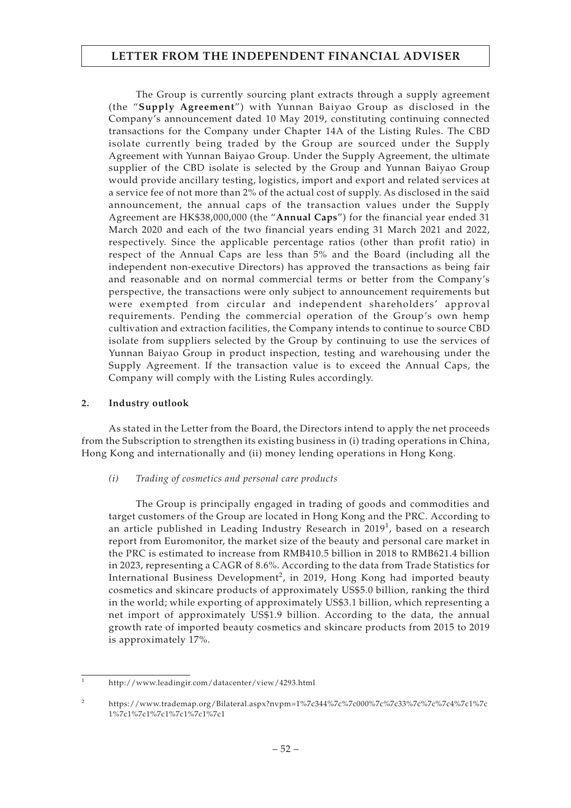The Group is currently sourcing plant extracts through a supply agreement (the "**Supply Agreement**") with Yunnan Baiyao Group as disclosed in the Company's announcement dated 10 May 2019, constituting continuing connected transactions for the Company under Chapter 14A of the Listing Rules. The CBD isolate currently being traded by the Group are sourced under the Supply Agreement with Yunnan Baiyao Group. Under the Supply Agreement, the ultimate supplier of the CBD isolate is selected by the Group and Yunnan Baiyao Group would provide ancillary testing, logistics, import and export and related services at a service fee of not more than 2% of the actual cost of supply. As disclosed in the said announcement, the annual caps of the transaction values under the Supply Agreement are HK\$38,000,000 (the "**Annual Caps**") for the financial year ended 31 March 2020 and each of the two financial years ending 31 March 2021 and 2022, respectively. Since the applicable percentage ratios (other than profit ratio) in respect of the Annual Caps are less than 5% and the Board (including all the independent non-executive Directors) has approved the transactions as being fair and reasonable and on normal commercial terms or better from the Company's perspective, the transactions were only subject to announcement requirements but were exempted from circular and independent shareholders' approval requirements. Pending the commercial operation of the Group's own hemp cultivation and extraction facilities, the Company intends to continue to source CBD isolate from suppliers selected by the Group by continuing to use the services of Yunnan Baiyao Group in product inspection, testing and warehousing under the Supply Agreement. If the transaction value is to exceed the Annual Caps, the Company will comply with the Listing Rules accordingly.

### **2. Industry outlook**

As stated in the Letter from the Board, the Directors intend to apply the net proceeds from the Subscription to strengthen its existing business in (i) trading operations in China, Hong Kong and internationally and (ii) money lending operations in Hong Kong.

### *(i) Trading of cosmetics and personal care products*

The Group is principally engaged in trading of goods and commodities and target customers of the Group are located in Hong Kong and the PRC. According to an article published in Leading Industry Research in 2019 $^1$ , based on a research report from Euromonitor, the market size of the beauty and personal care market in the PRC is estimated to increase from RMB410.5 billion in 2018 to RMB621.4 billion in 2023, representing a CAGR of 8.6%. According to the data from Trade Statistics for International Business Development<sup>2</sup>, in 2019, Hong Kong had imported beauty cosmetics and skincare products of approximately US\$5.0 billion, ranking the third in the world; while exporting of approximately US\$3.1 billion, which representing a net import of approximately US\$1.9 billion. According to the data, the annual growth rate of imported beauty cosmetics and skincare products from 2015 to 2019 is approximately 17%.

<sup>1</sup> http://www.leadingir.com/datacenter/view/4293.html

<sup>2</sup> https://www.trademap.org/Bilateral.aspx?nvpm=1%7c344%7c%7c000%7c%7c33%7c%7c%7c4%7c1%7c 1%7c1%7c1%7c1%7c1%7c1%7c1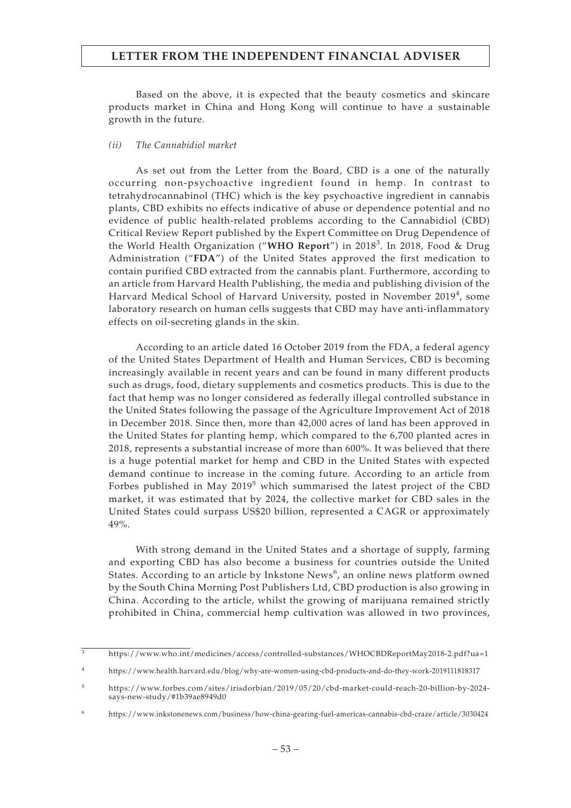Based on the above, it is expected that the beauty cosmetics and skincare products market in China and Hong Kong will continue to have a sustainable growth in the future.

### *(ii) The Cannabidiol market*

As set out from the Letter from the Board, CBD is a one of the naturally occurring non-psychoactive ingredient found in hemp. In contrast to tetrahydrocannabinol (THC) which is the key psychoactive ingredient in cannabis plants, CBD exhibits no effects indicative of abuse or dependence potential and no evidence of public health-related problems according to the Cannabidiol (CBD) Critical Review Report published by the Expert Committee on Drug Dependence of the World Health Organization ("**WHO Report**") in 2018<sup>3</sup>. In 2018, Food & Drug Administration ("**FDA**") of the United States approved the first medication to contain purified CBD extracted from the cannabis plant. Furthermore, according to an article from Harvard Health Publishing, the media and publishing division of the Harvard Medical School of Harvard University, posted in November 2019<sup>4</sup>, some laboratory research on human cells suggests that CBD may have anti-inflammatory effects on oil-secreting glands in the skin.

According to an article dated 16 October 2019 from the FDA, a federal agency of the United States Department of Health and Human Services, CBD is becoming increasingly available in recent years and can be found in many different products such as drugs, food, dietary supplements and cosmetics products. This is due to the fact that hemp was no longer considered as federally illegal controlled substance in the United States following the passage of the Agriculture Improvement Act of 2018 in December 2018. Since then, more than 42,000 acres of land has been approved in the United States for planting hemp, which compared to the 6,700 planted acres in 2018, represents a substantial increase of more than 600%. It was believed that there is a huge potential market for hemp and CBD in the United States with expected demand continue to increase in the coming future. According to an article from Forbes published in May 2019<sup>5</sup> which summarised the latest project of the CBD market, it was estimated that by 2024, the collective market for CBD sales in the United States could surpass US\$20 billion, represented a CAGR or approximately 49%.

With strong demand in the United States and a shortage of supply, farming and exporting CBD has also become a business for countries outside the United States. According to an article by Inkstone News $^6$ , an online news platform owned by the South China Morning Post Publishers Ltd, CBD production is also growing in China. According to the article, whilst the growing of marijuana remained strictly prohibited in China, commercial hemp cultivation was allowed in two provinces,

<sup>3</sup> https://www.who.int/medicines/access/controlled-substances/WHOCBDReportMay2018-2.pdf?ua=1

<sup>4</sup> https://www.health.harvard.edu/blog/why-are-women-using-cbd-products-and-do-they-work-2019111818317

<sup>5</sup> https://www.forbes.com/sites/irisdorbian/2019/05/20/cbd-market-could-reach-20-billion-by-2024 says-new-study/#1b39ae8949d0

 $^6$ https://www.inkstonenews.com/business/how-china-gearing-fuel-americas-cannabis-cbd-craze/article/3030424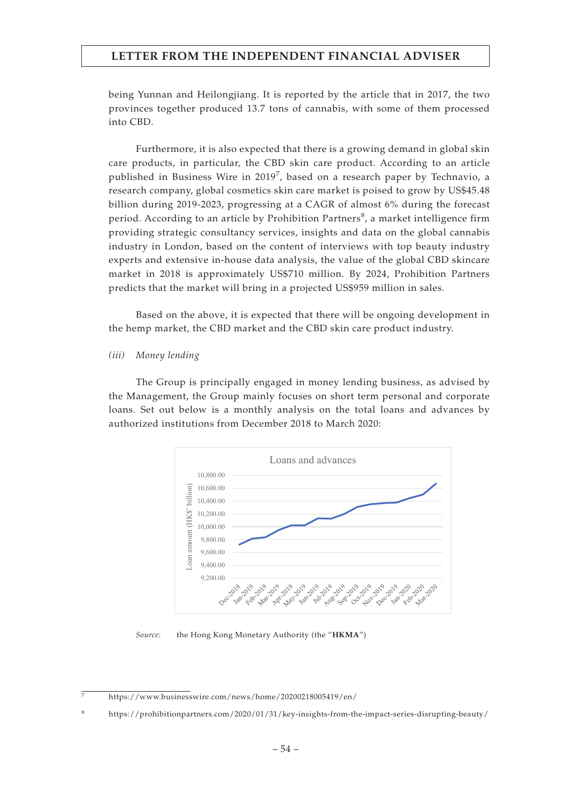being Yunnan and Heilongjiang. It is reported by the article that in 2017, the two provinces together produced 13.7 tons of cannabis, with some of them processed into CBD.

Furthermore, it is also expected that there is a growing demand in global skin care products, in particular, the CBD skin care product. According to an article published in Business Wire in 2019<sup>7</sup>, based on a research paper by Technavio, a research company, global cosmetics skin care market is poised to grow by US\$45.48 billion during 2019-2023, progressing at a CAGR of almost 6% during the forecast period. According to an article by Prohibition Partners $^8$ , a market intelligence firm providing strategic consultancy services, insights and data on the global cannabis industry in London, based on the content of interviews with top beauty industry experts and extensive in-house data analysis, the value of the global CBD skincare market in 2018 is approximately US\$710 million. By 2024, Prohibition Partners predicts that the market will bring in a projected US\$959 million in sales.

Based on the above, it is expected that there will be ongoing development in the hemp market, the CBD market and the CBD skin care product industry.

#### *(iii) Money lending*

The Group is principally engaged in money lending business, as advised by the Management, the Group mainly focuses on short term personal and corporate loans. Set out below is a monthly analysis on the total loans and advances by authorized institutions from December 2018 to March 2020:



*Source:* the Hong Kong Monetary Authority (the "**HKMA**")

<sup>7</sup> https://www.businesswire.com/news/home/20200218005419/en/

<sup>8</sup> https://prohibitionpartners.com/2020/01/31/key-insights-from-the-impact-series-disrupting-beauty/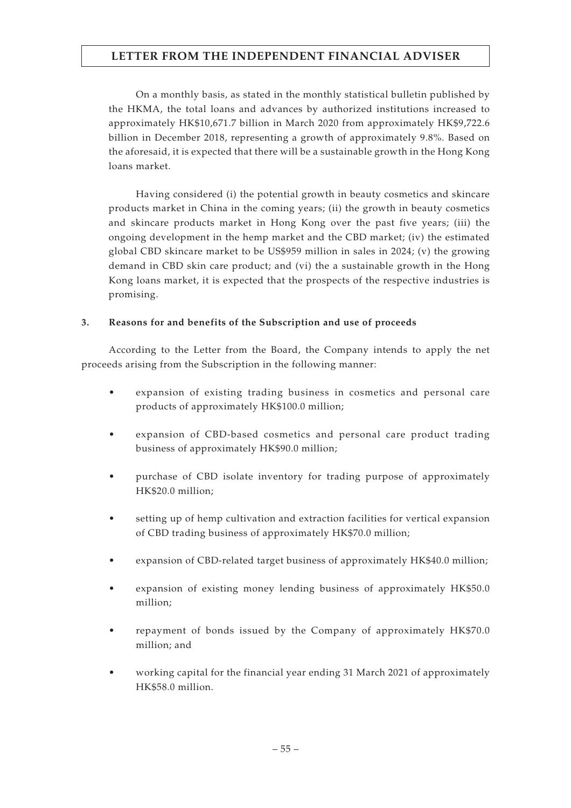On a monthly basis, as stated in the monthly statistical bulletin published by the HKMA, the total loans and advances by authorized institutions increased to approximately HK\$10,671.7 billion in March 2020 from approximately HK\$9,722.6 billion in December 2018, representing a growth of approximately 9.8%. Based on the aforesaid, it is expected that there will be a sustainable growth in the Hong Kong loans market.

Having considered (i) the potential growth in beauty cosmetics and skincare products market in China in the coming years; (ii) the growth in beauty cosmetics and skincare products market in Hong Kong over the past five years; (iii) the ongoing development in the hemp market and the CBD market; (iv) the estimated global CBD skincare market to be US\$959 million in sales in 2024; (v) the growing demand in CBD skin care product; and (vi) the a sustainable growth in the Hong Kong loans market, it is expected that the prospects of the respective industries is promising.

### **3. Reasons for and benefits of the Subscription and use of proceeds**

According to the Letter from the Board, the Company intends to apply the net proceeds arising from the Subscription in the following manner:

- expansion of existing trading business in cosmetics and personal care products of approximately HK\$100.0 million;
- expansion of CBD-based cosmetics and personal care product trading business of approximately HK\$90.0 million;
- purchase of CBD isolate inventory for trading purpose of approximately HK\$20.0 million;
- setting up of hemp cultivation and extraction facilities for vertical expansion of CBD trading business of approximately HK\$70.0 million;
- expansion of CBD-related target business of approximately HK\$40.0 million;
- expansion of existing money lending business of approximately HK\$50.0 million;
- repayment of bonds issued by the Company of approximately HK\$70.0 million; and
- working capital for the financial year ending 31 March 2021 of approximately HK\$58.0 million.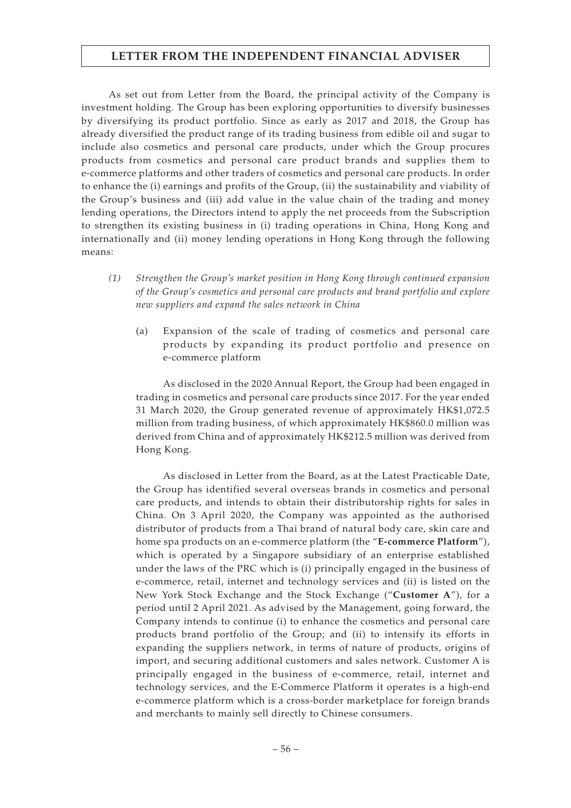As set out from Letter from the Board, the principal activity of the Company is investment holding. The Group has been exploring opportunities to diversify businesses by diversifying its product portfolio. Since as early as 2017 and 2018, the Group has already diversified the product range of its trading business from edible oil and sugar to include also cosmetics and personal care products, under which the Group procures products from cosmetics and personal care product brands and supplies them to e-commerce platforms and other traders of cosmetics and personal care products. In order to enhance the (i) earnings and profits of the Group, (ii) the sustainability and viability of the Group's business and (iii) add value in the value chain of the trading and money lending operations, the Directors intend to apply the net proceeds from the Subscription to strengthen its existing business in (i) trading operations in China, Hong Kong and internationally and (ii) money lending operations in Hong Kong through the following means:

- *(1) Strengthen the Group's market position in Hong Kong through continued expansion of the Group's cosmetics and personal care products and brand portfolio and explore new suppliers and expand the sales network in China*
	- (a) Expansion of the scale of trading of cosmetics and personal care products by expanding its product portfolio and presence on e-commerce platform

As disclosed in the 2020 Annual Report, the Group had been engaged in trading in cosmetics and personal care products since 2017. For the year ended 31 March 2020, the Group generated revenue of approximately HK\$1,072.5 million from trading business, of which approximately HK\$860.0 million was derived from China and of approximately HK\$212.5 million was derived from Hong Kong.

As disclosed in Letter from the Board, as at the Latest Practicable Date, the Group has identified several overseas brands in cosmetics and personal care products, and intends to obtain their distributorship rights for sales in China. On 3 April 2020, the Company was appointed as the authorised distributor of products from a Thai brand of natural body care, skin care and home spa products on an e-commerce platform (the "**E-commerce Platform**"), which is operated by a Singapore subsidiary of an enterprise established under the laws of the PRC which is (i) principally engaged in the business of e-commerce, retail, internet and technology services and (ii) is listed on the New York Stock Exchange and the Stock Exchange ("**Customer A**"), for a period until 2 April 2021. As advised by the Management, going forward, the Company intends to continue (i) to enhance the cosmetics and personal care products brand portfolio of the Group; and (ii) to intensify its efforts in expanding the suppliers network, in terms of nature of products, origins of import, and securing additional customers and sales network. Customer A is principally engaged in the business of e-commerce, retail, internet and technology services, and the E-Commerce Platform it operates is a high-end e-commerce platform which is a cross-border marketplace for foreign brands and merchants to mainly sell directly to Chinese consumers.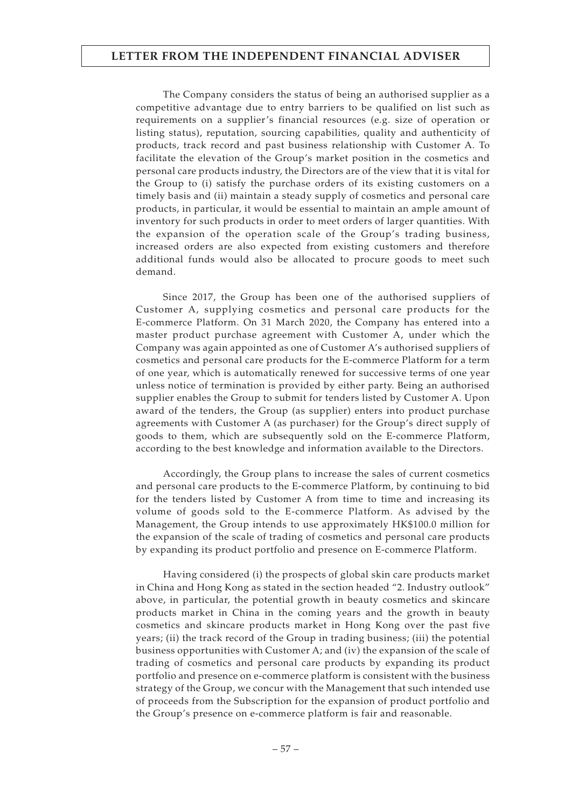The Company considers the status of being an authorised supplier as a competitive advantage due to entry barriers to be qualified on list such as requirements on a supplier's financial resources (e.g. size of operation or listing status), reputation, sourcing capabilities, quality and authenticity of products, track record and past business relationship with Customer A. To facilitate the elevation of the Group's market position in the cosmetics and personal care products industry, the Directors are of the view that it is vital for the Group to (i) satisfy the purchase orders of its existing customers on a timely basis and (ii) maintain a steady supply of cosmetics and personal care products, in particular, it would be essential to maintain an ample amount of inventory for such products in order to meet orders of larger quantities. With the expansion of the operation scale of the Group's trading business, increased orders are also expected from existing customers and therefore additional funds would also be allocated to procure goods to meet such demand.

Since 2017, the Group has been one of the authorised suppliers of Customer A, supplying cosmetics and personal care products for the E-commerce Platform. On 31 March 2020, the Company has entered into a master product purchase agreement with Customer A, under which the Company was again appointed as one of Customer A's authorised suppliers of cosmetics and personal care products for the E-commerce Platform for a term of one year, which is automatically renewed for successive terms of one year unless notice of termination is provided by either party. Being an authorised supplier enables the Group to submit for tenders listed by Customer A. Upon award of the tenders, the Group (as supplier) enters into product purchase agreements with Customer A (as purchaser) for the Group's direct supply of goods to them, which are subsequently sold on the E-commerce Platform, according to the best knowledge and information available to the Directors.

Accordingly, the Group plans to increase the sales of current cosmetics and personal care products to the E-commerce Platform, by continuing to bid for the tenders listed by Customer A from time to time and increasing its volume of goods sold to the E-commerce Platform. As advised by the Management, the Group intends to use approximately HK\$100.0 million for the expansion of the scale of trading of cosmetics and personal care products by expanding its product portfolio and presence on E-commerce Platform.

Having considered (i) the prospects of global skin care products market in China and Hong Kong as stated in the section headed "2. Industry outlook" above, in particular, the potential growth in beauty cosmetics and skincare products market in China in the coming years and the growth in beauty cosmetics and skincare products market in Hong Kong over the past five years; (ii) the track record of the Group in trading business; (iii) the potential business opportunities with Customer A; and (iv) the expansion of the scale of trading of cosmetics and personal care products by expanding its product portfolio and presence on e-commerce platform is consistent with the business strategy of the Group, we concur with the Management that such intended use of proceeds from the Subscription for the expansion of product portfolio and the Group's presence on e-commerce platform is fair and reasonable.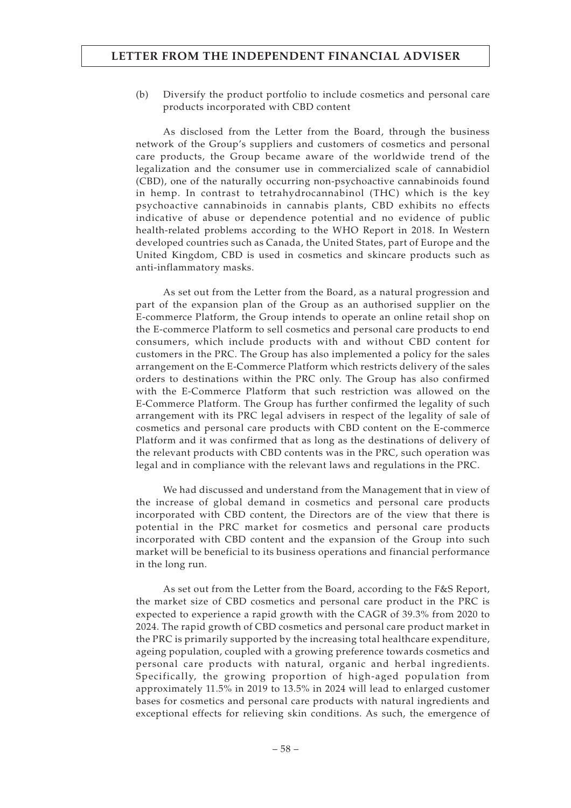(b) Diversify the product portfolio to include cosmetics and personal care products incorporated with CBD content

As disclosed from the Letter from the Board, through the business network of the Group's suppliers and customers of cosmetics and personal care products, the Group became aware of the worldwide trend of the legalization and the consumer use in commercialized scale of cannabidiol (CBD), one of the naturally occurring non-psychoactive cannabinoids found in hemp. In contrast to tetrahydrocannabinol (THC) which is the key psychoactive cannabinoids in cannabis plants, CBD exhibits no effects indicative of abuse or dependence potential and no evidence of public health-related problems according to the WHO Report in 2018. In Western developed countries such as Canada, the United States, part of Europe and the United Kingdom, CBD is used in cosmetics and skincare products such as anti-inflammatory masks.

As set out from the Letter from the Board, as a natural progression and part of the expansion plan of the Group as an authorised supplier on the E-commerce Platform, the Group intends to operate an online retail shop on the E-commerce Platform to sell cosmetics and personal care products to end consumers, which include products with and without CBD content for customers in the PRC. The Group has also implemented a policy for the sales arrangement on the E-Commerce Platform which restricts delivery of the sales orders to destinations within the PRC only. The Group has also confirmed with the E-Commerce Platform that such restriction was allowed on the E-Commerce Platform. The Group has further confirmed the legality of such arrangement with its PRC legal advisers in respect of the legality of sale of cosmetics and personal care products with CBD content on the E-commerce Platform and it was confirmed that as long as the destinations of delivery of the relevant products with CBD contents was in the PRC, such operation was legal and in compliance with the relevant laws and regulations in the PRC.

We had discussed and understand from the Management that in view of the increase of global demand in cosmetics and personal care products incorporated with CBD content, the Directors are of the view that there is potential in the PRC market for cosmetics and personal care products incorporated with CBD content and the expansion of the Group into such market will be beneficial to its business operations and financial performance in the long run.

As set out from the Letter from the Board, according to the F&S Report, the market size of CBD cosmetics and personal care product in the PRC is expected to experience a rapid growth with the CAGR of 39.3% from 2020 to 2024. The rapid growth of CBD cosmetics and personal care product market in the PRC is primarily supported by the increasing total healthcare expenditure, ageing population, coupled with a growing preference towards cosmetics and personal care products with natural, organic and herbal ingredients. Specifically, the growing proportion of high-aged population from approximately 11.5% in 2019 to 13.5% in 2024 will lead to enlarged customer bases for cosmetics and personal care products with natural ingredients and exceptional effects for relieving skin conditions. As such, the emergence of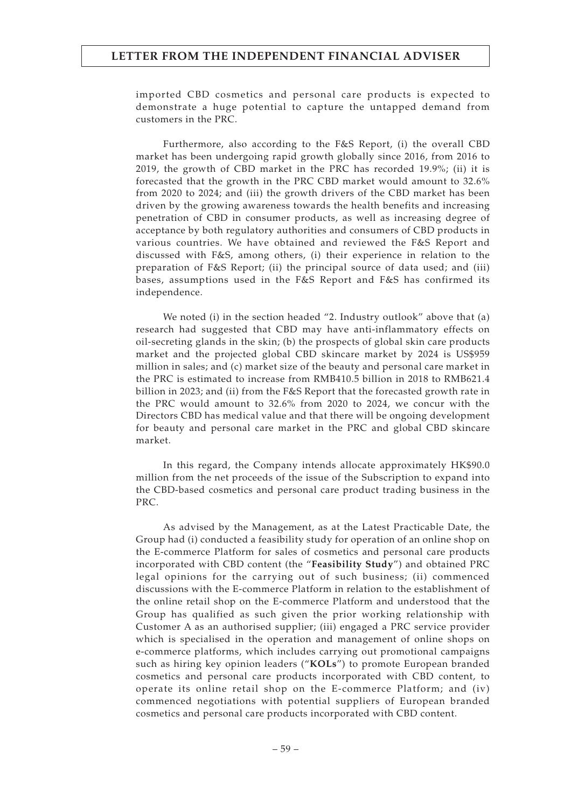imported CBD cosmetics and personal care products is expected to demonstrate a huge potential to capture the untapped demand from customers in the PRC.

Furthermore, also according to the F&S Report, (i) the overall CBD market has been undergoing rapid growth globally since 2016, from 2016 to 2019, the growth of CBD market in the PRC has recorded 19.9%; (ii) it is forecasted that the growth in the PRC CBD market would amount to 32.6% from 2020 to 2024; and (iii) the growth drivers of the CBD market has been driven by the growing awareness towards the health benefits and increasing penetration of CBD in consumer products, as well as increasing degree of acceptance by both regulatory authorities and consumers of CBD products in various countries. We have obtained and reviewed the F&S Report and discussed with F&S, among others, (i) their experience in relation to the preparation of F&S Report; (ii) the principal source of data used; and (iii) bases, assumptions used in the F&S Report and F&S has confirmed its independence.

We noted (i) in the section headed "2. Industry outlook" above that (a) research had suggested that CBD may have anti-inflammatory effects on oil-secreting glands in the skin; (b) the prospects of global skin care products market and the projected global CBD skincare market by 2024 is US\$959 million in sales; and (c) market size of the beauty and personal care market in the PRC is estimated to increase from RMB410.5 billion in 2018 to RMB621.4 billion in 2023; and (ii) from the F&S Report that the forecasted growth rate in the PRC would amount to 32.6% from 2020 to 2024, we concur with the Directors CBD has medical value and that there will be ongoing development for beauty and personal care market in the PRC and global CBD skincare market.

In this regard, the Company intends allocate approximately HK\$90.0 million from the net proceeds of the issue of the Subscription to expand into the CBD-based cosmetics and personal care product trading business in the PRC.

As advised by the Management, as at the Latest Practicable Date, the Group had (i) conducted a feasibility study for operation of an online shop on the E-commerce Platform for sales of cosmetics and personal care products incorporated with CBD content (the "**Feasibility Study**") and obtained PRC legal opinions for the carrying out of such business; (ii) commenced discussions with the E-commerce Platform in relation to the establishment of the online retail shop on the E-commerce Platform and understood that the Group has qualified as such given the prior working relationship with Customer A as an authorised supplier; (iii) engaged a PRC service provider which is specialised in the operation and management of online shops on e-commerce platforms, which includes carrying out promotional campaigns such as hiring key opinion leaders ("**KOLs**") to promote European branded cosmetics and personal care products incorporated with CBD content, to operate its online retail shop on the E-commerce Platform; and (iv) commenced negotiations with potential suppliers of European branded cosmetics and personal care products incorporated with CBD content.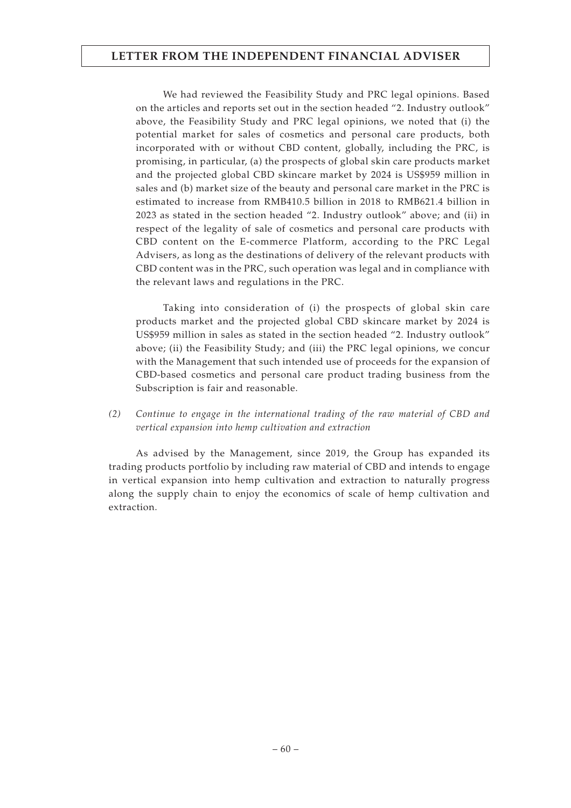We had reviewed the Feasibility Study and PRC legal opinions. Based on the articles and reports set out in the section headed "2. Industry outlook" above, the Feasibility Study and PRC legal opinions, we noted that (i) the potential market for sales of cosmetics and personal care products, both incorporated with or without CBD content, globally, including the PRC, is promising, in particular, (a) the prospects of global skin care products market and the projected global CBD skincare market by 2024 is US\$959 million in sales and (b) market size of the beauty and personal care market in the PRC is estimated to increase from RMB410.5 billion in 2018 to RMB621.4 billion in 2023 as stated in the section headed "2. Industry outlook" above; and (ii) in respect of the legality of sale of cosmetics and personal care products with CBD content on the E-commerce Platform, according to the PRC Legal Advisers, as long as the destinations of delivery of the relevant products with CBD content was in the PRC, such operation was legal and in compliance with the relevant laws and regulations in the PRC.

Taking into consideration of (i) the prospects of global skin care products market and the projected global CBD skincare market by 2024 is US\$959 million in sales as stated in the section headed "2. Industry outlook" above; (ii) the Feasibility Study; and (iii) the PRC legal opinions, we concur with the Management that such intended use of proceeds for the expansion of CBD-based cosmetics and personal care product trading business from the Subscription is fair and reasonable.

*(2) Continue to engage in the international trading of the raw material of CBD and vertical expansion into hemp cultivation and extraction*

As advised by the Management, since 2019, the Group has expanded its trading products portfolio by including raw material of CBD and intends to engage in vertical expansion into hemp cultivation and extraction to naturally progress along the supply chain to enjoy the economics of scale of hemp cultivation and extraction.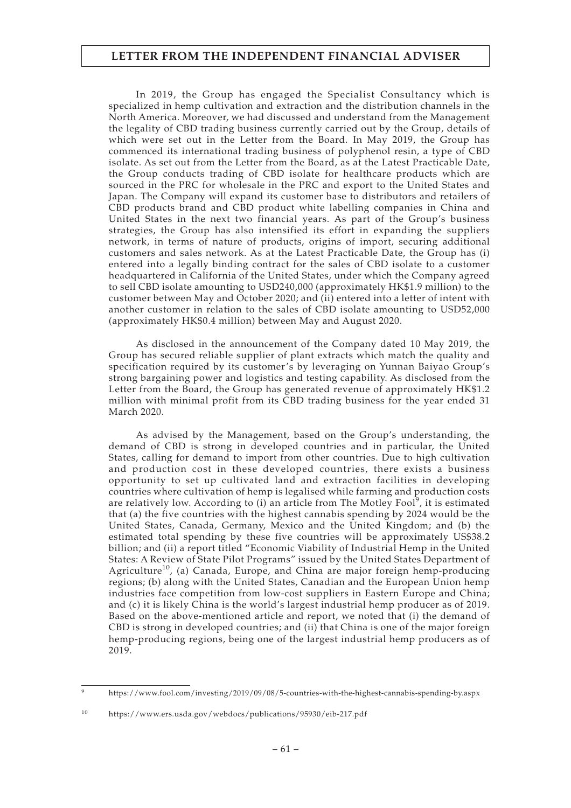In 2019, the Group has engaged the Specialist Consultancy which is specialized in hemp cultivation and extraction and the distribution channels in the North America. Moreover, we had discussed and understand from the Management the legality of CBD trading business currently carried out by the Group, details of which were set out in the Letter from the Board. In May 2019, the Group has commenced its international trading business of polyphenol resin, a type of CBD isolate. As set out from the Letter from the Board, as at the Latest Practicable Date, the Group conducts trading of CBD isolate for healthcare products which are sourced in the PRC for wholesale in the PRC and export to the United States and Japan. The Company will expand its customer base to distributors and retailers of CBD products brand and CBD product white labelling companies in China and United States in the next two financial years. As part of the Group's business strategies, the Group has also intensified its effort in expanding the suppliers network, in terms of nature of products, origins of import, securing additional customers and sales network. As at the Latest Practicable Date, the Group has (i) entered into a legally binding contract for the sales of CBD isolate to a customer headquartered in California of the United States, under which the Company agreed to sell CBD isolate amounting to USD240,000 (approximately HK\$1.9 million) to the customer between May and October 2020; and (ii) entered into a letter of intent with another customer in relation to the sales of CBD isolate amounting to USD52,000 (approximately HK\$0.4 million) between May and August 2020.

As disclosed in the announcement of the Company dated 10 May 2019, the Group has secured reliable supplier of plant extracts which match the quality and specification required by its customer's by leveraging on Yunnan Baiyao Group's strong bargaining power and logistics and testing capability. As disclosed from the Letter from the Board, the Group has generated revenue of approximately HK\$1.2 million with minimal profit from its CBD trading business for the year ended 31 March 2020.

As advised by the Management, based on the Group's understanding, the demand of CBD is strong in developed countries and in particular, the United States, calling for demand to import from other countries. Due to high cultivation and production cost in these developed countries, there exists a business opportunity to set up cultivated land and extraction facilities in developing countries where cultivation of hemp is legalised while farming and production costs are relatively low. According to (i) an article from The Motley Fool $^9$ , it is estimated that (a) the five countries with the highest cannabis spending by 2024 would be the United States, Canada, Germany, Mexico and the United Kingdom; and (b) the estimated total spending by these five countries will be approximately US\$38.2 billion; and (ii) a report titled "Economic Viability of Industrial Hemp in the United States: A Review of State Pilot Programs" issued by the United States Department of Agriculture<sup>10</sup>, (a) Canada, Europe, and China are major foreign hemp-producing regions; (b) along with the United States, Canadian and the European Union hemp industries face competition from low-cost suppliers in Eastern Europe and China; and (c) it is likely China is the world's largest industrial hemp producer as of 2019. Based on the above-mentioned article and report, we noted that (i) the demand of CBD is strong in developed countries; and (ii) that China is one of the major foreign hemp-producing regions, being one of the largest industrial hemp producers as of 2019.

<sup>9</sup> https://www.fool.com/investing/2019/09/08/5-countries-with-the-highest-cannabis-spending-by.aspx

<sup>10</sup> https://www.ers.usda.gov/webdocs/publications/95930/eib-217.pdf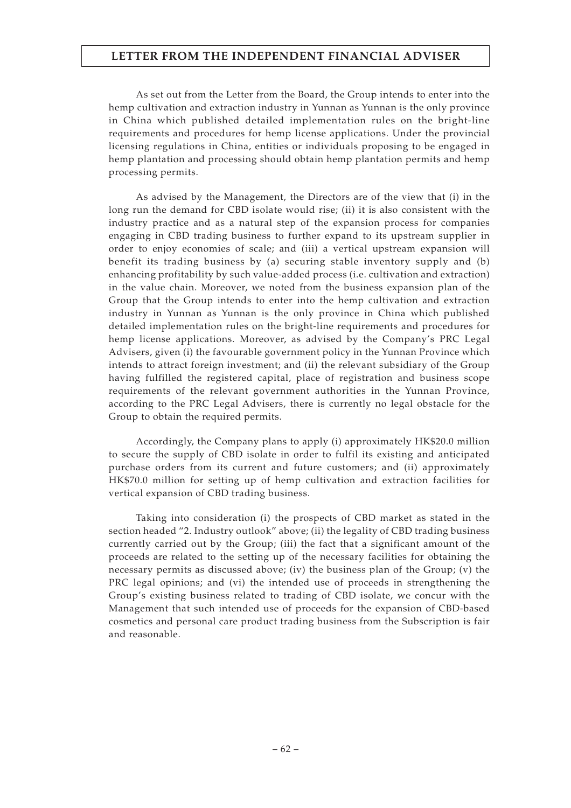As set out from the Letter from the Board, the Group intends to enter into the hemp cultivation and extraction industry in Yunnan as Yunnan is the only province in China which published detailed implementation rules on the bright-line requirements and procedures for hemp license applications. Under the provincial licensing regulations in China, entities or individuals proposing to be engaged in hemp plantation and processing should obtain hemp plantation permits and hemp processing permits.

As advised by the Management, the Directors are of the view that (i) in the long run the demand for CBD isolate would rise; (ii) it is also consistent with the industry practice and as a natural step of the expansion process for companies engaging in CBD trading business to further expand to its upstream supplier in order to enjoy economies of scale; and (iii) a vertical upstream expansion will benefit its trading business by (a) securing stable inventory supply and (b) enhancing profitability by such value-added process (i.e. cultivation and extraction) in the value chain. Moreover, we noted from the business expansion plan of the Group that the Group intends to enter into the hemp cultivation and extraction industry in Yunnan as Yunnan is the only province in China which published detailed implementation rules on the bright-line requirements and procedures for hemp license applications. Moreover, as advised by the Company's PRC Legal Advisers, given (i) the favourable government policy in the Yunnan Province which intends to attract foreign investment; and (ii) the relevant subsidiary of the Group having fulfilled the registered capital, place of registration and business scope requirements of the relevant government authorities in the Yunnan Province, according to the PRC Legal Advisers, there is currently no legal obstacle for the Group to obtain the required permits.

Accordingly, the Company plans to apply (i) approximately HK\$20.0 million to secure the supply of CBD isolate in order to fulfil its existing and anticipated purchase orders from its current and future customers; and (ii) approximately HK\$70.0 million for setting up of hemp cultivation and extraction facilities for vertical expansion of CBD trading business.

Taking into consideration (i) the prospects of CBD market as stated in the section headed "2. Industry outlook" above; (ii) the legality of CBD trading business currently carried out by the Group; (iii) the fact that a significant amount of the proceeds are related to the setting up of the necessary facilities for obtaining the necessary permits as discussed above; (iv) the business plan of the Group; (v) the PRC legal opinions; and (vi) the intended use of proceeds in strengthening the Group's existing business related to trading of CBD isolate, we concur with the Management that such intended use of proceeds for the expansion of CBD-based cosmetics and personal care product trading business from the Subscription is fair and reasonable.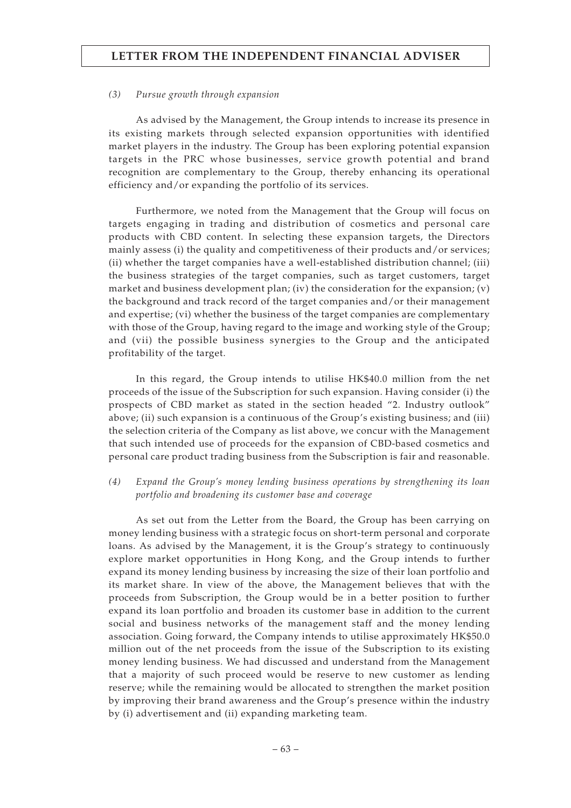#### *(3) Pursue growth through expansion*

As advised by the Management, the Group intends to increase its presence in its existing markets through selected expansion opportunities with identified market players in the industry. The Group has been exploring potential expansion targets in the PRC whose businesses, service growth potential and brand recognition are complementary to the Group, thereby enhancing its operational efficiency and/or expanding the portfolio of its services.

Furthermore, we noted from the Management that the Group will focus on targets engaging in trading and distribution of cosmetics and personal care products with CBD content. In selecting these expansion targets, the Directors mainly assess (i) the quality and competitiveness of their products and/or services; (ii) whether the target companies have a well-established distribution channel; (iii) the business strategies of the target companies, such as target customers, target market and business development plan; (iv) the consideration for the expansion; (v) the background and track record of the target companies and/or their management and expertise; (vi) whether the business of the target companies are complementary with those of the Group, having regard to the image and working style of the Group; and (vii) the possible business synergies to the Group and the anticipated profitability of the target.

In this regard, the Group intends to utilise HK\$40.0 million from the net proceeds of the issue of the Subscription for such expansion. Having consider (i) the prospects of CBD market as stated in the section headed "2. Industry outlook" above; (ii) such expansion is a continuous of the Group's existing business; and (iii) the selection criteria of the Company as list above, we concur with the Management that such intended use of proceeds for the expansion of CBD-based cosmetics and personal care product trading business from the Subscription is fair and reasonable.

*(4) Expand the Group's money lending business operations by strengthening its loan portfolio and broadening its customer base and coverage*

As set out from the Letter from the Board, the Group has been carrying on money lending business with a strategic focus on short-term personal and corporate loans. As advised by the Management, it is the Group's strategy to continuously explore market opportunities in Hong Kong, and the Group intends to further expand its money lending business by increasing the size of their loan portfolio and its market share. In view of the above, the Management believes that with the proceeds from Subscription, the Group would be in a better position to further expand its loan portfolio and broaden its customer base in addition to the current social and business networks of the management staff and the money lending association. Going forward, the Company intends to utilise approximately HK\$50.0 million out of the net proceeds from the issue of the Subscription to its existing money lending business. We had discussed and understand from the Management that a majority of such proceed would be reserve to new customer as lending reserve; while the remaining would be allocated to strengthen the market position by improving their brand awareness and the Group's presence within the industry by (i) advertisement and (ii) expanding marketing team.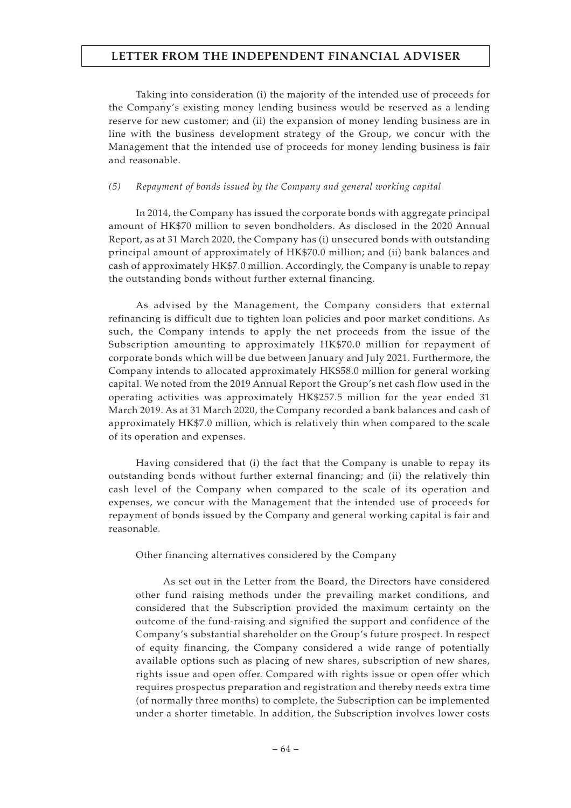Taking into consideration (i) the majority of the intended use of proceeds for the Company's existing money lending business would be reserved as a lending reserve for new customer; and (ii) the expansion of money lending business are in line with the business development strategy of the Group, we concur with the Management that the intended use of proceeds for money lending business is fair and reasonable.

#### *(5) Repayment of bonds issued by the Company and general working capital*

In 2014, the Company has issued the corporate bonds with aggregate principal amount of HK\$70 million to seven bondholders. As disclosed in the 2020 Annual Report, as at 31 March 2020, the Company has (i) unsecured bonds with outstanding principal amount of approximately of HK\$70.0 million; and (ii) bank balances and cash of approximately HK\$7.0 million. Accordingly, the Company is unable to repay the outstanding bonds without further external financing.

As advised by the Management, the Company considers that external refinancing is difficult due to tighten loan policies and poor market conditions. As such, the Company intends to apply the net proceeds from the issue of the Subscription amounting to approximately HK\$70.0 million for repayment of corporate bonds which will be due between January and July 2021. Furthermore, the Company intends to allocated approximately HK\$58.0 million for general working capital. We noted from the 2019 Annual Report the Group's net cash flow used in the operating activities was approximately HK\$257.5 million for the year ended 31 March 2019. As at 31 March 2020, the Company recorded a bank balances and cash of approximately HK\$7.0 million, which is relatively thin when compared to the scale of its operation and expenses.

Having considered that (i) the fact that the Company is unable to repay its outstanding bonds without further external financing; and (ii) the relatively thin cash level of the Company when compared to the scale of its operation and expenses, we concur with the Management that the intended use of proceeds for repayment of bonds issued by the Company and general working capital is fair and reasonable.

Other financing alternatives considered by the Company

As set out in the Letter from the Board, the Directors have considered other fund raising methods under the prevailing market conditions, and considered that the Subscription provided the maximum certainty on the outcome of the fund-raising and signified the support and confidence of the Company's substantial shareholder on the Group's future prospect. In respect of equity financing, the Company considered a wide range of potentially available options such as placing of new shares, subscription of new shares, rights issue and open offer. Compared with rights issue or open offer which requires prospectus preparation and registration and thereby needs extra time (of normally three months) to complete, the Subscription can be implemented under a shorter timetable. In addition, the Subscription involves lower costs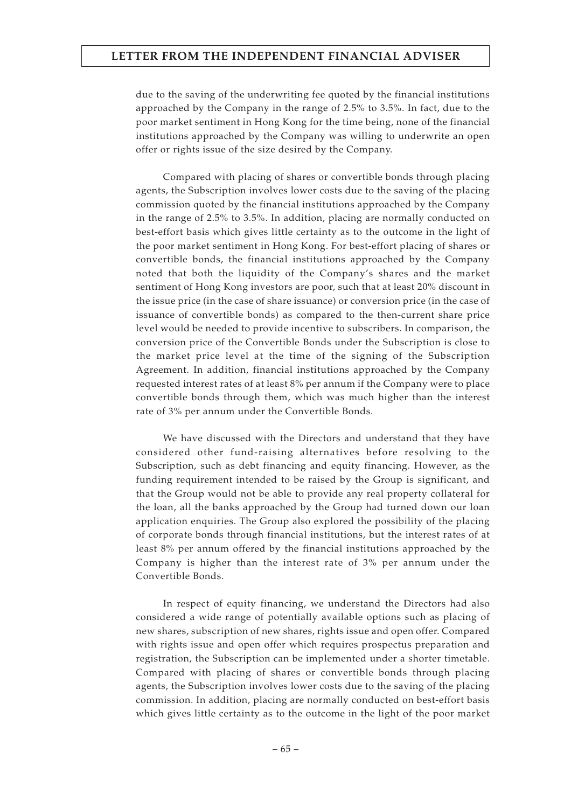due to the saving of the underwriting fee quoted by the financial institutions approached by the Company in the range of 2.5% to 3.5%. In fact, due to the poor market sentiment in Hong Kong for the time being, none of the financial institutions approached by the Company was willing to underwrite an open offer or rights issue of the size desired by the Company.

Compared with placing of shares or convertible bonds through placing agents, the Subscription involves lower costs due to the saving of the placing commission quoted by the financial institutions approached by the Company in the range of 2.5% to 3.5%. In addition, placing are normally conducted on best-effort basis which gives little certainty as to the outcome in the light of the poor market sentiment in Hong Kong. For best-effort placing of shares or convertible bonds, the financial institutions approached by the Company noted that both the liquidity of the Company's shares and the market sentiment of Hong Kong investors are poor, such that at least 20% discount in the issue price (in the case of share issuance) or conversion price (in the case of issuance of convertible bonds) as compared to the then-current share price level would be needed to provide incentive to subscribers. In comparison, the conversion price of the Convertible Bonds under the Subscription is close to the market price level at the time of the signing of the Subscription Agreement. In addition, financial institutions approached by the Company requested interest rates of at least 8% per annum if the Company were to place convertible bonds through them, which was much higher than the interest rate of 3% per annum under the Convertible Bonds.

We have discussed with the Directors and understand that they have considered other fund-raising alternatives before resolving to the Subscription, such as debt financing and equity financing. However, as the funding requirement intended to be raised by the Group is significant, and that the Group would not be able to provide any real property collateral for the loan, all the banks approached by the Group had turned down our loan application enquiries. The Group also explored the possibility of the placing of corporate bonds through financial institutions, but the interest rates of at least 8% per annum offered by the financial institutions approached by the Company is higher than the interest rate of 3% per annum under the Convertible Bonds.

In respect of equity financing, we understand the Directors had also considered a wide range of potentially available options such as placing of new shares, subscription of new shares, rights issue and open offer. Compared with rights issue and open offer which requires prospectus preparation and registration, the Subscription can be implemented under a shorter timetable. Compared with placing of shares or convertible bonds through placing agents, the Subscription involves lower costs due to the saving of the placing commission. In addition, placing are normally conducted on best-effort basis which gives little certainty as to the outcome in the light of the poor market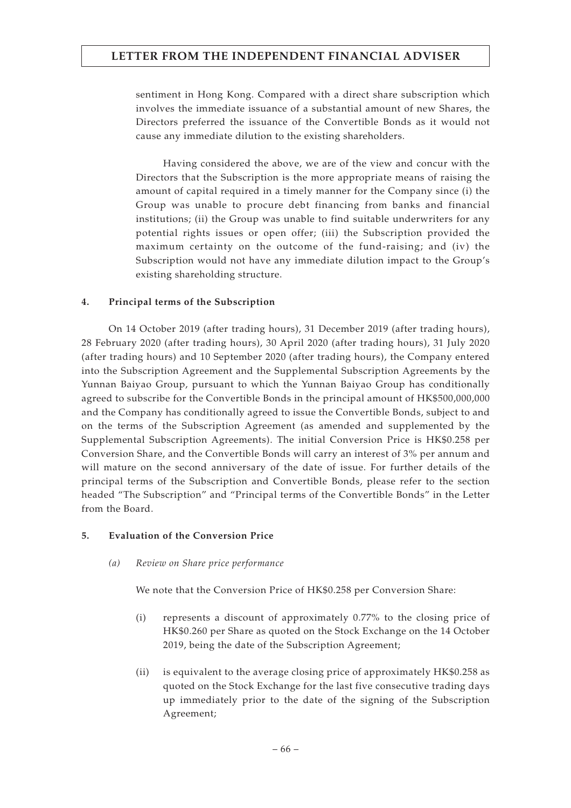sentiment in Hong Kong. Compared with a direct share subscription which involves the immediate issuance of a substantial amount of new Shares, the Directors preferred the issuance of the Convertible Bonds as it would not cause any immediate dilution to the existing shareholders.

Having considered the above, we are of the view and concur with the Directors that the Subscription is the more appropriate means of raising the amount of capital required in a timely manner for the Company since (i) the Group was unable to procure debt financing from banks and financial institutions; (ii) the Group was unable to find suitable underwriters for any potential rights issues or open offer; (iii) the Subscription provided the maximum certainty on the outcome of the fund-raising; and (iv) the Subscription would not have any immediate dilution impact to the Group's existing shareholding structure.

### **4. Principal terms of the Subscription**

On 14 October 2019 (after trading hours), 31 December 2019 (after trading hours), 28 February 2020 (after trading hours), 30 April 2020 (after trading hours), 31 July 2020 (after trading hours) and 10 September 2020 (after trading hours), the Company entered into the Subscription Agreement and the Supplemental Subscription Agreements by the Yunnan Baiyao Group, pursuant to which the Yunnan Baiyao Group has conditionally agreed to subscribe for the Convertible Bonds in the principal amount of HK\$500,000,000 and the Company has conditionally agreed to issue the Convertible Bonds, subject to and on the terms of the Subscription Agreement (as amended and supplemented by the Supplemental Subscription Agreements). The initial Conversion Price is HK\$0.258 per Conversion Share, and the Convertible Bonds will carry an interest of 3% per annum and will mature on the second anniversary of the date of issue. For further details of the principal terms of the Subscription and Convertible Bonds, please refer to the section headed "The Subscription" and "Principal terms of the Convertible Bonds" in the Letter from the Board.

### **5. Evaluation of the Conversion Price**

### *(a) Review on Share price performance*

We note that the Conversion Price of HK\$0.258 per Conversion Share:

- (i) represents a discount of approximately 0.77% to the closing price of HK\$0.260 per Share as quoted on the Stock Exchange on the 14 October 2019, being the date of the Subscription Agreement;
- (ii) is equivalent to the average closing price of approximately HK\$0.258 as quoted on the Stock Exchange for the last five consecutive trading days up immediately prior to the date of the signing of the Subscription Agreement;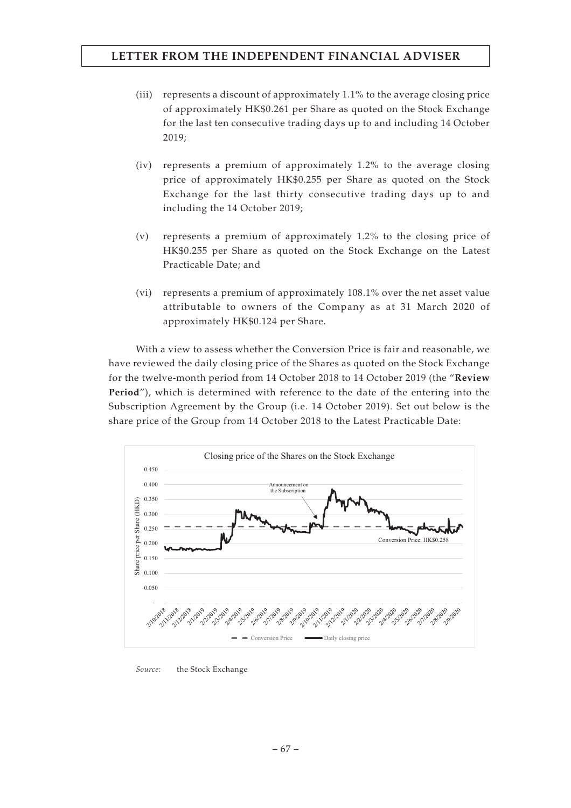- (iii) represents a discount of approximately 1.1% to the average closing price of approximately HK\$0.261 per Share as quoted on the Stock Exchange for the last ten consecutive trading days up to and including 14 October 2019;
- (iv) represents a premium of approximately 1.2% to the average closing price of approximately HK\$0.255 per Share as quoted on the Stock Exchange for the last thirty consecutive trading days up to and including the 14 October 2019;
- (v) represents a premium of approximately 1.2% to the closing price of HK\$0.255 per Share as quoted on the Stock Exchange on the Latest Practicable Date; and
- (vi) represents a premium of approximately 108.1% over the net asset value attributable to owners of the Company as at 31 March 2020 of approximately HK\$0.124 per Share.

With a view to assess whether the Conversion Price is fair and reasonable, we have reviewed the daily closing price of the Shares as quoted on the Stock Exchange for the twelve-month period from 14 October 2018 to 14 October 2019 (the "**Review Period**"), which is determined with reference to the date of the entering into the Subscription Agreement by the Group (i.e. 14 October 2019). Set out below is the share price of the Group from 14 October 2018 to the Latest Practicable Date:



*Source:* the Stock Exchange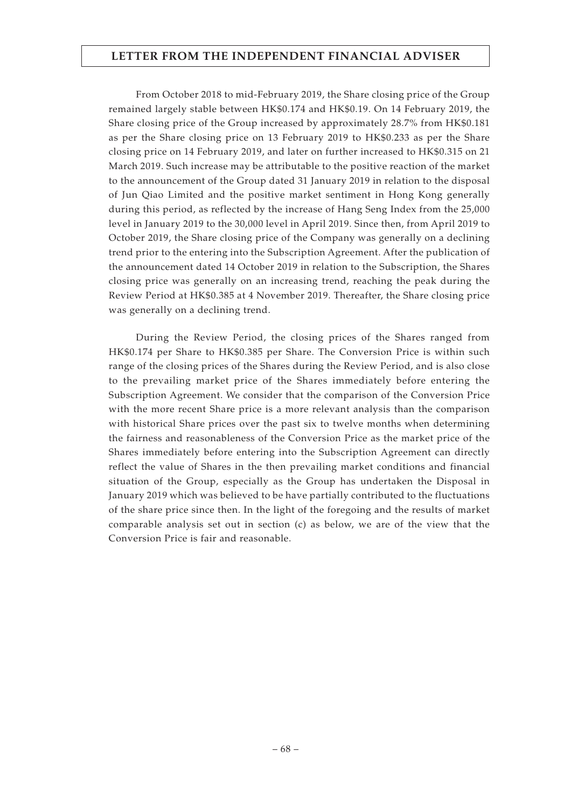From October 2018 to mid-February 2019, the Share closing price of the Group remained largely stable between HK\$0.174 and HK\$0.19. On 14 February 2019, the Share closing price of the Group increased by approximately 28.7% from HK\$0.181 as per the Share closing price on 13 February 2019 to HK\$0.233 as per the Share closing price on 14 February 2019, and later on further increased to HK\$0.315 on 21 March 2019. Such increase may be attributable to the positive reaction of the market to the announcement of the Group dated 31 January 2019 in relation to the disposal of Jun Qiao Limited and the positive market sentiment in Hong Kong generally during this period, as reflected by the increase of Hang Seng Index from the 25,000 level in January 2019 to the 30,000 level in April 2019. Since then, from April 2019 to October 2019, the Share closing price of the Company was generally on a declining trend prior to the entering into the Subscription Agreement. After the publication of the announcement dated 14 October 2019 in relation to the Subscription, the Shares closing price was generally on an increasing trend, reaching the peak during the Review Period at HK\$0.385 at 4 November 2019. Thereafter, the Share closing price was generally on a declining trend.

During the Review Period, the closing prices of the Shares ranged from HK\$0.174 per Share to HK\$0.385 per Share. The Conversion Price is within such range of the closing prices of the Shares during the Review Period, and is also close to the prevailing market price of the Shares immediately before entering the Subscription Agreement. We consider that the comparison of the Conversion Price with the more recent Share price is a more relevant analysis than the comparison with historical Share prices over the past six to twelve months when determining the fairness and reasonableness of the Conversion Price as the market price of the Shares immediately before entering into the Subscription Agreement can directly reflect the value of Shares in the then prevailing market conditions and financial situation of the Group, especially as the Group has undertaken the Disposal in January 2019 which was believed to be have partially contributed to the fluctuations of the share price since then. In the light of the foregoing and the results of market comparable analysis set out in section (c) as below, we are of the view that the Conversion Price is fair and reasonable.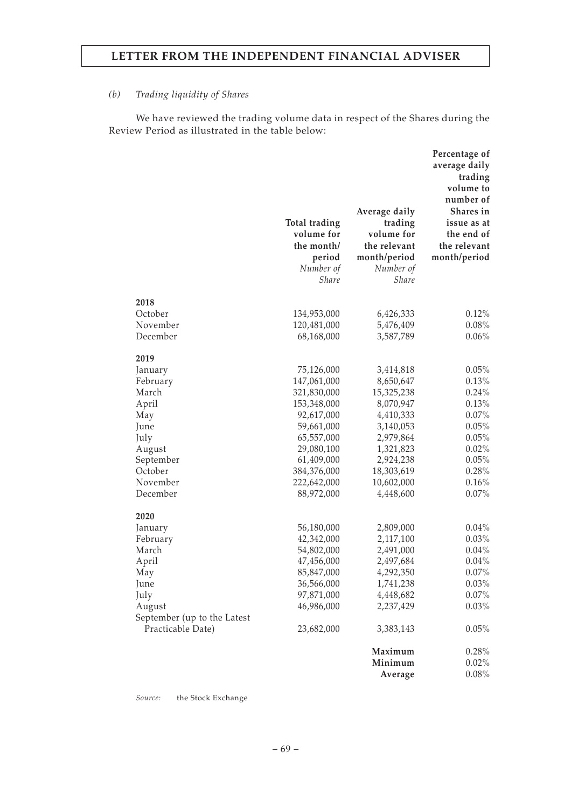### *(b) Trading liquidity of Shares*

We have reviewed the trading volume data in respect of the Shares during the Review Period as illustrated in the table below:

|                                                  | Total trading<br>volume for<br>the month/<br>period<br>Number of<br><b>Share</b> | Average daily<br>trading<br>volume for<br>the relevant<br>month/period<br>Number of<br><b>Share</b> | Percentage of<br>average daily<br>trading<br>volume to<br>number of<br>Shares in<br>issue as at<br>the end of<br>the relevant<br>month/period |
|--------------------------------------------------|----------------------------------------------------------------------------------|-----------------------------------------------------------------------------------------------------|-----------------------------------------------------------------------------------------------------------------------------------------------|
| 2018                                             |                                                                                  |                                                                                                     |                                                                                                                                               |
| October                                          | 134,953,000                                                                      | 6,426,333                                                                                           | 0.12%                                                                                                                                         |
| November                                         | 120,481,000                                                                      | 5,476,409                                                                                           | 0.08%                                                                                                                                         |
| December                                         | 68,168,000                                                                       | 3,587,789                                                                                           | 0.06%                                                                                                                                         |
| 2019                                             |                                                                                  |                                                                                                     |                                                                                                                                               |
| January                                          | 75,126,000                                                                       | 3,414,818                                                                                           | 0.05%                                                                                                                                         |
| February                                         | 147,061,000                                                                      | 8,650,647                                                                                           | 0.13%                                                                                                                                         |
| March                                            | 321,830,000                                                                      | 15,325,238                                                                                          | 0.24%                                                                                                                                         |
| April                                            | 153,348,000                                                                      | 8,070,947                                                                                           | 0.13%                                                                                                                                         |
| May                                              | 92,617,000                                                                       | 4,410,333                                                                                           | 0.07%                                                                                                                                         |
| June                                             | 59,661,000                                                                       | 3,140,053                                                                                           | 0.05%                                                                                                                                         |
| July                                             | 65,557,000                                                                       | 2,979,864                                                                                           | 0.05%                                                                                                                                         |
| August<br>September                              | 29,080,100<br>61,409,000                                                         | 1,321,823<br>2,924,238                                                                              | 0.02%<br>0.05%                                                                                                                                |
| October                                          | 384,376,000                                                                      | 18,303,619                                                                                          | 0.28%                                                                                                                                         |
| November                                         | 222,642,000                                                                      | 10,602,000                                                                                          | 0.16%                                                                                                                                         |
| December                                         | 88,972,000                                                                       | 4,448,600                                                                                           | 0.07%                                                                                                                                         |
| 2020                                             |                                                                                  |                                                                                                     |                                                                                                                                               |
| January                                          | 56,180,000                                                                       | 2,809,000                                                                                           | 0.04%                                                                                                                                         |
| February                                         | 42,342,000                                                                       | 2,117,100                                                                                           | 0.03%                                                                                                                                         |
| March                                            | 54,802,000                                                                       | 2,491,000                                                                                           | $0.04\%$                                                                                                                                      |
| April                                            | 47,456,000                                                                       | 2,497,684                                                                                           | 0.04%                                                                                                                                         |
| May                                              | 85,847,000                                                                       | 4,292,350                                                                                           | 0.07%                                                                                                                                         |
| June                                             | 36,566,000                                                                       | 1,741,238                                                                                           | $0.03\%$                                                                                                                                      |
| July                                             | 97,871,000                                                                       | 4,448,682                                                                                           | 0.07%                                                                                                                                         |
| August                                           | 46,986,000                                                                       | 2,237,429                                                                                           | 0.03%                                                                                                                                         |
| September (up to the Latest<br>Practicable Date) | 23,682,000                                                                       | 3,383,143                                                                                           | 0.05%                                                                                                                                         |
|                                                  |                                                                                  | Maximum                                                                                             | 0.28%                                                                                                                                         |
|                                                  |                                                                                  | Minimum                                                                                             | $0.02\%$                                                                                                                                      |
|                                                  |                                                                                  | Average                                                                                             | 0.08%                                                                                                                                         |

*Source:* the Stock Exchange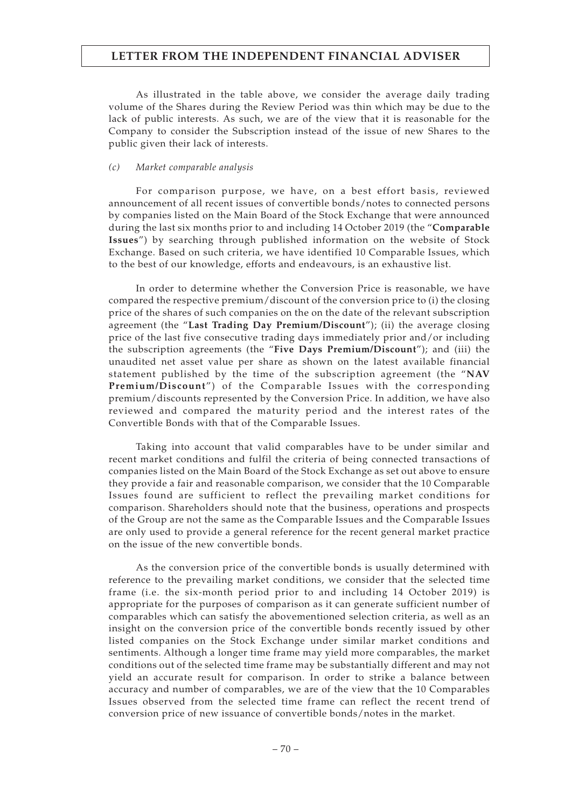As illustrated in the table above, we consider the average daily trading volume of the Shares during the Review Period was thin which may be due to the lack of public interests. As such, we are of the view that it is reasonable for the Company to consider the Subscription instead of the issue of new Shares to the public given their lack of interests.

#### *(c) Market comparable analysis*

For comparison purpose, we have, on a best effort basis, reviewed announcement of all recent issues of convertible bonds/notes to connected persons by companies listed on the Main Board of the Stock Exchange that were announced during the last six months prior to and including 14 October 2019 (the "**Comparable Issues**") by searching through published information on the website of Stock Exchange. Based on such criteria, we have identified 10 Comparable Issues, which to the best of our knowledge, efforts and endeavours, is an exhaustive list.

In order to determine whether the Conversion Price is reasonable, we have compared the respective premium/discount of the conversion price to (i) the closing price of the shares of such companies on the on the date of the relevant subscription agreement (the "**Last Trading Day Premium/Discount**"); (ii) the average closing price of the last five consecutive trading days immediately prior and/or including the subscription agreements (the "**Five Days Premium/Discount**"); and (iii) the unaudited net asset value per share as shown on the latest available financial statement published by the time of the subscription agreement (the "**NAV Premium/Discount**") of the Comparable Issues with the corresponding premium/discounts represented by the Conversion Price. In addition, we have also reviewed and compared the maturity period and the interest rates of the Convertible Bonds with that of the Comparable Issues.

Taking into account that valid comparables have to be under similar and recent market conditions and fulfil the criteria of being connected transactions of companies listed on the Main Board of the Stock Exchange as set out above to ensure they provide a fair and reasonable comparison, we consider that the 10 Comparable Issues found are sufficient to reflect the prevailing market conditions for comparison. Shareholders should note that the business, operations and prospects of the Group are not the same as the Comparable Issues and the Comparable Issues are only used to provide a general reference for the recent general market practice on the issue of the new convertible bonds.

As the conversion price of the convertible bonds is usually determined with reference to the prevailing market conditions, we consider that the selected time frame (i.e. the six-month period prior to and including 14 October 2019) is appropriate for the purposes of comparison as it can generate sufficient number of comparables which can satisfy the abovementioned selection criteria, as well as an insight on the conversion price of the convertible bonds recently issued by other listed companies on the Stock Exchange under similar market conditions and sentiments. Although a longer time frame may yield more comparables, the market conditions out of the selected time frame may be substantially different and may not yield an accurate result for comparison. In order to strike a balance between accuracy and number of comparables, we are of the view that the 10 Comparables Issues observed from the selected time frame can reflect the recent trend of conversion price of new issuance of convertible bonds/notes in the market.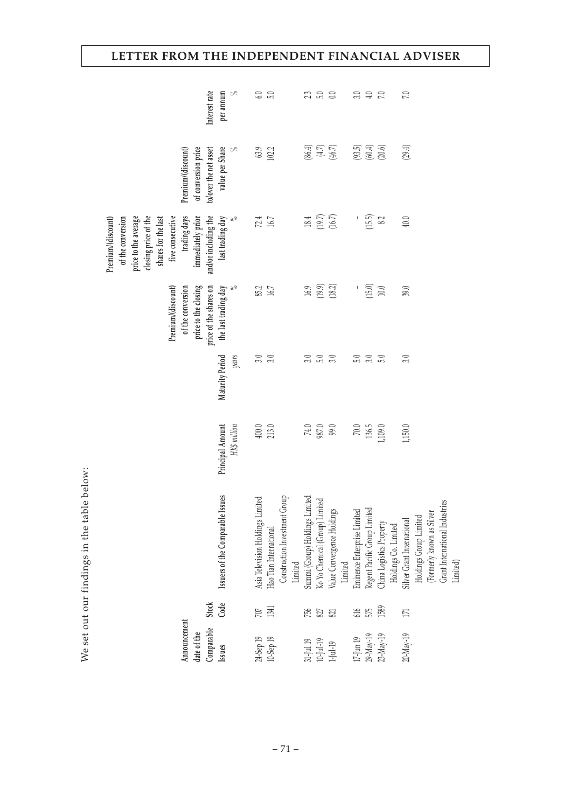| Interest rate                                                                                                                                                                                   | $\lesssim$<br>per annum               | 6.0                              |                        |                                          | 23                             | 5.0                    | $\approx$                                                               |                                                             | $3.0$<br>$4.0$<br>$7.0$ |                                                  | 7.0                                                  |                           |                                |          |
|-------------------------------------------------------------------------------------------------------------------------------------------------------------------------------------------------|---------------------------------------|----------------------------------|------------------------|------------------------------------------|--------------------------------|------------------------|-------------------------------------------------------------------------|-------------------------------------------------------------|-------------------------|--------------------------------------------------|------------------------------------------------------|---------------------------|--------------------------------|----------|
| of conversion price<br>to/over the net asset<br>Premium/(discount)                                                                                                                              | value per Share<br>ಸ                  | 63.9                             | 102.2                  |                                          |                                |                        | $(4.7)$<br>$(4.7)$                                                      |                                                             |                         | $(93.5)$<br>$(60.4)$<br>$(20.6)$                 | (29.4)                                               |                           |                                |          |
| trading days<br>and/or including the<br>five consecutive<br>immediately prior<br>Premium/(discount)<br>of the conversion<br>closing price of the<br>price to the average<br>shares for the last | last trading day                      | 72.4                             | 16.7                   |                                          |                                |                        | $18.4$<br>$(19.7)$<br>$(16.7)$                                          | Ţ                                                           | (15.5)                  | 8.2                                              | $40.0\,$                                             |                           |                                |          |
| price to the closing<br>price of the shares on<br>Premium/(discount)<br>of the conversion                                                                                                       | the last trading day<br>$\frac{5}{6}$ | 85.2                             | 16.7                   |                                          |                                |                        | $16.9$<br>$(19.9)$<br>$(18.2)$                                          | Ţ                                                           | (15.0)                  | $10.0\,$                                         | 39.0                                                 |                           |                                |          |
|                                                                                                                                                                                                 | Maturity Period<br>years              | 3.0                              | 3.0                    |                                          | $3.0\,$                        | 5.0                    | 3.0                                                                     | 5.0                                                         | 3.0                     | 5.0                                              | 3.0                                                  |                           |                                |          |
|                                                                                                                                                                                                 | Principal Amount<br>HK\$ million      | $400.0$                          | 213.0                  |                                          |                                | $74.0\phantom{1}987.0$ | 99.0                                                                    | $70.0\,$                                                    | 136.5                   | 1,109.0                                          | 1,150.0                                              |                           |                                |          |
|                                                                                                                                                                                                 | Issuers of the Comparable Issues      | Asia Television Holdings Limited | Hao Tian International | Construction Investment Group<br>Limited | Summi (Group) Holdings Limited |                        | Ko Yo Chemical (Group) Limited<br>Value Convergence Holdings<br>Limited | Eminence Enterprise Limited<br>Regent Pacific Group Limited |                         | China Logistics Property<br>Holdings Co. Limited | Holdings Group Limited<br>Silver Grant International | (Formerly known as Silver | Grant International Industries | Limited) |
| <b>Stock</b>                                                                                                                                                                                    | Code                                  | 707                              | 1341                   |                                          | 756                            | $827\,$                | 821                                                                     | $616$                                                       | 575                     | 1589                                             | $171\,$                                              |                           |                                |          |
| Announcement<br>Comparable<br>date of the                                                                                                                                                       | Issues                                |                                  | 24-Sep 19<br>10-Sep 19 |                                          | 31-Jul 19                      | $10$ Jul-19 $\,$       | $1$ -Jul-19                                                             | $17$ -Jun $19$                                              |                         | 29-May-19<br>23-May-19                           | 20-May-19                                            |                           |                                |          |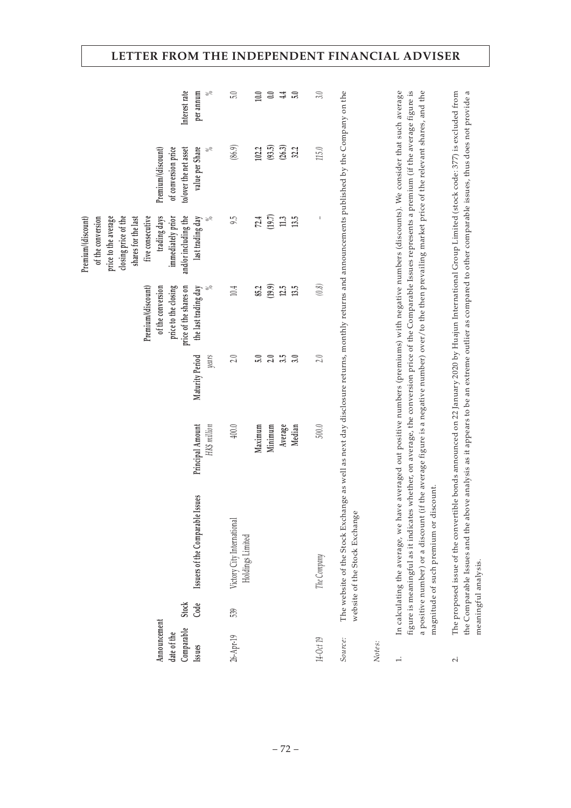| Interest rate<br>per annum<br>value per Share<br>of conversion price<br>to/over the net asset<br>Premium/(discount)<br>trading days<br>and/or including the<br>shares for the last<br>five consecutive<br>immediately prior<br>Premium/(discount)<br>price to the average<br>closing price of the<br>last trading day<br>of the conversion | $\gtrsim$<br>$\gtrsim$ | 5.0<br>(86.9)<br>$9\overline{5}$                      | 10.0<br>102.2<br>72.4 | $0.0\,$<br>(93.5)<br>(19.7) | 4.4<br>(26.3)<br>$11.3\,$ | 5.0<br>32.2<br>13.5 | 3.0<br>$115.0$<br>I | The website of the Stock Exchange as well as next day disclosure returns, monthly returns and announcements published by the Company on the |        | In calculating the average, we have averaged out positive numbers (premiums) with negative numbers (discounts). We consider that such average<br>figure is meaningful as it indicates whether, on average, the conversion price of the Comparable Issues represents a premium (if the average figure is<br>a positive number) or a discount (if the average figure is a negative number) over/to the then prevailing market price of the relevant shares, and the | The proposed issue of the convertible bonds announced on 22 January 2020 by Huajun International Group Limited (stock code: 377) is excluded from   |
|--------------------------------------------------------------------------------------------------------------------------------------------------------------------------------------------------------------------------------------------------------------------------------------------------------------------------------------------|------------------------|-------------------------------------------------------|-----------------------|-----------------------------|---------------------------|---------------------|---------------------|---------------------------------------------------------------------------------------------------------------------------------------------|--------|-------------------------------------------------------------------------------------------------------------------------------------------------------------------------------------------------------------------------------------------------------------------------------------------------------------------------------------------------------------------------------------------------------------------------------------------------------------------|-----------------------------------------------------------------------------------------------------------------------------------------------------|
| price to the closing<br>price of the shares on<br>Premium/(discount)<br>of the conversion<br>the last trading day                                                                                                                                                                                                                          |                        | $10.4\,$                                              | 85.2                  | (19.9)                      | 12.5                      | 13.5                | $(0.8)$             |                                                                                                                                             |        |                                                                                                                                                                                                                                                                                                                                                                                                                                                                   |                                                                                                                                                     |
| Maturity Period                                                                                                                                                                                                                                                                                                                            | years                  | 2.0<br>400.0                                          | 5.0                   | 2.0                         | 3.5                       | 3.0                 | 2.0                 |                                                                                                                                             |        |                                                                                                                                                                                                                                                                                                                                                                                                                                                                   |                                                                                                                                                     |
| Principal Amount                                                                                                                                                                                                                                                                                                                           | HK\$ million           |                                                       | Maximum               | Minimum                     | Average                   | Median              | $500.0$             |                                                                                                                                             |        |                                                                                                                                                                                                                                                                                                                                                                                                                                                                   |                                                                                                                                                     |
| Issuers of the Comparable Issues<br>Code<br>Stock                                                                                                                                                                                                                                                                                          |                        | Victory City International<br>Holdings Limited<br>539 |                       |                             |                           |                     | The Company         | website of the Stock Exchange                                                                                                               |        | magnitude of such premium or discount.                                                                                                                                                                                                                                                                                                                                                                                                                            | the Comparable Issues and the above analysis as it appears to be an extreme outlier as compared to other comparable issues, thus does not provide a |
| Announcement<br>Comparable<br>date of the<br>Issues                                                                                                                                                                                                                                                                                        |                        | 26-Apr-19                                             |                       |                             |                           |                     | 14-Oct 19           | Source:                                                                                                                                     | Notes: | $\div$                                                                                                                                                                                                                                                                                                                                                                                                                                                            | $\overline{\mathcal{L}}$                                                                                                                            |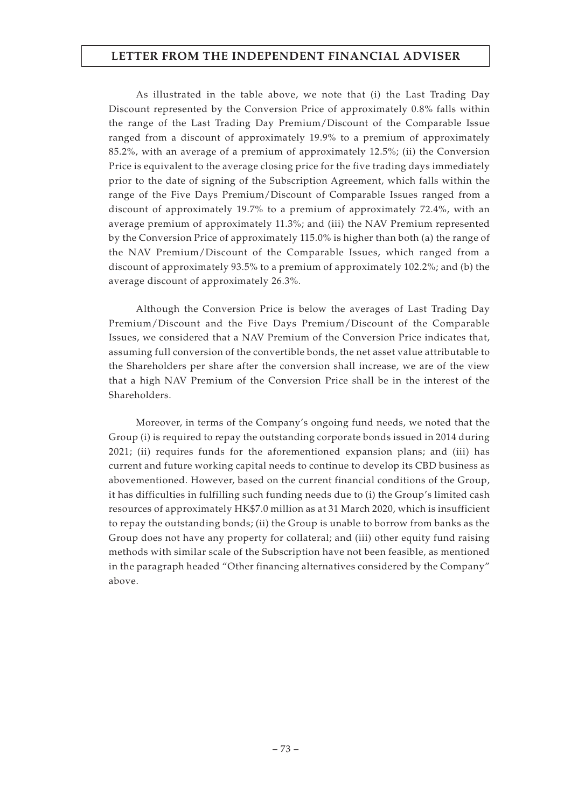As illustrated in the table above, we note that (i) the Last Trading Day Discount represented by the Conversion Price of approximately 0.8% falls within the range of the Last Trading Day Premium/Discount of the Comparable Issue ranged from a discount of approximately 19.9% to a premium of approximately 85.2%, with an average of a premium of approximately 12.5%; (ii) the Conversion Price is equivalent to the average closing price for the five trading days immediately prior to the date of signing of the Subscription Agreement, which falls within the range of the Five Days Premium/Discount of Comparable Issues ranged from a discount of approximately 19.7% to a premium of approximately 72.4%, with an average premium of approximately 11.3%; and (iii) the NAV Premium represented by the Conversion Price of approximately 115.0% is higher than both (a) the range of the NAV Premium/Discount of the Comparable Issues, which ranged from a discount of approximately 93.5% to a premium of approximately 102.2%; and (b) the average discount of approximately 26.3%.

Although the Conversion Price is below the averages of Last Trading Day Premium/Discount and the Five Days Premium/Discount of the Comparable Issues, we considered that a NAV Premium of the Conversion Price indicates that, assuming full conversion of the convertible bonds, the net asset value attributable to the Shareholders per share after the conversion shall increase, we are of the view that a high NAV Premium of the Conversion Price shall be in the interest of the Shareholders.

Moreover, in terms of the Company's ongoing fund needs, we noted that the Group (i) is required to repay the outstanding corporate bonds issued in 2014 during 2021; (ii) requires funds for the aforementioned expansion plans; and (iii) has current and future working capital needs to continue to develop its CBD business as abovementioned. However, based on the current financial conditions of the Group, it has difficulties in fulfilling such funding needs due to (i) the Group's limited cash resources of approximately HK\$7.0 million as at 31 March 2020, which is insufficient to repay the outstanding bonds; (ii) the Group is unable to borrow from banks as the Group does not have any property for collateral; and (iii) other equity fund raising methods with similar scale of the Subscription have not been feasible, as mentioned in the paragraph headed "Other financing alternatives considered by the Company" above.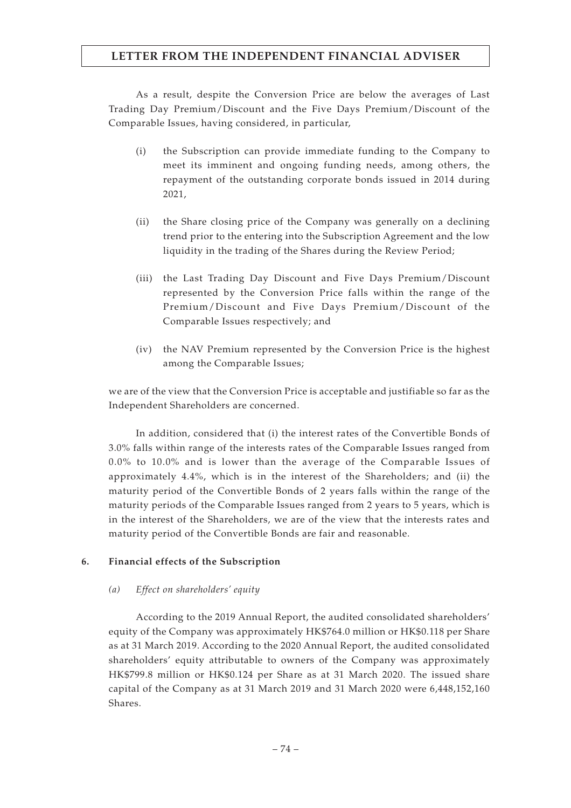As a result, despite the Conversion Price are below the averages of Last Trading Day Premium/Discount and the Five Days Premium/Discount of the Comparable Issues, having considered, in particular,

- (i) the Subscription can provide immediate funding to the Company to meet its imminent and ongoing funding needs, among others, the repayment of the outstanding corporate bonds issued in 2014 during 2021,
- (ii) the Share closing price of the Company was generally on a declining trend prior to the entering into the Subscription Agreement and the low liquidity in the trading of the Shares during the Review Period;
- (iii) the Last Trading Day Discount and Five Days Premium/Discount represented by the Conversion Price falls within the range of the Premium/Discount and Five Days Premium/Discount of the Comparable Issues respectively; and
- (iv) the NAV Premium represented by the Conversion Price is the highest among the Comparable Issues;

we are of the view that the Conversion Price is acceptable and justifiable so far as the Independent Shareholders are concerned.

In addition, considered that (i) the interest rates of the Convertible Bonds of 3.0% falls within range of the interests rates of the Comparable Issues ranged from 0.0% to 10.0% and is lower than the average of the Comparable Issues of approximately 4.4%, which is in the interest of the Shareholders; and (ii) the maturity period of the Convertible Bonds of 2 years falls within the range of the maturity periods of the Comparable Issues ranged from 2 years to 5 years, which is in the interest of the Shareholders, we are of the view that the interests rates and maturity period of the Convertible Bonds are fair and reasonable.

## **6. Financial effects of the Subscription**

#### *(a) Effect on shareholders' equity*

According to the 2019 Annual Report, the audited consolidated shareholders' equity of the Company was approximately HK\$764.0 million or HK\$0.118 per Share as at 31 March 2019. According to the 2020 Annual Report, the audited consolidated shareholders' equity attributable to owners of the Company was approximately HK\$799.8 million or HK\$0.124 per Share as at 31 March 2020. The issued share capital of the Company as at 31 March 2019 and 31 March 2020 were 6,448,152,160 Shares.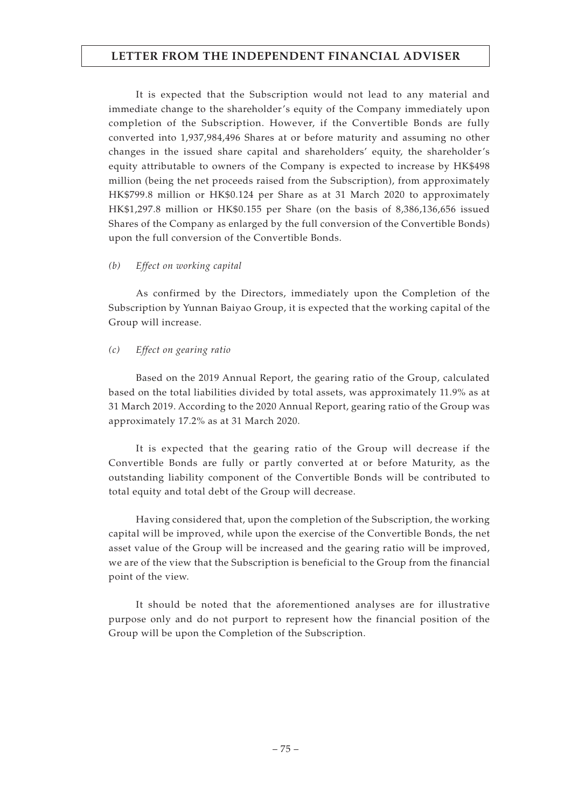It is expected that the Subscription would not lead to any material and immediate change to the shareholder's equity of the Company immediately upon completion of the Subscription. However, if the Convertible Bonds are fully converted into 1,937,984,496 Shares at or before maturity and assuming no other changes in the issued share capital and shareholders' equity, the shareholder's equity attributable to owners of the Company is expected to increase by HK\$498 million (being the net proceeds raised from the Subscription), from approximately HK\$799.8 million or HK\$0.124 per Share as at 31 March 2020 to approximately HK\$1,297.8 million or HK\$0.155 per Share (on the basis of 8,386,136,656 issued Shares of the Company as enlarged by the full conversion of the Convertible Bonds) upon the full conversion of the Convertible Bonds.

## *(b) Effect on working capital*

As confirmed by the Directors, immediately upon the Completion of the Subscription by Yunnan Baiyao Group, it is expected that the working capital of the Group will increase.

## *(c) Effect on gearing ratio*

Based on the 2019 Annual Report, the gearing ratio of the Group, calculated based on the total liabilities divided by total assets, was approximately 11.9% as at 31 March 2019. According to the 2020 Annual Report, gearing ratio of the Group was approximately 17.2% as at 31 March 2020.

It is expected that the gearing ratio of the Group will decrease if the Convertible Bonds are fully or partly converted at or before Maturity, as the outstanding liability component of the Convertible Bonds will be contributed to total equity and total debt of the Group will decrease.

Having considered that, upon the completion of the Subscription, the working capital will be improved, while upon the exercise of the Convertible Bonds, the net asset value of the Group will be increased and the gearing ratio will be improved, we are of the view that the Subscription is beneficial to the Group from the financial point of the view.

It should be noted that the aforementioned analyses are for illustrative purpose only and do not purport to represent how the financial position of the Group will be upon the Completion of the Subscription.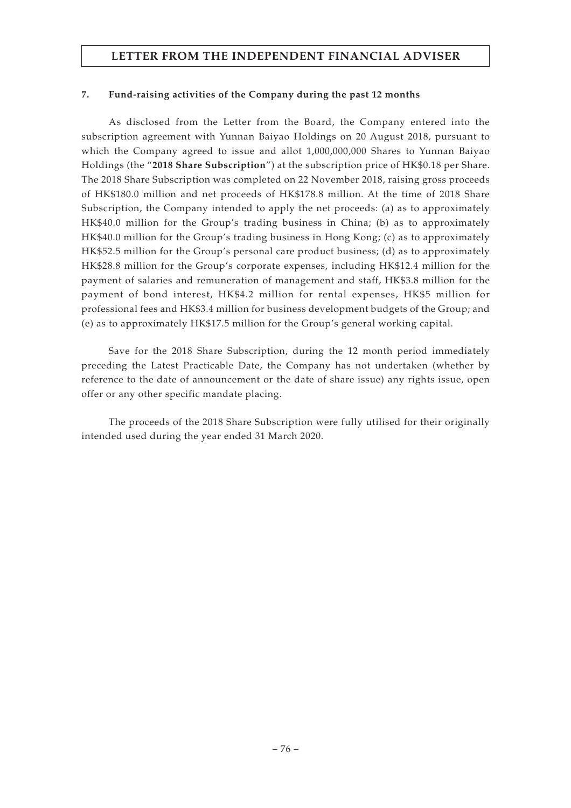## **7. Fund-raising activities of the Company during the past 12 months**

As disclosed from the Letter from the Board, the Company entered into the subscription agreement with Yunnan Baiyao Holdings on 20 August 2018, pursuant to which the Company agreed to issue and allot 1,000,000,000 Shares to Yunnan Baiyao Holdings (the "**2018 Share Subscription**") at the subscription price of HK\$0.18 per Share. The 2018 Share Subscription was completed on 22 November 2018, raising gross proceeds of HK\$180.0 million and net proceeds of HK\$178.8 million. At the time of 2018 Share Subscription, the Company intended to apply the net proceeds: (a) as to approximately HK\$40.0 million for the Group's trading business in China; (b) as to approximately HK\$40.0 million for the Group's trading business in Hong Kong; (c) as to approximately HK\$52.5 million for the Group's personal care product business; (d) as to approximately HK\$28.8 million for the Group's corporate expenses, including HK\$12.4 million for the payment of salaries and remuneration of management and staff, HK\$3.8 million for the payment of bond interest, HK\$4.2 million for rental expenses, HK\$5 million for professional fees and HK\$3.4 million for business development budgets of the Group; and (e) as to approximately HK\$17.5 million for the Group's general working capital.

Save for the 2018 Share Subscription, during the 12 month period immediately preceding the Latest Practicable Date, the Company has not undertaken (whether by reference to the date of announcement or the date of share issue) any rights issue, open offer or any other specific mandate placing.

The proceeds of the 2018 Share Subscription were fully utilised for their originally intended used during the year ended 31 March 2020.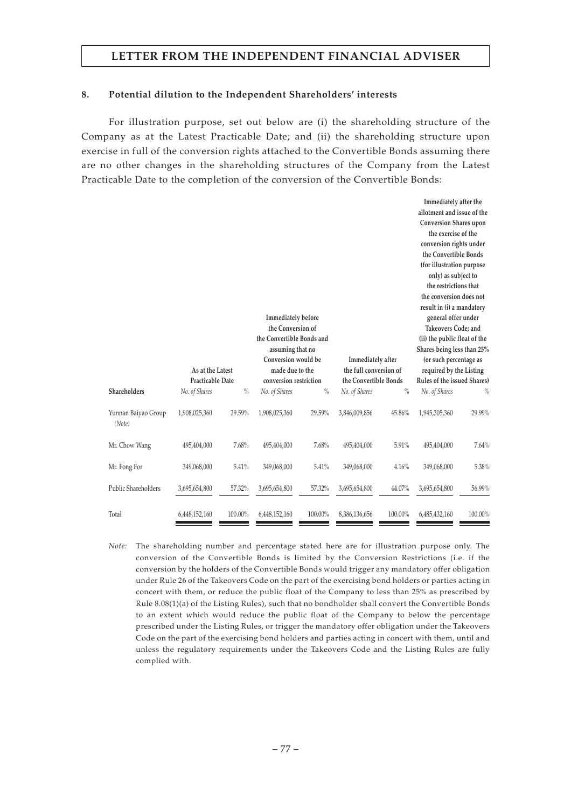#### **8. Potential dilution to the Independent Shareholders' interests**

For illustration purpose, set out below are (i) the shareholding structure of the Company as at the Latest Practicable Date; and (ii) the shareholding structure upon exercise in full of the conversion rights attached to the Convertible Bonds assuming there are no other changes in the shareholding structures of the Company from the Latest Practicable Date to the completion of the conversion of the Convertible Bonds:

|                               |                  |         |                           |         |                        |         | Immediately after the         |         |
|-------------------------------|------------------|---------|---------------------------|---------|------------------------|---------|-------------------------------|---------|
|                               |                  |         |                           |         |                        |         | allotment and issue of the    |         |
|                               |                  |         |                           |         |                        |         | <b>Conversion Shares upon</b> |         |
|                               |                  |         |                           |         |                        |         | the exercise of the           |         |
|                               |                  |         |                           |         |                        |         | conversion rights under       |         |
|                               |                  |         |                           |         |                        |         | the Convertible Bonds         |         |
|                               |                  |         |                           |         |                        |         | (for illustration purpose     |         |
|                               |                  |         |                           |         |                        |         | only) as subject to           |         |
|                               |                  |         |                           |         |                        |         | the restrictions that         |         |
|                               |                  |         |                           |         |                        |         | the conversion does not       |         |
|                               |                  |         |                           |         |                        |         | result in (i) a mandatory     |         |
|                               |                  |         | Immediately before        |         |                        |         | general offer under           |         |
|                               |                  |         | the Conversion of         |         |                        |         | Takeovers Code; and           |         |
|                               |                  |         | the Convertible Bonds and |         |                        |         | (ii) the public float of the  |         |
|                               |                  |         | assuming that no          |         |                        |         | Shares being less than 25%    |         |
|                               |                  |         | Conversion would be       |         | Immediately after      |         | (or such percentage as        |         |
|                               | As at the Latest |         | made due to the           |         | the full conversion of |         | required by the Listing       |         |
|                               | Practicable Date |         | conversion restriction    |         | the Convertible Bonds  |         | Rules of the issued Shares)   |         |
| Shareholders                  | No. of Shares    | $\%$    | No. of Shares             | $\%$    | No. of Shares          | $\%$    | No. of Shares                 | %       |
| Yunnan Baiyao Group<br>(Note) | 1,908,025,360    | 29.59%  | 1,908,025,360             | 29.59%  | 3,846,009,856          | 45.86%  | 1,945,305,360                 | 29.99%  |
| Mr. Chow Wang                 | 495,404,000      | 7.68%   | 495,404,000               | 7.68%   | 495,404,000            | 5.91%   | 495,404,000                   | 7.64%   |
| Mr. Fong For                  | 349,068,000      | 5.41%   | 349,068,000               | 5.41%   | 349,068,000            | 4.16%   | 349,068,000                   | 5.38%   |
| Public Shareholders           | 3,695,654,800    | 57.32%  | 3,695,654,800             | 57.32%  | 3,695,654,800          | 44.07%  | 3,695,654,800                 | 56.99%  |
| Total                         | 6,448,152,160    | 100.00% | 6,448,152,160             | 100.00% | 8,386,136,656          | 100.00% | 6,485,432,160                 | 100.00% |

*Note:* The shareholding number and percentage stated here are for illustration purpose only. The conversion of the Convertible Bonds is limited by the Conversion Restrictions (i.e. if the conversion by the holders of the Convertible Bonds would trigger any mandatory offer obligation under Rule 26 of the Takeovers Code on the part of the exercising bond holders or parties acting in concert with them, or reduce the public float of the Company to less than 25% as prescribed by Rule 8.08(1)(a) of the Listing Rules), such that no bondholder shall convert the Convertible Bonds to an extent which would reduce the public float of the Company to below the percentage prescribed under the Listing Rules, or trigger the mandatory offer obligation under the Takeovers Code on the part of the exercising bond holders and parties acting in concert with them, until and unless the regulatory requirements under the Takeovers Code and the Listing Rules are fully complied with.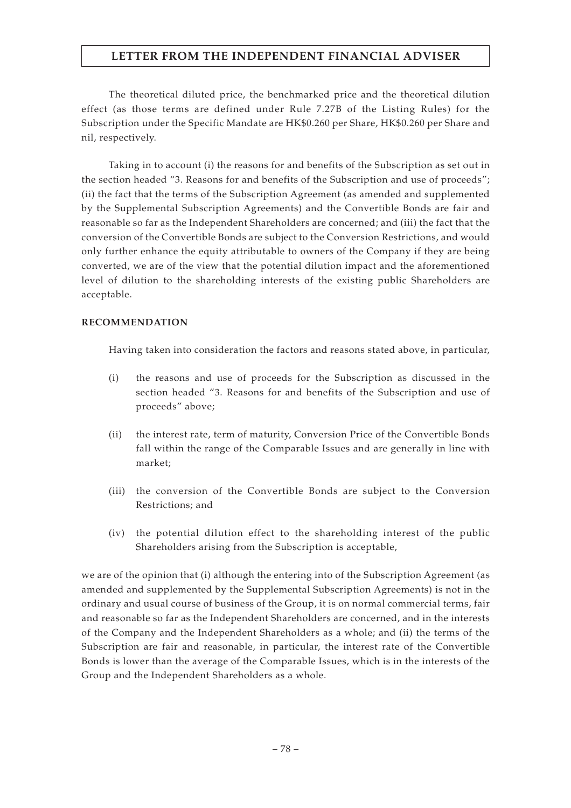The theoretical diluted price, the benchmarked price and the theoretical dilution effect (as those terms are defined under Rule 7.27B of the Listing Rules) for the Subscription under the Specific Mandate are HK\$0.260 per Share, HK\$0.260 per Share and nil, respectively.

Taking in to account (i) the reasons for and benefits of the Subscription as set out in the section headed "3. Reasons for and benefits of the Subscription and use of proceeds"; (ii) the fact that the terms of the Subscription Agreement (as amended and supplemented by the Supplemental Subscription Agreements) and the Convertible Bonds are fair and reasonable so far as the Independent Shareholders are concerned; and (iii) the fact that the conversion of the Convertible Bonds are subject to the Conversion Restrictions, and would only further enhance the equity attributable to owners of the Company if they are being converted, we are of the view that the potential dilution impact and the aforementioned level of dilution to the shareholding interests of the existing public Shareholders are acceptable.

## **RECOMMENDATION**

Having taken into consideration the factors and reasons stated above, in particular,

- (i) the reasons and use of proceeds for the Subscription as discussed in the section headed "3. Reasons for and benefits of the Subscription and use of proceeds" above;
- (ii) the interest rate, term of maturity, Conversion Price of the Convertible Bonds fall within the range of the Comparable Issues and are generally in line with market;
- (iii) the conversion of the Convertible Bonds are subject to the Conversion Restrictions; and
- (iv) the potential dilution effect to the shareholding interest of the public Shareholders arising from the Subscription is acceptable,

we are of the opinion that (i) although the entering into of the Subscription Agreement (as amended and supplemented by the Supplemental Subscription Agreements) is not in the ordinary and usual course of business of the Group, it is on normal commercial terms, fair and reasonable so far as the Independent Shareholders are concerned, and in the interests of the Company and the Independent Shareholders as a whole; and (ii) the terms of the Subscription are fair and reasonable, in particular, the interest rate of the Convertible Bonds is lower than the average of the Comparable Issues, which is in the interests of the Group and the Independent Shareholders as a whole.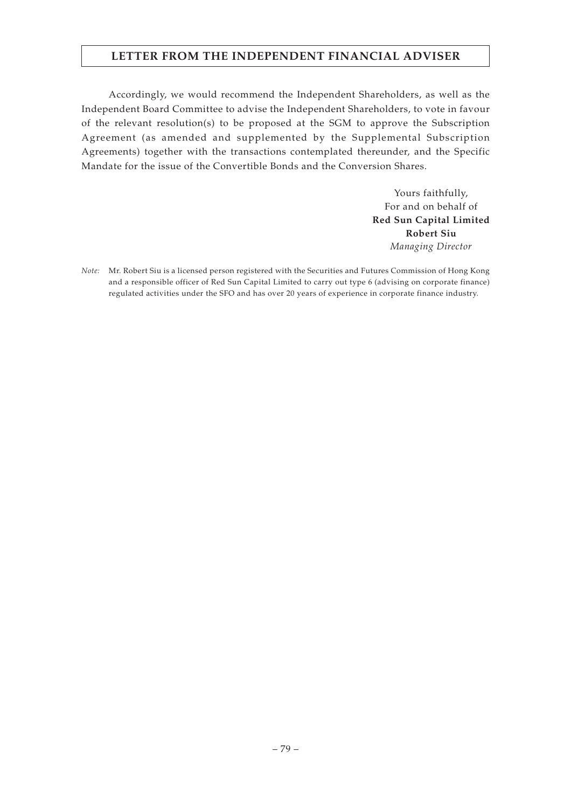Accordingly, we would recommend the Independent Shareholders, as well as the Independent Board Committee to advise the Independent Shareholders, to vote in favour of the relevant resolution(s) to be proposed at the SGM to approve the Subscription Agreement (as amended and supplemented by the Supplemental Subscription Agreements) together with the transactions contemplated thereunder, and the Specific Mandate for the issue of the Convertible Bonds and the Conversion Shares.

> Yours faithfully, For and on behalf of **Red Sun Capital Limited Robert Siu** *Managing Director*

*Note:* Mr. Robert Siu is a licensed person registered with the Securities and Futures Commission of Hong Kong and a responsible officer of Red Sun Capital Limited to carry out type 6 (advising on corporate finance) regulated activities under the SFO and has over 20 years of experience in corporate finance industry.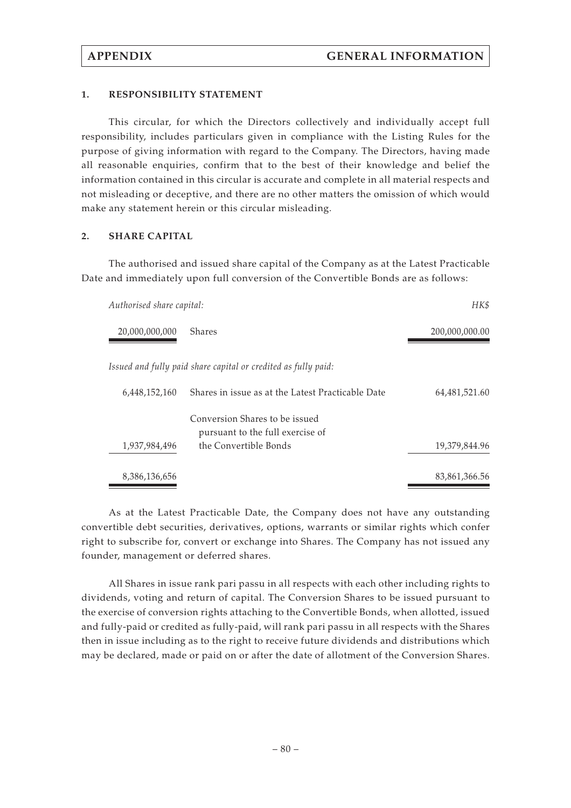### **1. RESPONSIBILITY STATEMENT**

This circular, for which the Directors collectively and individually accept full responsibility, includes particulars given in compliance with the Listing Rules for the purpose of giving information with regard to the Company. The Directors, having made all reasonable enquiries, confirm that to the best of their knowledge and belief the information contained in this circular is accurate and complete in all material respects and not misleading or deceptive, and there are no other matters the omission of which would make any statement herein or this circular misleading.

### **2. SHARE CAPITAL**

The authorised and issued share capital of the Company as at the Latest Practicable Date and immediately upon full conversion of the Convertible Bonds are as follows:

| Authorised share capital: |                                                                    | HK\$             |
|---------------------------|--------------------------------------------------------------------|------------------|
| 20,000,000,000            | <b>Shares</b>                                                      | 200,000,000.00   |
|                           | Issued and fully paid share capital or credited as fully paid:     |                  |
| 6,448,152,160             | Shares in issue as at the Latest Practicable Date                  | 64, 481, 521. 60 |
|                           | Conversion Shares to be issued<br>pursuant to the full exercise of |                  |
| 1,937,984,496             | the Convertible Bonds                                              | 19,379,844.96    |
| 8,386,136,656             |                                                                    | 83,861,366.56    |

As at the Latest Practicable Date, the Company does not have any outstanding convertible debt securities, derivatives, options, warrants or similar rights which confer right to subscribe for, convert or exchange into Shares. The Company has not issued any founder, management or deferred shares.

All Shares in issue rank pari passu in all respects with each other including rights to dividends, voting and return of capital. The Conversion Shares to be issued pursuant to the exercise of conversion rights attaching to the Convertible Bonds, when allotted, issued and fully-paid or credited as fully-paid, will rank pari passu in all respects with the Shares then in issue including as to the right to receive future dividends and distributions which may be declared, made or paid on or after the date of allotment of the Conversion Shares.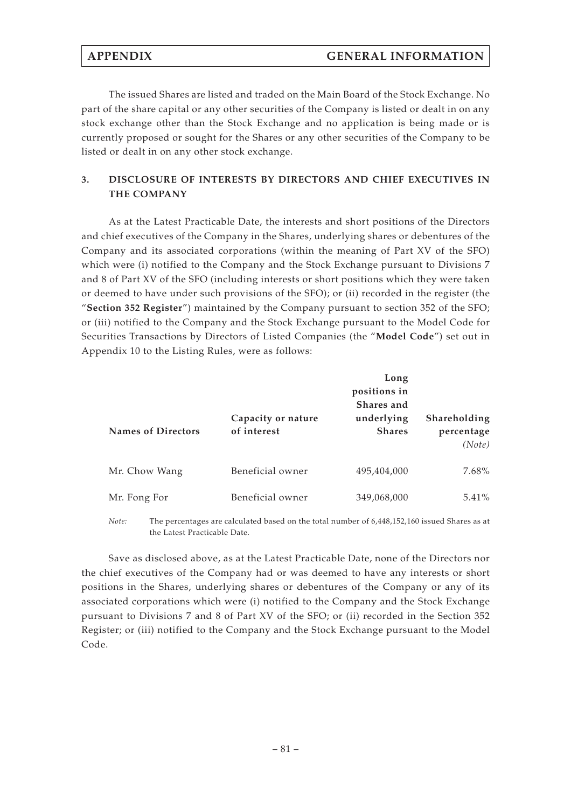The issued Shares are listed and traded on the Main Board of the Stock Exchange. No part of the share capital or any other securities of the Company is listed or dealt in on any stock exchange other than the Stock Exchange and no application is being made or is currently proposed or sought for the Shares or any other securities of the Company to be listed or dealt in on any other stock exchange.

# **3. DISCLOSURE OF INTERESTS BY DIRECTORS AND CHIEF EXECUTIVES IN THE COMPANY**

As at the Latest Practicable Date, the interests and short positions of the Directors and chief executives of the Company in the Shares, underlying shares or debentures of the Company and its associated corporations (within the meaning of Part XV of the SFO) which were (i) notified to the Company and the Stock Exchange pursuant to Divisions 7 and 8 of Part XV of the SFO (including interests or short positions which they were taken or deemed to have under such provisions of the SFO); or (ii) recorded in the register (the "**Section 352 Register**") maintained by the Company pursuant to section 352 of the SFO; or (iii) notified to the Company and the Stock Exchange pursuant to the Model Code for Securities Transactions by Directors of Listed Companies (the "**Model Code**") set out in Appendix 10 to the Listing Rules, were as follows:

| <b>Names of Directors</b> | Capacity or nature<br>of interest | Long<br>positions in<br>Shares and<br>underlying<br><b>Shares</b> | Shareholding<br>percentage<br>(Note) |
|---------------------------|-----------------------------------|-------------------------------------------------------------------|--------------------------------------|
| Mr. Chow Wang             | Beneficial owner                  | 495,404,000                                                       | 7.68%                                |
| Mr. Fong For              | Beneficial owner                  | 349,068,000                                                       | $5.41\%$                             |

*Note:* The percentages are calculated based on the total number of 6,448,152,160 issued Shares as at the Latest Practicable Date.

Save as disclosed above, as at the Latest Practicable Date, none of the Directors nor the chief executives of the Company had or was deemed to have any interests or short positions in the Shares, underlying shares or debentures of the Company or any of its associated corporations which were (i) notified to the Company and the Stock Exchange pursuant to Divisions 7 and 8 of Part XV of the SFO; or (ii) recorded in the Section 352 Register; or (iii) notified to the Company and the Stock Exchange pursuant to the Model Code.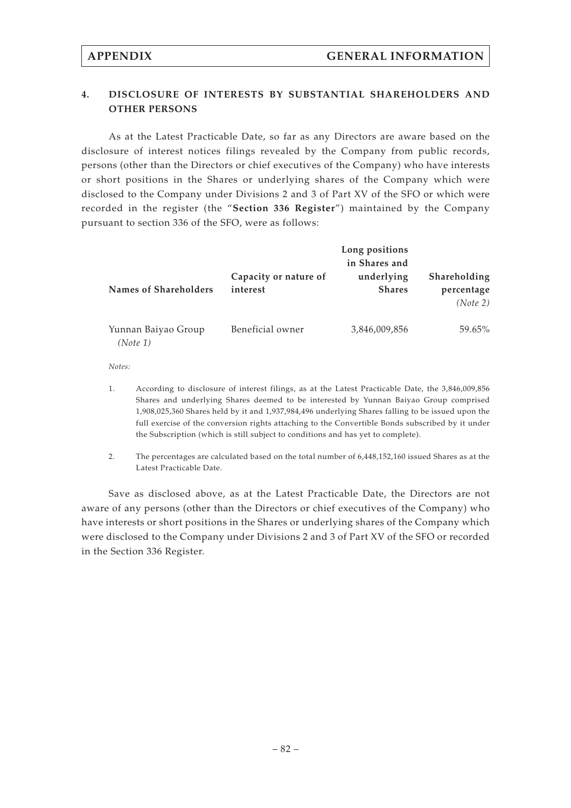# **4. DISCLOSURE OF INTERESTS BY SUBSTANTIAL SHAREHOLDERS AND OTHER PERSONS**

As at the Latest Practicable Date, so far as any Directors are aware based on the disclosure of interest notices filings revealed by the Company from public records, persons (other than the Directors or chief executives of the Company) who have interests or short positions in the Shares or underlying shares of the Company which were disclosed to the Company under Divisions 2 and 3 of Part XV of the SFO or which were recorded in the register (the "**Section 336 Register**") maintained by the Company pursuant to section 336 of the SFO, were as follows:

|                                   | Long positions<br>in Shares and |                                        |
|-----------------------------------|---------------------------------|----------------------------------------|
| Capacity or nature of<br>interest | underlying<br><b>Shares</b>     | Shareholding<br>percentage<br>(Note 2) |
| Beneficial owner                  | 3,846,009,856                   | 59.65%                                 |
|                                   |                                 |                                        |

*Notes:*

- 1. According to disclosure of interest filings, as at the Latest Practicable Date, the 3,846,009,856 Shares and underlying Shares deemed to be interested by Yunnan Baiyao Group comprised 1,908,025,360 Shares held by it and 1,937,984,496 underlying Shares falling to be issued upon the full exercise of the conversion rights attaching to the Convertible Bonds subscribed by it under the Subscription (which is still subject to conditions and has yet to complete).
- 2. The percentages are calculated based on the total number of 6,448,152,160 issued Shares as at the Latest Practicable Date.

Save as disclosed above, as at the Latest Practicable Date, the Directors are not aware of any persons (other than the Directors or chief executives of the Company) who have interests or short positions in the Shares or underlying shares of the Company which were disclosed to the Company under Divisions 2 and 3 of Part XV of the SFO or recorded in the Section 336 Register.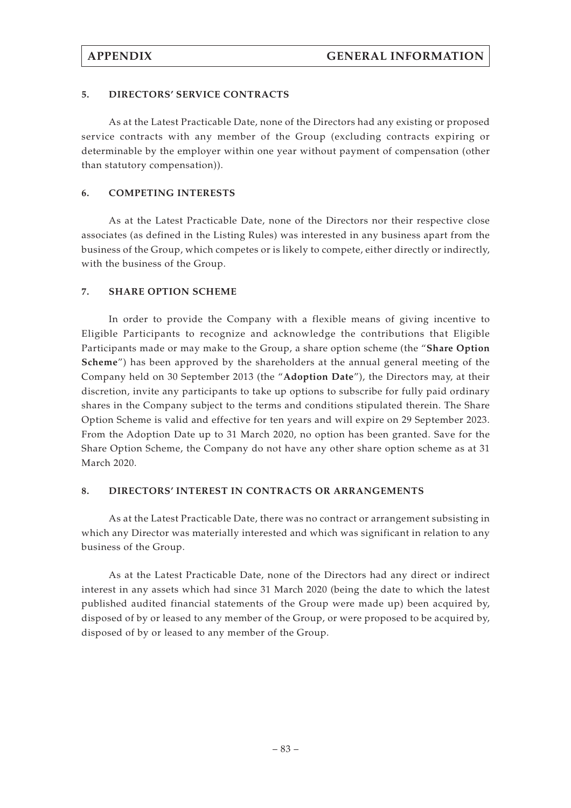### **5. DIRECTORS' SERVICE CONTRACTS**

As at the Latest Practicable Date, none of the Directors had any existing or proposed service contracts with any member of the Group (excluding contracts expiring or determinable by the employer within one year without payment of compensation (other than statutory compensation)).

### **6. COMPETING INTERESTS**

As at the Latest Practicable Date, none of the Directors nor their respective close associates (as defined in the Listing Rules) was interested in any business apart from the business of the Group, which competes or is likely to compete, either directly or indirectly, with the business of the Group.

### **7. SHARE OPTION SCHEME**

In order to provide the Company with a flexible means of giving incentive to Eligible Participants to recognize and acknowledge the contributions that Eligible Participants made or may make to the Group, a share option scheme (the "**Share Option Scheme**") has been approved by the shareholders at the annual general meeting of the Company held on 30 September 2013 (the "**Adoption Date**"), the Directors may, at their discretion, invite any participants to take up options to subscribe for fully paid ordinary shares in the Company subject to the terms and conditions stipulated therein. The Share Option Scheme is valid and effective for ten years and will expire on 29 September 2023. From the Adoption Date up to 31 March 2020, no option has been granted. Save for the Share Option Scheme, the Company do not have any other share option scheme as at 31 March 2020.

#### **8. DIRECTORS' INTEREST IN CONTRACTS OR ARRANGEMENTS**

As at the Latest Practicable Date, there was no contract or arrangement subsisting in which any Director was materially interested and which was significant in relation to any business of the Group.

As at the Latest Practicable Date, none of the Directors had any direct or indirect interest in any assets which had since 31 March 2020 (being the date to which the latest published audited financial statements of the Group were made up) been acquired by, disposed of by or leased to any member of the Group, or were proposed to be acquired by, disposed of by or leased to any member of the Group.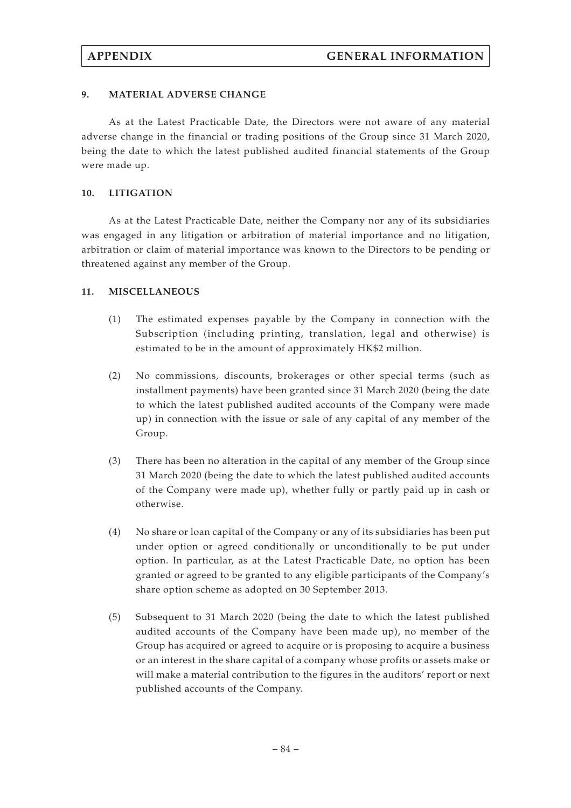### **9. MATERIAL ADVERSE CHANGE**

As at the Latest Practicable Date, the Directors were not aware of any material adverse change in the financial or trading positions of the Group since 31 March 2020, being the date to which the latest published audited financial statements of the Group were made up.

### **10. LITIGATION**

As at the Latest Practicable Date, neither the Company nor any of its subsidiaries was engaged in any litigation or arbitration of material importance and no litigation, arbitration or claim of material importance was known to the Directors to be pending or threatened against any member of the Group.

### **11. MISCELLANEOUS**

- (1) The estimated expenses payable by the Company in connection with the Subscription (including printing, translation, legal and otherwise) is estimated to be in the amount of approximately HK\$2 million.
- (2) No commissions, discounts, brokerages or other special terms (such as installment payments) have been granted since 31 March 2020 (being the date to which the latest published audited accounts of the Company were made up) in connection with the issue or sale of any capital of any member of the Group.
- (3) There has been no alteration in the capital of any member of the Group since 31 March 2020 (being the date to which the latest published audited accounts of the Company were made up), whether fully or partly paid up in cash or otherwise.
- (4) No share or loan capital of the Company or any of its subsidiaries has been put under option or agreed conditionally or unconditionally to be put under option. In particular, as at the Latest Practicable Date, no option has been granted or agreed to be granted to any eligible participants of the Company's share option scheme as adopted on 30 September 2013.
- (5) Subsequent to 31 March 2020 (being the date to which the latest published audited accounts of the Company have been made up), no member of the Group has acquired or agreed to acquire or is proposing to acquire a business or an interest in the share capital of a company whose profits or assets make or will make a material contribution to the figures in the auditors' report or next published accounts of the Company.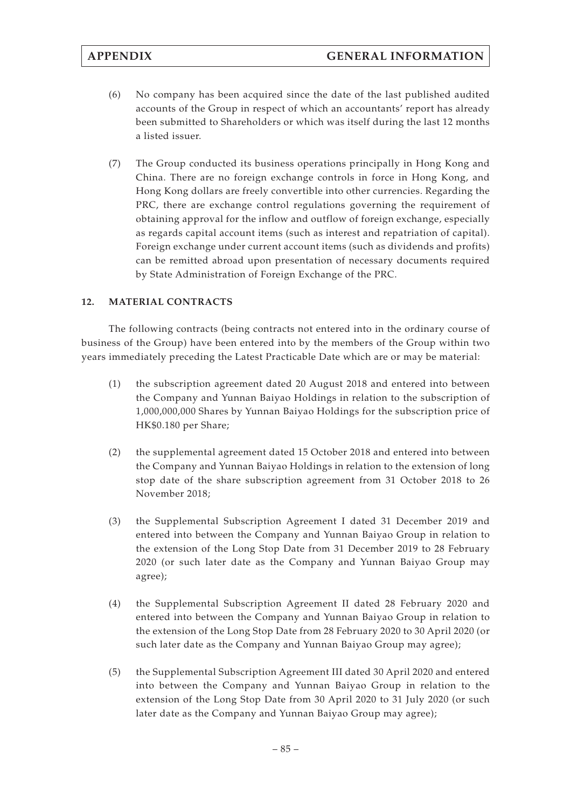- (6) No company has been acquired since the date of the last published audited accounts of the Group in respect of which an accountants' report has already been submitted to Shareholders or which was itself during the last 12 months a listed issuer.
- (7) The Group conducted its business operations principally in Hong Kong and China. There are no foreign exchange controls in force in Hong Kong, and Hong Kong dollars are freely convertible into other currencies. Regarding the PRC, there are exchange control regulations governing the requirement of obtaining approval for the inflow and outflow of foreign exchange, especially as regards capital account items (such as interest and repatriation of capital). Foreign exchange under current account items (such as dividends and profits) can be remitted abroad upon presentation of necessary documents required by State Administration of Foreign Exchange of the PRC.

# **12. MATERIAL CONTRACTS**

The following contracts (being contracts not entered into in the ordinary course of business of the Group) have been entered into by the members of the Group within two years immediately preceding the Latest Practicable Date which are or may be material:

- (1) the subscription agreement dated 20 August 2018 and entered into between the Company and Yunnan Baiyao Holdings in relation to the subscription of 1,000,000,000 Shares by Yunnan Baiyao Holdings for the subscription price of HK\$0.180 per Share;
- (2) the supplemental agreement dated 15 October 2018 and entered into between the Company and Yunnan Baiyao Holdings in relation to the extension of long stop date of the share subscription agreement from 31 October 2018 to 26 November 2018;
- (3) the Supplemental Subscription Agreement I dated 31 December 2019 and entered into between the Company and Yunnan Baiyao Group in relation to the extension of the Long Stop Date from 31 December 2019 to 28 February 2020 (or such later date as the Company and Yunnan Baiyao Group may agree);
- (4) the Supplemental Subscription Agreement II dated 28 February 2020 and entered into between the Company and Yunnan Baiyao Group in relation to the extension of the Long Stop Date from 28 February 2020 to 30 April 2020 (or such later date as the Company and Yunnan Baiyao Group may agree);
- (5) the Supplemental Subscription Agreement III dated 30 April 2020 and entered into between the Company and Yunnan Baiyao Group in relation to the extension of the Long Stop Date from 30 April 2020 to 31 July 2020 (or such later date as the Company and Yunnan Baiyao Group may agree);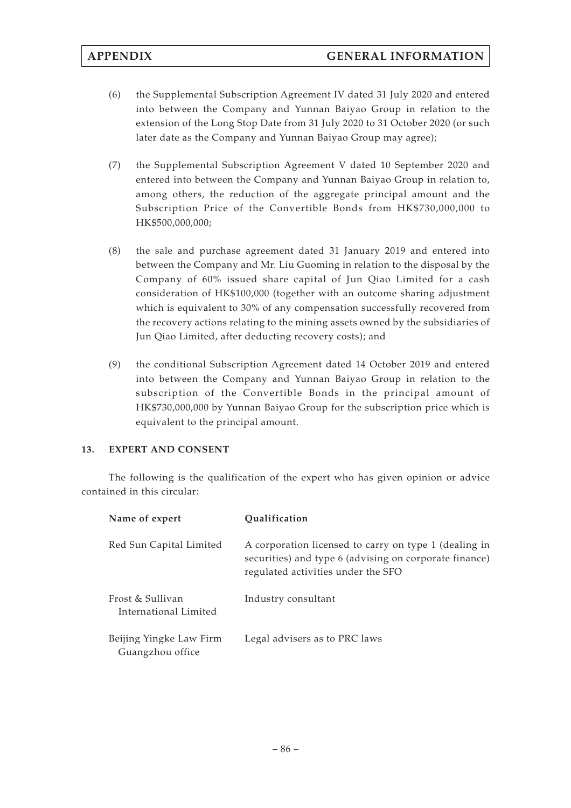- (6) the Supplemental Subscription Agreement IV dated 31 July 2020 and entered into between the Company and Yunnan Baiyao Group in relation to the extension of the Long Stop Date from 31 July 2020 to 31 October 2020 (or such later date as the Company and Yunnan Baiyao Group may agree);
- (7) the Supplemental Subscription Agreement V dated 10 September 2020 and entered into between the Company and Yunnan Baiyao Group in relation to, among others, the reduction of the aggregate principal amount and the Subscription Price of the Convertible Bonds from HK\$730,000,000 to HK\$500,000,000;
- (8) the sale and purchase agreement dated 31 January 2019 and entered into between the Company and Mr. Liu Guoming in relation to the disposal by the Company of 60% issued share capital of Jun Qiao Limited for a cash consideration of HK\$100,000 (together with an outcome sharing adjustment which is equivalent to 30% of any compensation successfully recovered from the recovery actions relating to the mining assets owned by the subsidiaries of Jun Qiao Limited, after deducting recovery costs); and
- (9) the conditional Subscription Agreement dated 14 October 2019 and entered into between the Company and Yunnan Baiyao Group in relation to the subscription of the Convertible Bonds in the principal amount of HK\$730,000,000 by Yunnan Baiyao Group for the subscription price which is equivalent to the principal amount.

# **13. EXPERT AND CONSENT**

The following is the qualification of the expert who has given opinion or advice contained in this circular:

| Name of expert                              | <b>Oualification</b>                                                                                                                                  |
|---------------------------------------------|-------------------------------------------------------------------------------------------------------------------------------------------------------|
| Red Sun Capital Limited                     | A corporation licensed to carry on type 1 (dealing in<br>securities) and type 6 (advising on corporate finance)<br>regulated activities under the SFO |
| Frost & Sullivan<br>International Limited   | Industry consultant                                                                                                                                   |
| Beijing Yingke Law Firm<br>Guangzhou office | Legal advisers as to PRC laws                                                                                                                         |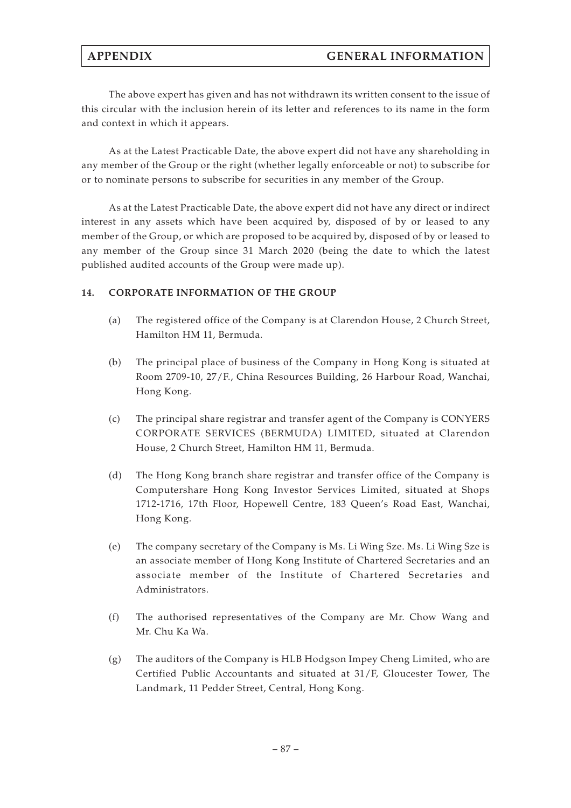The above expert has given and has not withdrawn its written consent to the issue of this circular with the inclusion herein of its letter and references to its name in the form and context in which it appears.

As at the Latest Practicable Date, the above expert did not have any shareholding in any member of the Group or the right (whether legally enforceable or not) to subscribe for or to nominate persons to subscribe for securities in any member of the Group.

As at the Latest Practicable Date, the above expert did not have any direct or indirect interest in any assets which have been acquired by, disposed of by or leased to any member of the Group, or which are proposed to be acquired by, disposed of by or leased to any member of the Group since 31 March 2020 (being the date to which the latest published audited accounts of the Group were made up).

## **14. CORPORATE INFORMATION OF THE GROUP**

- (a) The registered office of the Company is at Clarendon House, 2 Church Street, Hamilton HM 11, Bermuda.
- (b) The principal place of business of the Company in Hong Kong is situated at Room 2709-10, 27/F., China Resources Building, 26 Harbour Road, Wanchai, Hong Kong.
- (c) The principal share registrar and transfer agent of the Company is CONYERS CORPORATE SERVICES (BERMUDA) LIMITED, situated at Clarendon House, 2 Church Street, Hamilton HM 11, Bermuda.
- (d) The Hong Kong branch share registrar and transfer office of the Company is Computershare Hong Kong Investor Services Limited, situated at Shops 1712-1716, 17th Floor, Hopewell Centre, 183 Queen's Road East, Wanchai, Hong Kong.
- (e) The company secretary of the Company is Ms. Li Wing Sze. Ms. Li Wing Sze is an associate member of Hong Kong Institute of Chartered Secretaries and an associate member of the Institute of Chartered Secretaries and Administrators.
- (f) The authorised representatives of the Company are Mr. Chow Wang and Mr. Chu Ka Wa.
- (g) The auditors of the Company is HLB Hodgson Impey Cheng Limited, who are Certified Public Accountants and situated at 31/F, Gloucester Tower, The Landmark, 11 Pedder Street, Central, Hong Kong.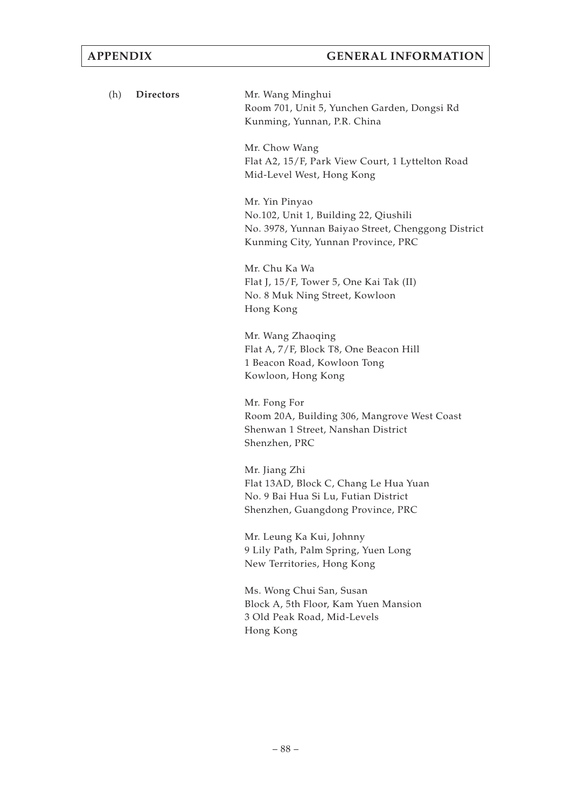| (h) | Directors | Mr. Wang Minghui<br>Room 701, Unit 5, Yunchen Garden, Dongsi Rd<br>Kunming, Yunnan, P.R. China                                                      |
|-----|-----------|-----------------------------------------------------------------------------------------------------------------------------------------------------|
|     |           | Mr. Chow Wang<br>Flat A2, 15/F, Park View Court, 1 Lyttelton Road<br>Mid-Level West, Hong Kong                                                      |
|     |           | Mr. Yin Pinyao<br>No.102, Unit 1, Building 22, Qiushili<br>No. 3978, Yunnan Baiyao Street, Chenggong District<br>Kunming City, Yunnan Province, PRC |
|     |           | Mr. Chu Ka Wa<br>Flat J, 15/F, Tower 5, One Kai Tak (II)<br>No. 8 Muk Ning Street, Kowloon<br>Hong Kong                                             |
|     |           | Mr. Wang Zhaoqing<br>Flat A, 7/F, Block T8, One Beacon Hill<br>1 Beacon Road, Kowloon Tong<br>Kowloon, Hong Kong                                    |
|     |           | Mr. Fong For<br>Room 20A, Building 306, Mangrove West Coast<br>Shenwan 1 Street, Nanshan District<br>Shenzhen, PRC                                  |
|     |           | Mr. Jiang Zhi<br>Flat 13AD, Block C, Chang Le Hua Yuan<br>No. 9 Bai Hua Si Lu, Futian District<br>Shenzhen, Guangdong Province, PRC                 |
|     |           | Mr. Leung Ka Kui, Johnny<br>9 Lily Path, Palm Spring, Yuen Long<br>New Territories, Hong Kong                                                       |
|     |           | Ms. Wong Chui San, Susan<br>Block A, 5th Floor, Kam Yuen Mansion<br>3 Old Peak Road, Mid-Levels<br>Hong Kong                                        |
|     |           |                                                                                                                                                     |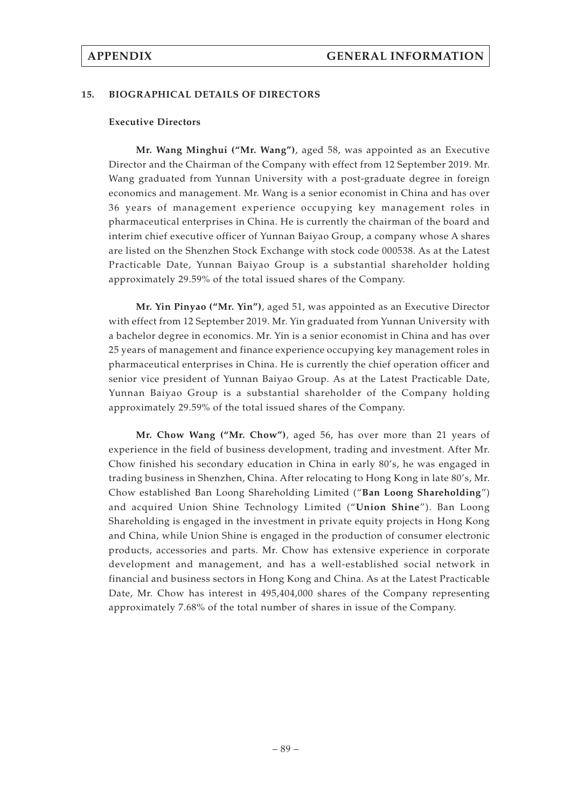#### **15. BIOGRAPHICAL DETAILS OF DIRECTORS**

#### **Executive Directors**

**Mr. Wang Minghui ("Mr. Wang")**, aged 58, was appointed as an Executive Director and the Chairman of the Company with effect from 12 September 2019. Mr. Wang graduated from Yunnan University with a post-graduate degree in foreign economics and management. Mr. Wang is a senior economist in China and has over 36 years of management experience occupying key management roles in pharmaceutical enterprises in China. He is currently the chairman of the board and interim chief executive officer of Yunnan Baiyao Group, a company whose A shares are listed on the Shenzhen Stock Exchange with stock code 000538. As at the Latest Practicable Date, Yunnan Baiyao Group is a substantial shareholder holding approximately 29.59% of the total issued shares of the Company.

**Mr. Yin Pinyao ("Mr. Yin")**, aged 51, was appointed as an Executive Director with effect from 12 September 2019. Mr. Yin graduated from Yunnan University with a bachelor degree in economics. Mr. Yin is a senior economist in China and has over 25 years of management and finance experience occupying key management roles in pharmaceutical enterprises in China. He is currently the chief operation officer and senior vice president of Yunnan Baiyao Group. As at the Latest Practicable Date, Yunnan Baiyao Group is a substantial shareholder of the Company holding approximately 29.59% of the total issued shares of the Company.

**Mr. Chow Wang ("Mr. Chow")**, aged 56, has over more than 21 years of experience in the field of business development, trading and investment. After Mr. Chow finished his secondary education in China in early 80's, he was engaged in trading business in Shenzhen, China. After relocating to Hong Kong in late 80's, Mr. Chow established Ban Loong Shareholding Limited ("**Ban Loong Shareholding**") and acquired Union Shine Technology Limited ("**Union Shine**"). Ban Loong Shareholding is engaged in the investment in private equity projects in Hong Kong and China, while Union Shine is engaged in the production of consumer electronic products, accessories and parts. Mr. Chow has extensive experience in corporate development and management, and has a well-established social network in financial and business sectors in Hong Kong and China. As at the Latest Practicable Date, Mr. Chow has interest in 495,404,000 shares of the Company representing approximately 7.68% of the total number of shares in issue of the Company.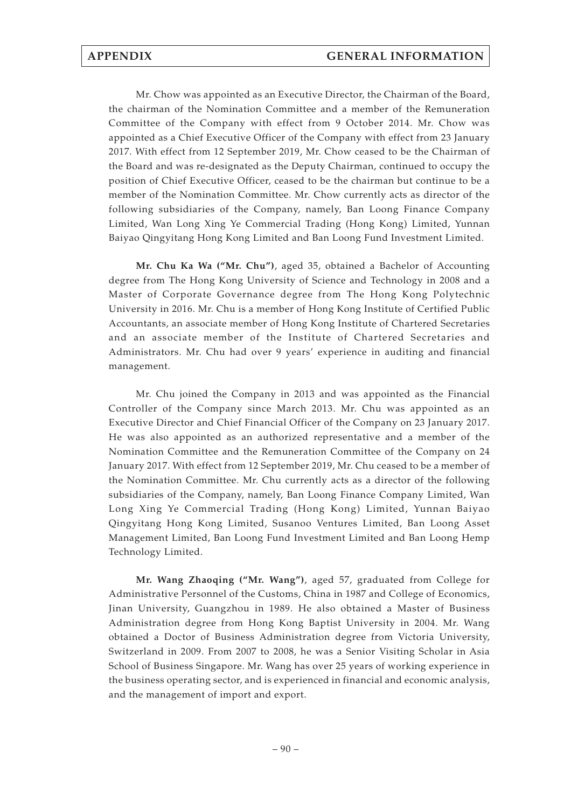Mr. Chow was appointed as an Executive Director, the Chairman of the Board, the chairman of the Nomination Committee and a member of the Remuneration Committee of the Company with effect from 9 October 2014. Mr. Chow was appointed as a Chief Executive Officer of the Company with effect from 23 January 2017. With effect from 12 September 2019, Mr. Chow ceased to be the Chairman of the Board and was re-designated as the Deputy Chairman, continued to occupy the position of Chief Executive Officer, ceased to be the chairman but continue to be a member of the Nomination Committee. Mr. Chow currently acts as director of the following subsidiaries of the Company, namely, Ban Loong Finance Company Limited, Wan Long Xing Ye Commercial Trading (Hong Kong) Limited, Yunnan Baiyao Qingyitang Hong Kong Limited and Ban Loong Fund Investment Limited.

**Mr. Chu Ka Wa ("Mr. Chu")**, aged 35, obtained a Bachelor of Accounting degree from The Hong Kong University of Science and Technology in 2008 and a Master of Corporate Governance degree from The Hong Kong Polytechnic University in 2016. Mr. Chu is a member of Hong Kong Institute of Certified Public Accountants, an associate member of Hong Kong Institute of Chartered Secretaries and an associate member of the Institute of Chartered Secretaries and Administrators. Mr. Chu had over 9 years' experience in auditing and financial management.

Mr. Chu joined the Company in 2013 and was appointed as the Financial Controller of the Company since March 2013. Mr. Chu was appointed as an Executive Director and Chief Financial Officer of the Company on 23 January 2017. He was also appointed as an authorized representative and a member of the Nomination Committee and the Remuneration Committee of the Company on 24 January 2017. With effect from 12 September 2019, Mr. Chu ceased to be a member of the Nomination Committee. Mr. Chu currently acts as a director of the following subsidiaries of the Company, namely, Ban Loong Finance Company Limited, Wan Long Xing Ye Commercial Trading (Hong Kong) Limited, Yunnan Baiyao Qingyitang Hong Kong Limited, Susanoo Ventures Limited, Ban Loong Asset Management Limited, Ban Loong Fund Investment Limited and Ban Loong Hemp Technology Limited.

**Mr. Wang Zhaoqing ("Mr. Wang")**, aged 57, graduated from College for Administrative Personnel of the Customs, China in 1987 and College of Economics, Jinan University, Guangzhou in 1989. He also obtained a Master of Business Administration degree from Hong Kong Baptist University in 2004. Mr. Wang obtained a Doctor of Business Administration degree from Victoria University, Switzerland in 2009. From 2007 to 2008, he was a Senior Visiting Scholar in Asia School of Business Singapore. Mr. Wang has over 25 years of working experience in the business operating sector, and is experienced in financial and economic analysis, and the management of import and export.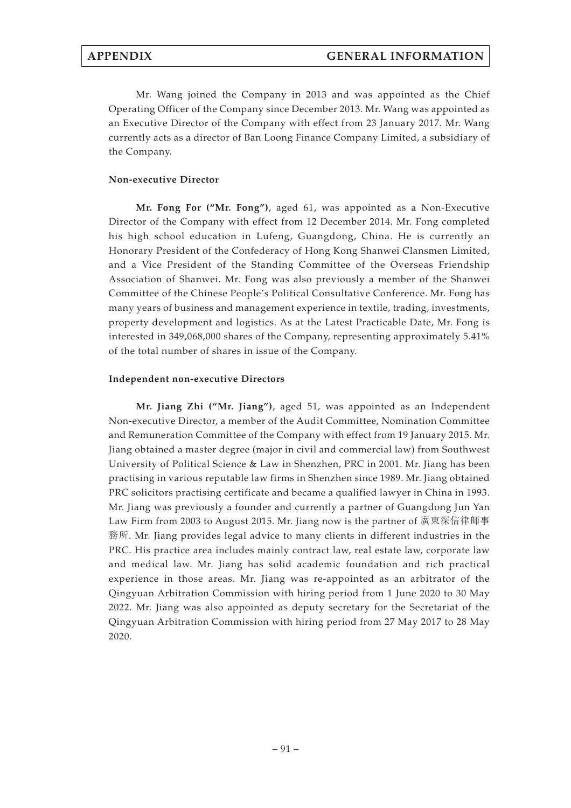Mr. Wang joined the Company in 2013 and was appointed as the Chief Operating Officer of the Company since December 2013. Mr. Wang was appointed as an Executive Director of the Company with effect from 23 January 2017. Mr. Wang currently acts as a director of Ban Loong Finance Company Limited, a subsidiary of the Company.

## **Non-executive Director**

**Mr. Fong For ("Mr. Fong")**, aged 61, was appointed as a Non-Executive Director of the Company with effect from 12 December 2014. Mr. Fong completed his high school education in Lufeng, Guangdong, China. He is currently an Honorary President of the Confederacy of Hong Kong Shanwei Clansmen Limited, and a Vice President of the Standing Committee of the Overseas Friendship Association of Shanwei. Mr. Fong was also previously a member of the Shanwei Committee of the Chinese People's Political Consultative Conference. Mr. Fong has many years of business and management experience in textile, trading, investments, property development and logistics. As at the Latest Practicable Date, Mr. Fong is interested in 349,068,000 shares of the Company, representing approximately 5.41% of the total number of shares in issue of the Company.

## **Independent non-executive Directors**

**Mr. Jiang Zhi ("Mr. Jiang")**, aged 51, was appointed as an Independent Non-executive Director, a member of the Audit Committee, Nomination Committee and Remuneration Committee of the Company with effect from 19 January 2015. Mr. Jiang obtained a master degree (major in civil and commercial law) from Southwest University of Political Science & Law in Shenzhen, PRC in 2001. Mr. Jiang has been practising in various reputable law firms in Shenzhen since 1989. Mr. Jiang obtained PRC solicitors practising certificate and became a qualified lawyer in China in 1993. Mr. Jiang was previously a founder and currently a partner of Guangdong Jun Yan Law Firm from 2003 to August 2015. Mr. Jiang now is the partner of 廣東深信律師事 務所. Mr. Jiang provides legal advice to many clients in different industries in the PRC. His practice area includes mainly contract law, real estate law, corporate law and medical law. Mr. Jiang has solid academic foundation and rich practical experience in those areas. Mr. Jiang was re-appointed as an arbitrator of the Qingyuan Arbitration Commission with hiring period from 1 June 2020 to 30 May 2022. Mr. Jiang was also appointed as deputy secretary for the Secretariat of the Qingyuan Arbitration Commission with hiring period from 27 May 2017 to 28 May 2020.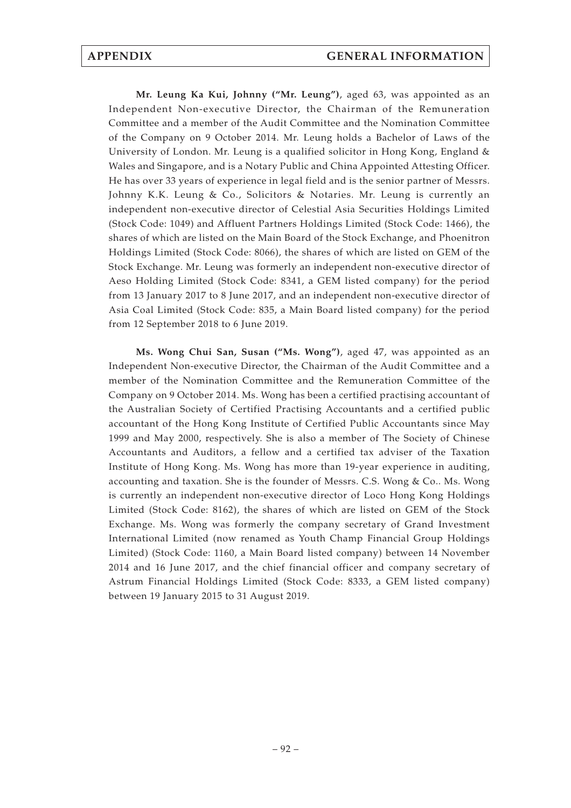**Mr. Leung Ka Kui, Johnny ("Mr. Leung")**, aged 63, was appointed as an Independent Non-executive Director, the Chairman of the Remuneration Committee and a member of the Audit Committee and the Nomination Committee of the Company on 9 October 2014. Mr. Leung holds a Bachelor of Laws of the University of London. Mr. Leung is a qualified solicitor in Hong Kong, England & Wales and Singapore, and is a Notary Public and China Appointed Attesting Officer. He has over 33 years of experience in legal field and is the senior partner of Messrs. Johnny K.K. Leung & Co., Solicitors & Notaries. Mr. Leung is currently an independent non-executive director of Celestial Asia Securities Holdings Limited (Stock Code: 1049) and Affluent Partners Holdings Limited (Stock Code: 1466), the shares of which are listed on the Main Board of the Stock Exchange, and Phoenitron Holdings Limited (Stock Code: 8066), the shares of which are listed on GEM of the Stock Exchange. Mr. Leung was formerly an independent non-executive director of Aeso Holding Limited (Stock Code: 8341, a GEM listed company) for the period from 13 January 2017 to 8 June 2017, and an independent non-executive director of Asia Coal Limited (Stock Code: 835, a Main Board listed company) for the period from 12 September 2018 to 6 June 2019.

**Ms. Wong Chui San, Susan ("Ms. Wong")**, aged 47, was appointed as an Independent Non-executive Director, the Chairman of the Audit Committee and a member of the Nomination Committee and the Remuneration Committee of the Company on 9 October 2014. Ms. Wong has been a certified practising accountant of the Australian Society of Certified Practising Accountants and a certified public accountant of the Hong Kong Institute of Certified Public Accountants since May 1999 and May 2000, respectively. She is also a member of The Society of Chinese Accountants and Auditors, a fellow and a certified tax adviser of the Taxation Institute of Hong Kong. Ms. Wong has more than 19-year experience in auditing, accounting and taxation. She is the founder of Messrs. C.S. Wong & Co.. Ms. Wong is currently an independent non-executive director of Loco Hong Kong Holdings Limited (Stock Code: 8162), the shares of which are listed on GEM of the Stock Exchange. Ms. Wong was formerly the company secretary of Grand Investment International Limited (now renamed as Youth Champ Financial Group Holdings Limited) (Stock Code: 1160, a Main Board listed company) between 14 November 2014 and 16 June 2017, and the chief financial officer and company secretary of Astrum Financial Holdings Limited (Stock Code: 8333, a GEM listed company) between 19 January 2015 to 31 August 2019.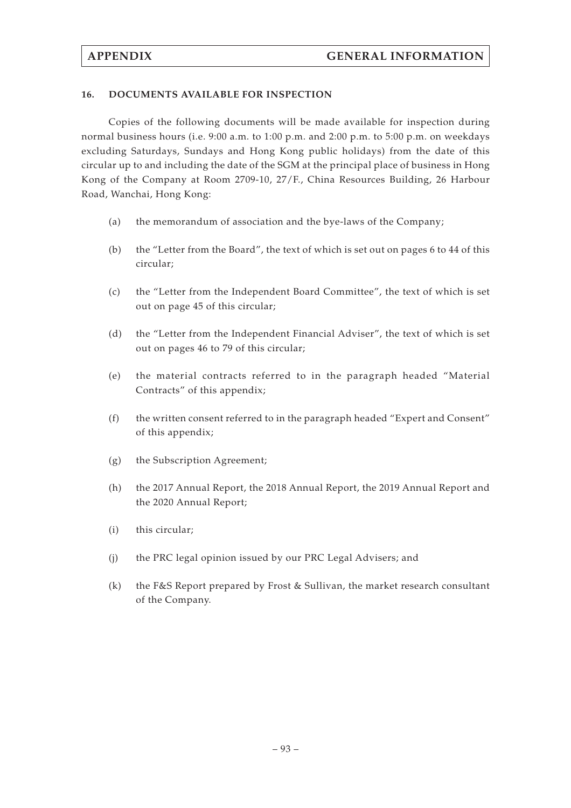### **16. DOCUMENTS AVAILABLE FOR INSPECTION**

Copies of the following documents will be made available for inspection during normal business hours (i.e. 9:00 a.m. to 1:00 p.m. and 2:00 p.m. to 5:00 p.m. on weekdays excluding Saturdays, Sundays and Hong Kong public holidays) from the date of this circular up to and including the date of the SGM at the principal place of business in Hong Kong of the Company at Room 2709-10, 27/F., China Resources Building, 26 Harbour Road, Wanchai, Hong Kong:

- (a) the memorandum of association and the bye-laws of the Company;
- (b) the "Letter from the Board", the text of which is set out on pages 6 to 44 of this circular;
- (c) the "Letter from the Independent Board Committee", the text of which is set out on page 45 of this circular;
- (d) the "Letter from the Independent Financial Adviser", the text of which is set out on pages 46 to 79 of this circular;
- (e) the material contracts referred to in the paragraph headed "Material Contracts" of this appendix;
- (f) the written consent referred to in the paragraph headed "Expert and Consent" of this appendix;
- (g) the Subscription Agreement;
- (h) the 2017 Annual Report, the 2018 Annual Report, the 2019 Annual Report and the 2020 Annual Report;
- (i) this circular;
- (j) the PRC legal opinion issued by our PRC Legal Advisers; and
- (k) the F&S Report prepared by Frost & Sullivan, the market research consultant of the Company.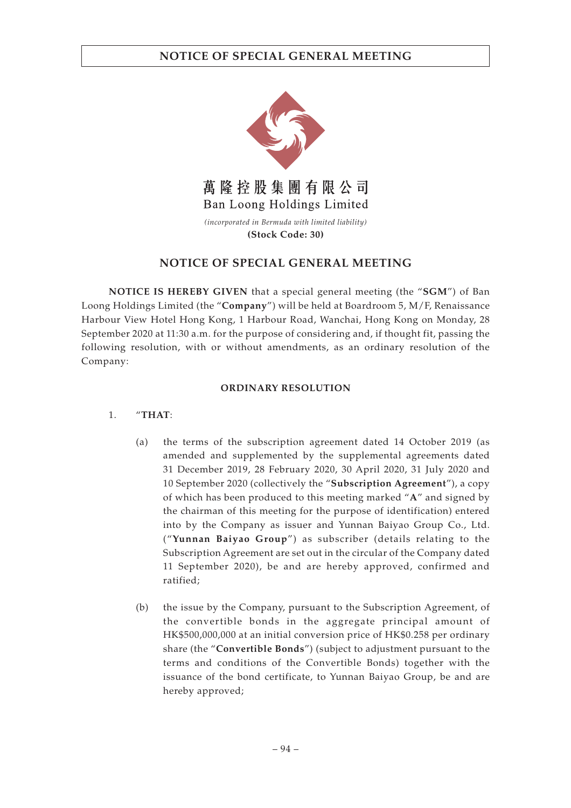

# **NOTICE OF SPECIAL GENERAL MEETING**

**NOTICE IS HEREBY GIVEN** that a special general meeting (the "**SGM**") of Ban Loong Holdings Limited (the "**Company**") will be held at Boardroom 5, M/F, Renaissance Harbour View Hotel Hong Kong, 1 Harbour Road, Wanchai, Hong Kong on Monday, 28 September 2020 at 11:30 a.m. for the purpose of considering and, if thought fit, passing the following resolution, with or without amendments, as an ordinary resolution of the Company:

## **ORDINARY RESOLUTION**

## 1. "**THAT**:

- (a) the terms of the subscription agreement dated 14 October 2019 (as amended and supplemented by the supplemental agreements dated 31 December 2019, 28 February 2020, 30 April 2020, 31 July 2020 and 10 September 2020 (collectively the "**Subscription Agreement**"), a copy of which has been produced to this meeting marked "**A**" and signed by the chairman of this meeting for the purpose of identification) entered into by the Company as issuer and Yunnan Baiyao Group Co., Ltd. ("**Yunnan Baiyao Group**") as subscriber (details relating to the Subscription Agreement are set out in the circular of the Company dated 11 September 2020), be and are hereby approved, confirmed and ratified;
- (b) the issue by the Company, pursuant to the Subscription Agreement, of the convertible bonds in the aggregate principal amount of HK\$500,000,000 at an initial conversion price of HK\$0.258 per ordinary share (the "**Convertible Bonds**") (subject to adjustment pursuant to the terms and conditions of the Convertible Bonds) together with the issuance of the bond certificate, to Yunnan Baiyao Group, be and are hereby approved;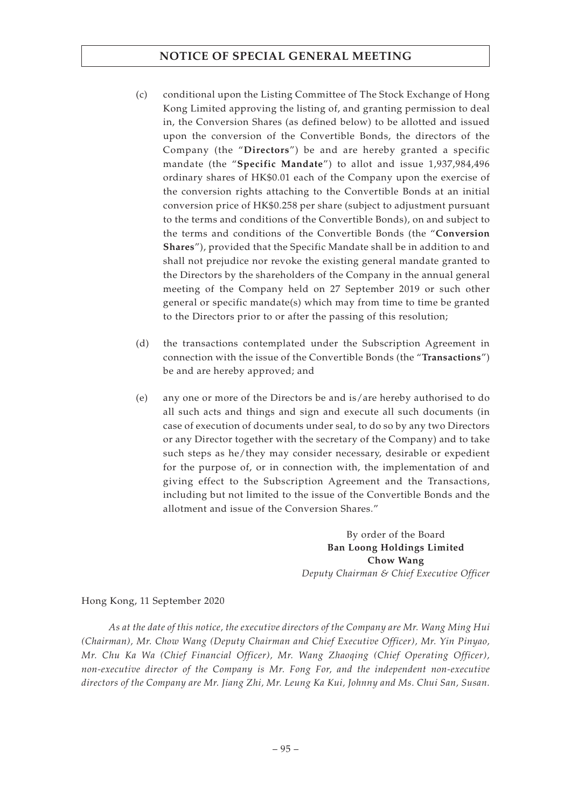# **NOTICE OF SPECIAL GENERAL MEETING**

- (c) conditional upon the Listing Committee of The Stock Exchange of Hong Kong Limited approving the listing of, and granting permission to deal in, the Conversion Shares (as defined below) to be allotted and issued upon the conversion of the Convertible Bonds, the directors of the Company (the "**Directors**") be and are hereby granted a specific mandate (the "**Specific Mandate**") to allot and issue 1,937,984,496 ordinary shares of HK\$0.01 each of the Company upon the exercise of the conversion rights attaching to the Convertible Bonds at an initial conversion price of HK\$0.258 per share (subject to adjustment pursuant to the terms and conditions of the Convertible Bonds), on and subject to the terms and conditions of the Convertible Bonds (the "**Conversion Shares**"), provided that the Specific Mandate shall be in addition to and shall not prejudice nor revoke the existing general mandate granted to the Directors by the shareholders of the Company in the annual general meeting of the Company held on 27 September 2019 or such other general or specific mandate(s) which may from time to time be granted to the Directors prior to or after the passing of this resolution;
- (d) the transactions contemplated under the Subscription Agreement in connection with the issue of the Convertible Bonds (the "**Transactions**") be and are hereby approved; and
- (e) any one or more of the Directors be and is/are hereby authorised to do all such acts and things and sign and execute all such documents (in case of execution of documents under seal, to do so by any two Directors or any Director together with the secretary of the Company) and to take such steps as he/they may consider necessary, desirable or expedient for the purpose of, or in connection with, the implementation of and giving effect to the Subscription Agreement and the Transactions, including but not limited to the issue of the Convertible Bonds and the allotment and issue of the Conversion Shares."

By order of the Board **Ban Loong Holdings Limited Chow Wang** *Deputy Chairman & Chief Executive Officer*

Hong Kong, 11 September 2020

*As at the date of this notice, the executive directors of the Company are Mr. Wang Ming Hui (Chairman), Mr. Chow Wang (Deputy Chairman and Chief Executive Officer), Mr. Yin Pinyao, Mr. Chu Ka Wa (Chief Financial Officer), Mr. Wang Zhaoqing (Chief Operating Officer), non-executive director of the Company is Mr. Fong For, and the independent non-executive directors of the Company are Mr. Jiang Zhi, Mr. Leung Ka Kui, Johnny and Ms. Chui San, Susan.*